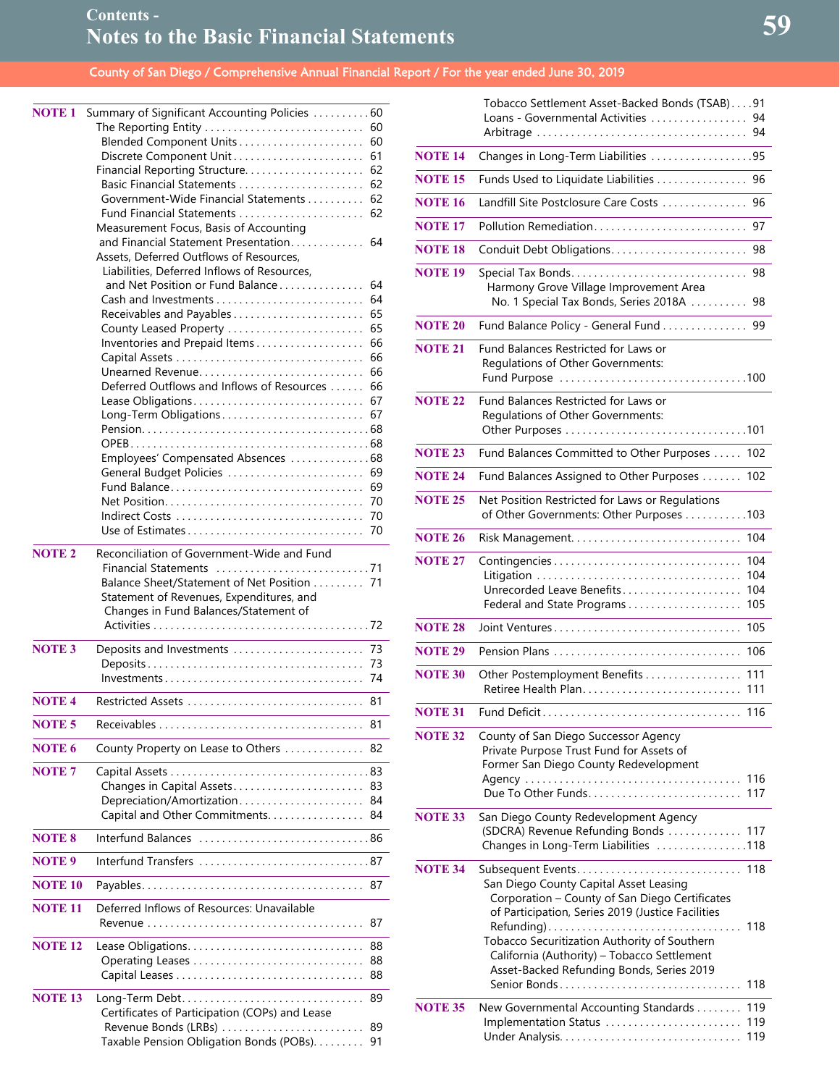| <b>NOTE 1</b>     | Summary of Significant Accounting Policies  60                                     |
|-------------------|------------------------------------------------------------------------------------|
|                   | The Reporting Entity<br>60                                                         |
|                   | 60                                                                                 |
|                   | 61                                                                                 |
|                   | 62                                                                                 |
|                   | Government-Wide Financial Statements<br>62                                         |
|                   | 62                                                                                 |
|                   | Measurement Focus, Basis of Accounting                                             |
|                   | and Financial Statement Presentation<br>64                                         |
|                   | Assets, Deferred Outflows of Resources,                                            |
|                   | Liabilities, Deferred Inflows of Resources,                                        |
|                   | and Net Position or Fund Balance<br>64                                             |
|                   | 64                                                                                 |
|                   | Receivables and Payables<br>65                                                     |
|                   | County Leased Property  65<br>66<br>Inventories and Prepaid Items                  |
|                   | 66                                                                                 |
|                   | 66<br>Unearned Revenue                                                             |
|                   | Deferred Outflows and Inflows of Resources<br>66                                   |
|                   | 67                                                                                 |
|                   | Long-Term Obligations 67                                                           |
|                   |                                                                                    |
|                   |                                                                                    |
|                   | Employees' Compensated Absences 68                                                 |
|                   | General Budget Policies<br>69                                                      |
|                   | 69<br>70                                                                           |
|                   | 70                                                                                 |
|                   | 70                                                                                 |
|                   |                                                                                    |
| <b>NOTE 2</b>     | Reconciliation of Government-Wide and Fund                                         |
|                   |                                                                                    |
|                   |                                                                                    |
|                   | Balance Sheet/Statement of Net Position 71                                         |
|                   | Statement of Revenues, Expenditures, and                                           |
|                   | Changes in Fund Balances/Statement of                                              |
|                   |                                                                                    |
| <b>NOTE3</b>      | Deposits and Investments<br>73                                                     |
|                   | 73                                                                                 |
|                   | $Investments \ldots \ldots \ldots \ldots \ldots \ldots \ldots \ldots \ldots$<br>74 |
| <b>NOTE 4</b>     | 81                                                                                 |
| NOTE 5            | 81                                                                                 |
| <b>NOTE 6</b>     | 82<br>County Property on Lease to Others                                           |
| <b>NOTE 7</b>     |                                                                                    |
|                   | 83<br>Changes in Capital Assets                                                    |
|                   | Depreciation/Amortization<br>84                                                    |
|                   | Capital and Other Commitments.<br>84                                               |
| <b>NOTE 8</b>     | Interfund Balances 86                                                              |
| NOTE <sub>9</sub> | Interfund Transfers 87                                                             |
| <b>NOTE 10</b>    | 87                                                                                 |
| <b>NOTE 11</b>    | Deferred Inflows of Resources: Unavailable                                         |
|                   | 87<br>.                                                                            |
| <b>NOTE 12</b>    | 88                                                                                 |
|                   | 88                                                                                 |
|                   | 88                                                                                 |
| <b>NOTE 13</b>    | 89                                                                                 |
|                   | Certificates of Participation (COPs) and Lease                                     |
|                   | 89<br>Revenue Bonds (LRBs)<br>Taxable Pension Obligation Bonds (POBs).<br>91       |

|                | Tobacco Settlement Asset-Backed Bonds (TSAB)91<br>Loans - Governmental Activities<br>94<br>94                                                                                                                                                                                                    |
|----------------|--------------------------------------------------------------------------------------------------------------------------------------------------------------------------------------------------------------------------------------------------------------------------------------------------|
| <b>NOTE 14</b> | Changes in Long-Term Liabilities 95                                                                                                                                                                                                                                                              |
| <b>NOTE 15</b> | Funds Used to Liquidate Liabilities<br>96                                                                                                                                                                                                                                                        |
| <b>NOTE 16</b> | Landfill Site Postclosure Care Costs<br>96                                                                                                                                                                                                                                                       |
| <b>NOTE 17</b> | Pollution Remediation<br>97                                                                                                                                                                                                                                                                      |
| <b>NOTE 18</b> | 98                                                                                                                                                                                                                                                                                               |
| <b>NOTE 19</b> | 98<br>Harmony Grove Village Improvement Area<br>No. 1 Special Tax Bonds, Series 2018A<br>98                                                                                                                                                                                                      |
| <b>NOTE 20</b> | Fund Balance Policy - General Fund<br>99                                                                                                                                                                                                                                                         |
| <b>NOTE 21</b> | Fund Balances Restricted for Laws or<br>Regulations of Other Governments:                                                                                                                                                                                                                        |
| <b>NOTE 22</b> | Fund Balances Restricted for Laws or<br>Regulations of Other Governments:                                                                                                                                                                                                                        |
| <b>NOTE 23</b> | Fund Balances Committed to Other Purposes<br>102                                                                                                                                                                                                                                                 |
| <b>NOTE 24</b> | Fund Balances Assigned to Other Purposes<br>102                                                                                                                                                                                                                                                  |
| <b>NOTE 25</b> | Net Position Restricted for Laws or Regulations<br>of Other Governments: Other Purposes 103                                                                                                                                                                                                      |
| <b>NOTE 26</b> | 104                                                                                                                                                                                                                                                                                              |
| <b>NOTE 27</b> | <u> 1980 - Johann Barn, amerikan bestemannten (</u><br>Contingencies<br>104<br>104<br>Unrecorded Leave Benefits<br>104<br>Federal and State Programs<br>105                                                                                                                                      |
| <b>NOTE 28</b> | 105<br>Joint Ventures                                                                                                                                                                                                                                                                            |
| <b>NOTE 29</b> | 106<br><u> 1989 - Johann Barnett, fransk politiker (</u>                                                                                                                                                                                                                                         |
| <b>NOTE 30</b> | 111<br>Other Postemployment Benefits<br>111                                                                                                                                                                                                                                                      |
| <b>NOTE 31</b> | Fund Deficit<br>116                                                                                                                                                                                                                                                                              |
| <b>NOTE 32</b> | County of San Diego Successor Agency<br>Private Purpose Trust Fund for Assets of<br>Former San Diego County Redevelopment<br>117                                                                                                                                                                 |
| <b>NOTE 33</b> | San Diego County Redevelopment Agency<br>(SDCRA) Revenue Refunding Bonds  117<br>Changes in Long-Term Liabilities 118                                                                                                                                                                            |
| <b>NOTE 34</b> | San Diego County Capital Asset Leasing<br>Corporation - County of San Diego Certificates<br>of Participation, Series 2019 (Justice Facilities<br>Tobacco Securitization Authority of Southern<br>California (Authority) - Tobacco Settlement<br>Asset-Backed Refunding Bonds, Series 2019<br>118 |
| <b>NOTE 35</b> | New Governmental Accounting Standards<br>119<br>Implementation Status<br>119<br>119                                                                                                                                                                                                              |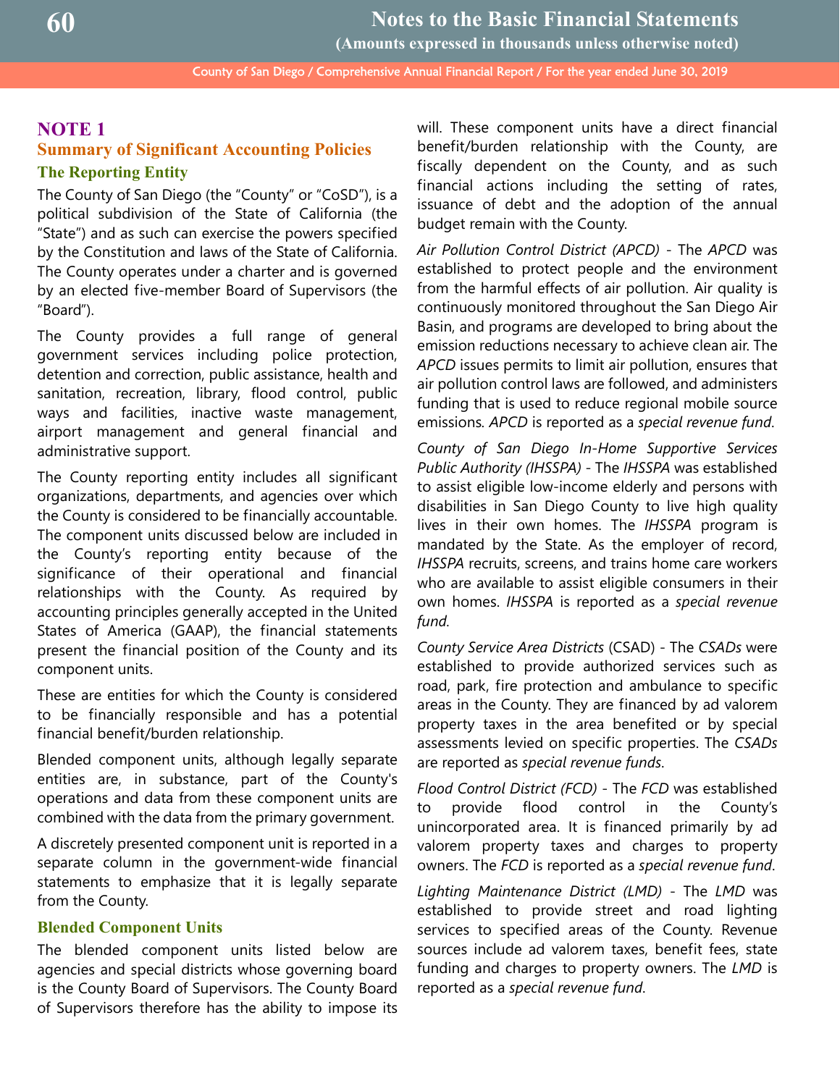## **NOTE 1**

## **Summary of Significant Accounting Policies The Reporting Entity**

The County of San Diego (the "County" or "CoSD"), is a political subdivision of the State of California (the "State") and as such can exercise the powers specified by the Constitution and laws of the State of California. The County operates under a charter and is governed by an elected five-member Board of Supervisors (the "Board").

The County provides a full range of general government services including police protection, detention and correction, public assistance, health and sanitation, recreation, library, flood control, public ways and facilities, inactive waste management, airport management and general financial and administrative support.

The County reporting entity includes all significant organizations, departments, and agencies over which the County is considered to be financially accountable. The component units discussed below are included in the County's reporting entity because of the significance of their operational and financial relationships with the County. As required by accounting principles generally accepted in the United States of America (GAAP), the financial statements present the financial position of the County and its component units.

These are entities for which the County is considered to be financially responsible and has a potential financial benefit/burden relationship.

Blended component units, although legally separate entities are, in substance, part of the County's operations and data from these component units are combined with the data from the primary government.

A discretely presented component unit is reported in a separate column in the government-wide financial statements to emphasize that it is legally separate from the County.

#### **Blended Component Units**

The blended component units listed below are agencies and special districts whose governing board is the County Board of Supervisors. The County Board of Supervisors therefore has the ability to impose its will. These component units have a direct financial benefit/burden relationship with the County, are fiscally dependent on the County, and as such financial actions including the setting of rates, issuance of debt and the adoption of the annual budget remain with the County.

*Air Pollution Control District (APCD)* - The *APCD* was established to protect people and the environment from the harmful effects of air pollution. Air quality is continuously monitored throughout the San Diego Air Basin, and programs are developed to bring about the emission reductions necessary to achieve clean air. The *APCD* issues permits to limit air pollution, ensures that air pollution control laws are followed, and administers funding that is used to reduce regional mobile source emissions*. APCD* is reported as a *special revenue fund*.

*County of San Diego In-Home Supportive Services Public Authority (IHSSPA)* - The *IHSSPA* was established to assist eligible low-income elderly and persons with disabilities in San Diego County to live high quality lives in their own homes. The *IHSSPA* program is mandated by the State. As the employer of record, *IHSSPA* recruits, screens, and trains home care workers who are available to assist eligible consumers in their own homes. *IHSSPA* is reported as a *special revenue fund.* 

*County Service Area Districts* (CSAD) - The *CSADs* were established to provide authorized services such as road, park, fire protection and ambulance to specific areas in the County. They are financed by ad valorem property taxes in the area benefited or by special assessments levied on specific properties. The *CSADs* are reported as *special revenue funds*.

*Flood Control District (FCD)* - The *FCD* was established to provide flood control in the County's unincorporated area. It is financed primarily by ad valorem property taxes and charges to property owners. The *FCD* is reported as a *special revenue fund*.

*Lighting Maintenance District (LMD)* - The *LMD* was established to provide street and road lighting services to specified areas of the County. Revenue sources include ad valorem taxes, benefit fees, state funding and charges to property owners. The *LMD* is reported as a *special revenue fund*.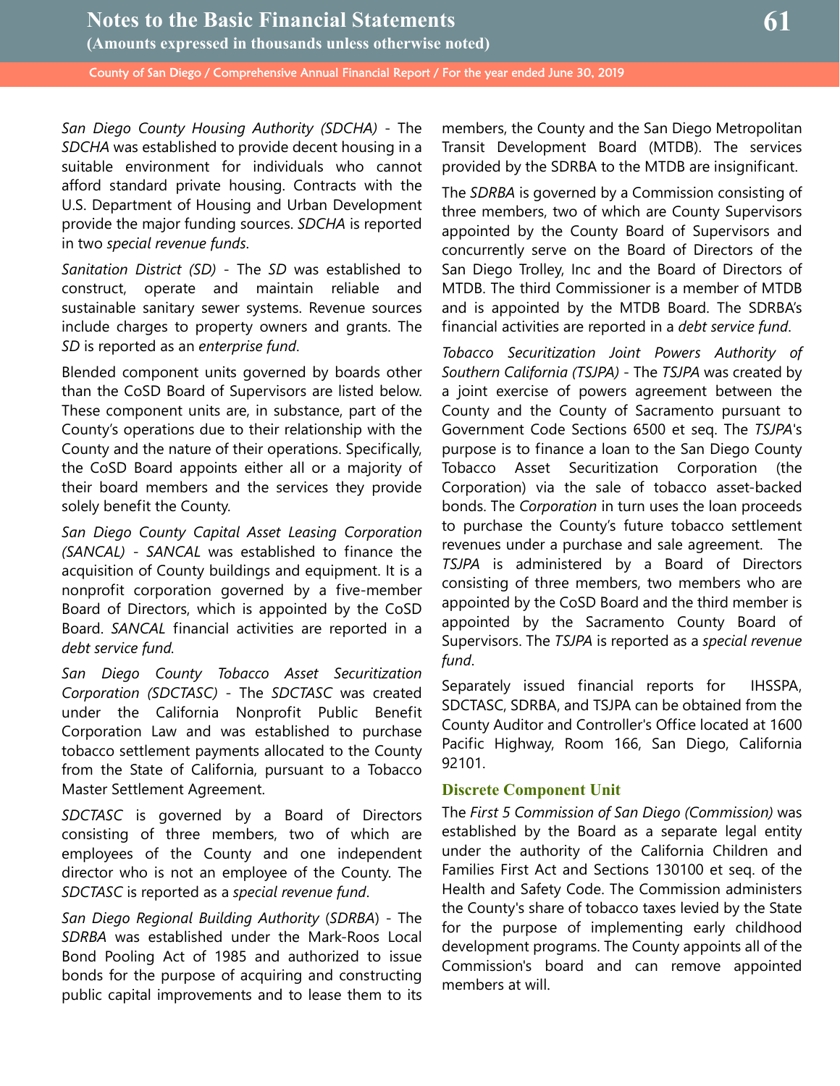*San Diego County Housing Authority (SDCHA)* - The *SDCHA* was established to provide decent housing in a suitable environment for individuals who cannot afford standard private housing. Contracts with the U.S. Department of Housing and Urban Development provide the major funding sources. *SDCHA* is reported in two *special revenue funds*.

*Sanitation District (SD)* - The *SD* was established to construct, operate and maintain reliable and sustainable sanitary sewer systems. Revenue sources include charges to property owners and grants. The *SD* is reported as an *enterprise fund*.

Blended component units governed by boards other than the CoSD Board of Supervisors are listed below. These component units are, in substance, part of the County's operations due to their relationship with the County and the nature of their operations. Specifically, the CoSD Board appoints either all or a majority of their board members and the services they provide solely benefit the County.

*San Diego County Capital Asset Leasing Corporation (SANCAL)* - *SANCAL* was established to finance the acquisition of County buildings and equipment. It is a nonprofit corporation governed by a five-member Board of Directors, which is appointed by the CoSD Board. *SANCAL* financial activities are reported in a *debt service fund.*

*San Diego County Tobacco Asset Securitization Corporation (SDCTASC)* - The *SDCTASC* was created under the California Nonprofit Public Benefit Corporation Law and was established to purchase tobacco settlement payments allocated to the County from the State of California, pursuant to a Tobacco Master Settlement Agreement.

*SDCTASC* is governed by a Board of Directors consisting of three members, two of which are employees of the County and one independent director who is not an employee of the County. The *SDCTASC* is reported as a *special revenue fund*.

*San Diego Regional Building Authority* (*SDRBA*) - The *SDRBA* was established under the Mark-Roos Local Bond Pooling Act of 1985 and authorized to issue bonds for the purpose of acquiring and constructing public capital improvements and to lease them to its members, the County and the San Diego Metropolitan Transit Development Board (MTDB). The services provided by the SDRBA to the MTDB are insignificant.

The *SDRBA* is governed by a Commission consisting of three members, two of which are County Supervisors appointed by the County Board of Supervisors and concurrently serve on the Board of Directors of the San Diego Trolley, Inc and the Board of Directors of MTDB. The third Commissioner is a member of MTDB and is appointed by the MTDB Board. The SDRBA's financial activities are reported in a *debt service fund*.

*Tobacco Securitization Joint Powers Authority of Southern California (TSJPA)* - The *TSJPA* was created by a joint exercise of powers agreement between the County and the County of Sacramento pursuant to Government Code Sections 6500 et seq. The *TSJPA*'s purpose is to finance a loan to the San Diego County Tobacco Asset Securitization Corporation (the Corporation) via the sale of tobacco asset-backed bonds. The *Corporation* in turn uses the loan proceeds to purchase the County's future tobacco settlement revenues under a purchase and sale agreement. The *TSJPA* is administered by a Board of Directors consisting of three members, two members who are appointed by the CoSD Board and the third member is appointed by the Sacramento County Board of Supervisors. The *TSJPA* is reported as a *special revenue fund*.

Separately issued financial reports for IHSSPA, SDCTASC, SDRBA, and TSJPA can be obtained from the County Auditor and Controller's Office located at 1600 Pacific Highway, Room 166, San Diego, California 92101.

## **Discrete Component Unit**

The *First 5 Commission of San Diego (Commission)* was established by the Board as a separate legal entity under the authority of the California Children and Families First Act and Sections 130100 et seq. of the Health and Safety Code. The Commission administers the County's share of tobacco taxes levied by the State for the purpose of implementing early childhood development programs. The County appoints all of the Commission's board and can remove appointed members at will.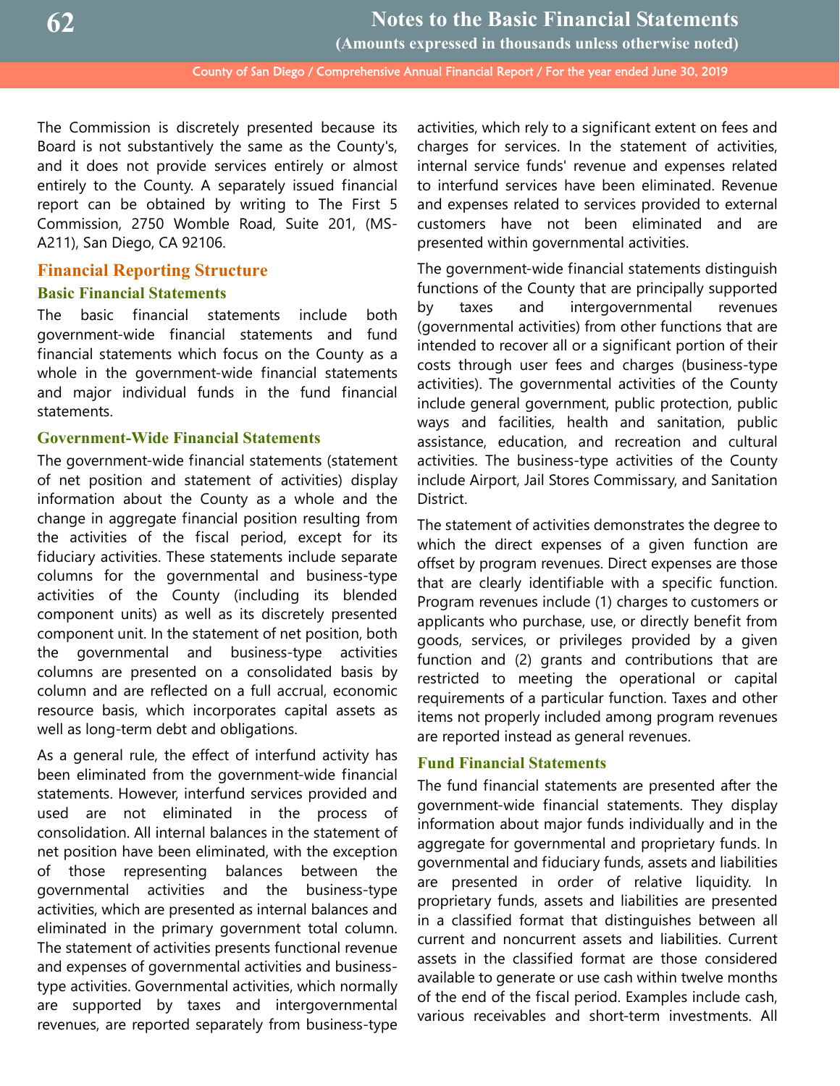The Commission is discretely presented because its Board is not substantively the same as the County's, and it does not provide services entirely or almost entirely to the County. A separately issued financial report can be obtained by writing to The First 5 Commission, 2750 Womble Road, Suite 201, (MS-A211), San Diego, CA 92106.

## **Financial Reporting Structure**

## **Basic Financial Statements**

The basic financial statements include both government-wide financial statements and fund financial statements which focus on the County as a whole in the government-wide financial statements and major individual funds in the fund financial statements.

## **Government-Wide Financial Statements**

The government-wide financial statements (statement of net position and statement of activities) display information about the County as a whole and the change in aggregate financial position resulting from the activities of the fiscal period, except for its fiduciary activities. These statements include separate columns for the governmental and business-type activities of the County (including its blended component units) as well as its discretely presented component unit. In the statement of net position, both the governmental and business-type activities columns are presented on a consolidated basis by column and are reflected on a full accrual, economic resource basis, which incorporates capital assets as well as long-term debt and obligations.

As a general rule, the effect of interfund activity has been eliminated from the government-wide financial statements. However, interfund services provided and used are not eliminated in the process of consolidation. All internal balances in the statement of net position have been eliminated, with the exception of those representing balances between the governmental activities and the business-type activities, which are presented as internal balances and eliminated in the primary government total column. The statement of activities presents functional revenue and expenses of governmental activities and businesstype activities. Governmental activities, which normally are supported by taxes and intergovernmental revenues, are reported separately from business-type activities, which rely to a significant extent on fees and charges for services. In the statement of activities, internal service funds' revenue and expenses related to interfund services have been eliminated. Revenue and expenses related to services provided to external customers have not been eliminated and are presented within governmental activities.

The government-wide financial statements distinguish functions of the County that are principally supported by taxes and intergovernmental revenues (governmental activities) from other functions that are intended to recover all or a significant portion of their costs through user fees and charges (business-type activities). The governmental activities of the County include general government, public protection, public ways and facilities, health and sanitation, public assistance, education, and recreation and cultural activities. The business-type activities of the County include Airport, Jail Stores Commissary, and Sanitation District.

The statement of activities demonstrates the degree to which the direct expenses of a given function are offset by program revenues. Direct expenses are those that are clearly identifiable with a specific function. Program revenues include (1) charges to customers or applicants who purchase, use, or directly benefit from goods, services, or privileges provided by a given function and (2) grants and contributions that are restricted to meeting the operational or capital requirements of a particular function. Taxes and other items not properly included among program revenues are reported instead as general revenues.

## **Fund Financial Statements**

The fund financial statements are presented after the government-wide financial statements. They display information about major funds individually and in the aggregate for governmental and proprietary funds. In governmental and fiduciary funds, assets and liabilities are presented in order of relative liquidity. In proprietary funds, assets and liabilities are presented in a classified format that distinguishes between all current and noncurrent assets and liabilities. Current assets in the classified format are those considered available to generate or use cash within twelve months of the end of the fiscal period. Examples include cash, various receivables and short-term investments. All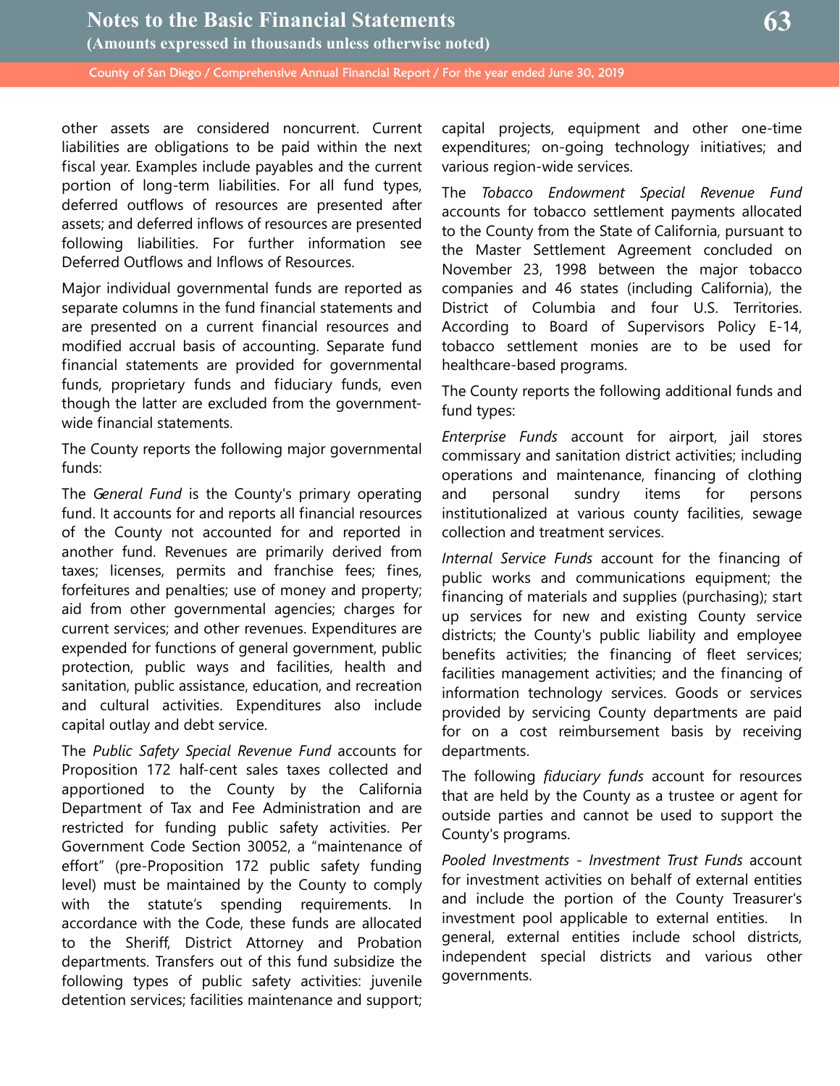other assets are considered noncurrent. Current liabilities are obligations to be paid within the next fiscal year. Examples include payables and the current portion of long-term liabilities. For all fund types, deferred outflows of resources are presented after assets; and deferred inflows of resources are presented following liabilities. For further information see Deferred Outflows and Inflows of Resources.

Major individual governmental funds are reported as separate columns in the fund financial statements and are presented on a current financial resources and modified accrual basis of accounting. Separate fund financial statements are provided for governmental funds, proprietary funds and fiduciary funds, even though the latter are excluded from the governmentwide financial statements.

The County reports the following major governmental funds:

The *General Fund* is the County's primary operating fund. It accounts for and reports all financial resources of the County not accounted for and reported in another fund. Revenues are primarily derived from taxes; licenses, permits and franchise fees; fines, forfeitures and penalties; use of money and property; aid from other governmental agencies; charges for current services; and other revenues. Expenditures are expended for functions of general government, public protection, public ways and facilities, health and sanitation, public assistance, education, and recreation and cultural activities. Expenditures also include capital outlay and debt service.

The *Public Safety Special Revenue Fund* accounts for Proposition 172 half-cent sales taxes collected and apportioned to the County by the California Department of Tax and Fee Administration and are restricted for funding public safety activities. Per Government Code Section 30052, a "maintenance of effort" (pre-Proposition 172 public safety funding level) must be maintained by the County to comply with the statute's spending requirements. In accordance with the Code, these funds are allocated to the Sheriff, District Attorney and Probation departments. Transfers out of this fund subsidize the following types of public safety activities: juvenile detention services; facilities maintenance and support; capital projects, equipment and other one-time expenditures; on-going technology initiatives; and various region-wide services.

The *Tobacco Endowment Special Revenue Fund* accounts for tobacco settlement payments allocated to the County from the State of California, pursuant to the Master Settlement Agreement concluded on November 23, 1998 between the major tobacco companies and 46 states (including California), the District of Columbia and four U.S. Territories. According to Board of Supervisors Policy E-14, tobacco settlement monies are to be used for healthcare-based programs.

The County reports the following additional funds and fund types:

*Enterprise Funds* account for airport, jail stores commissary and sanitation district activities; including operations and maintenance, financing of clothing and personal sundry items for persons institutionalized at various county facilities, sewage collection and treatment services.

*Internal Service Funds* account for the financing of public works and communications equipment; the financing of materials and supplies (purchasing); start up services for new and existing County service districts; the County's public liability and employee benefits activities; the financing of fleet services; facilities management activities; and the financing of information technology services. Goods or services provided by servicing County departments are paid for on a cost reimbursement basis by receiving departments.

The following *fiduciary funds* account for resources that are held by the County as a trustee or agent for outside parties and cannot be used to support the County's programs.

*Pooled Investments - Investment Trust Funds* account for investment activities on behalf of external entities and include the portion of the County Treasurer's investment pool applicable to external entities. In general, external entities include school districts, independent special districts and various other governments.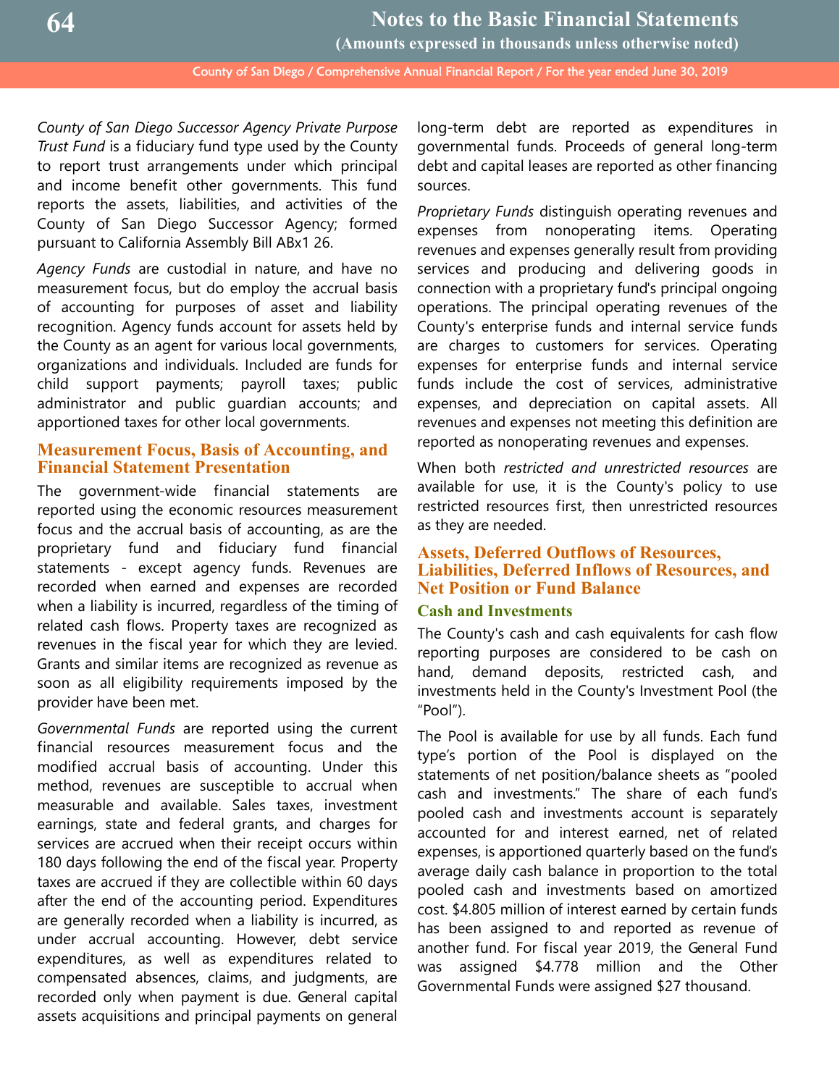*County of San Diego Successor Agency Private Purpose Trust Fund* is a fiduciary fund type used by the County to report trust arrangements under which principal and income benefit other governments. This fund reports the assets, liabilities, and activities of the County of San Diego Successor Agency; formed pursuant to California Assembly Bill ABx1 26.

*Agency Funds* are custodial in nature, and have no measurement focus, but do employ the accrual basis of accounting for purposes of asset and liability recognition. Agency funds account for assets held by the County as an agent for various local governments, organizations and individuals. Included are funds for child support payments; payroll taxes; public administrator and public guardian accounts; and apportioned taxes for other local governments.

## **Measurement Focus, Basis of Accounting, and Financial Statement Presentation**

The government-wide financial statements are reported using the economic resources measurement focus and the accrual basis of accounting, as are the proprietary fund and fiduciary fund financial statements - except agency funds. Revenues are recorded when earned and expenses are recorded when a liability is incurred, regardless of the timing of related cash flows. Property taxes are recognized as revenues in the fiscal year for which they are levied. Grants and similar items are recognized as revenue as soon as all eligibility requirements imposed by the provider have been met.

*Governmental Funds* are reported using the current financial resources measurement focus and the modified accrual basis of accounting. Under this method, revenues are susceptible to accrual when measurable and available. Sales taxes, investment earnings, state and federal grants, and charges for services are accrued when their receipt occurs within 180 days following the end of the fiscal year. Property taxes are accrued if they are collectible within 60 days after the end of the accounting period. Expenditures are generally recorded when a liability is incurred, as under accrual accounting. However, debt service expenditures, as well as expenditures related to compensated absences, claims, and judgments, are recorded only when payment is due. General capital assets acquisitions and principal payments on general long-term debt are reported as expenditures in governmental funds. Proceeds of general long-term debt and capital leases are reported as other financing sources.

*Proprietary Funds* distinguish operating revenues and expenses from nonoperating items. Operating revenues and expenses generally result from providing services and producing and delivering goods in connection with a proprietary fund's principal ongoing operations. The principal operating revenues of the County's enterprise funds and internal service funds are charges to customers for services. Operating expenses for enterprise funds and internal service funds include the cost of services, administrative expenses, and depreciation on capital assets. All revenues and expenses not meeting this definition are reported as nonoperating revenues and expenses.

When both *restricted and unrestricted resources* are available for use, it is the County's policy to use restricted resources first, then unrestricted resources as they are needed.

## **Assets, Deferred Outflows of Resources, Liabilities, Deferred Inflows of Resources, and Net Position or Fund Balance**

## **Cash and Investments**

The County's cash and cash equivalents for cash flow reporting purposes are considered to be cash on hand, demand deposits, restricted cash, and investments held in the County's Investment Pool (the "Pool").

The Pool is available for use by all funds. Each fund type's portion of the Pool is displayed on the statements of net position/balance sheets as "pooled cash and investments." The share of each fund's pooled cash and investments account is separately accounted for and interest earned, net of related expenses, is apportioned quarterly based on the fund's average daily cash balance in proportion to the total pooled cash and investments based on amortized cost. \$4.805 million of interest earned by certain funds has been assigned to and reported as revenue of another fund. For fiscal year 2019, the General Fund was assigned \$4.778 million and the Other Governmental Funds were assigned \$27 thousand.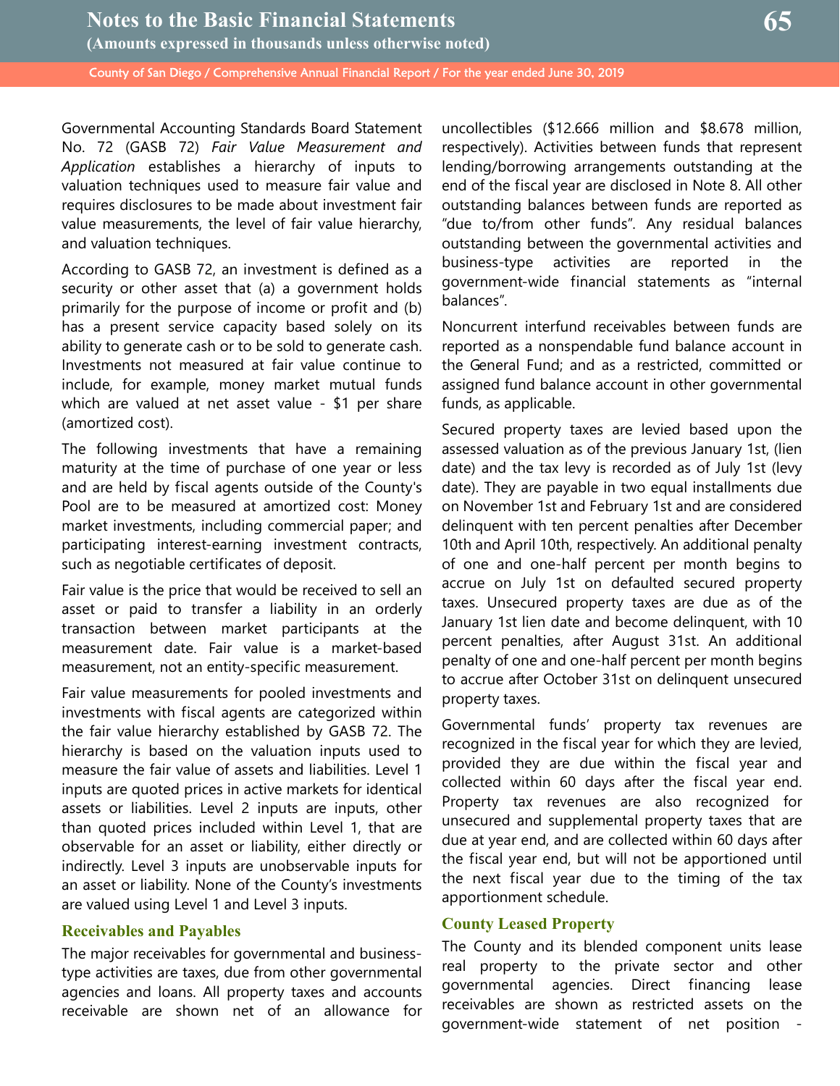Governmental Accounting Standards Board Statement No. 72 (GASB 72) *Fair Value Measurement and Application* establishes a hierarchy of inputs to valuation techniques used to measure fair value and requires disclosures to be made about investment fair value measurements, the level of fair value hierarchy, and valuation techniques.

According to GASB 72, an investment is defined as a security or other asset that (a) a government holds primarily for the purpose of income or profit and (b) has a present service capacity based solely on its ability to generate cash or to be sold to generate cash. Investments not measured at fair value continue to include, for example, money market mutual funds which are valued at net asset value - \$1 per share (amortized cost).

The following investments that have a remaining maturity at the time of purchase of one year or less and are held by fiscal agents outside of the County's Pool are to be measured at amortized cost: Money market investments, including commercial paper; and participating interest-earning investment contracts, such as negotiable certificates of deposit.

Fair value is the price that would be received to sell an asset or paid to transfer a liability in an orderly transaction between market participants at the measurement date. Fair value is a market-based measurement, not an entity-specific measurement.

Fair value measurements for pooled investments and investments with fiscal agents are categorized within the fair value hierarchy established by GASB 72. The hierarchy is based on the valuation inputs used to measure the fair value of assets and liabilities. Level 1 inputs are quoted prices in active markets for identical assets or liabilities. Level 2 inputs are inputs, other than quoted prices included within Level 1, that are observable for an asset or liability, either directly or indirectly. Level 3 inputs are unobservable inputs for an asset or liability. None of the County's investments are valued using Level 1 and Level 3 inputs.

## **Receivables and Payables**

The major receivables for governmental and businesstype activities are taxes, due from other governmental agencies and loans. All property taxes and accounts receivable are shown net of an allowance for uncollectibles (\$12.666 million and \$8.678 million, respectively). Activities between funds that represent lending/borrowing arrangements outstanding at the end of the fiscal year are disclosed in Note 8. All other outstanding balances between funds are reported as "due to/from other funds". Any residual balances outstanding between the governmental activities and business-type activities are reported in the government-wide financial statements as "internal balances".

Noncurrent interfund receivables between funds are reported as a nonspendable fund balance account in the General Fund; and as a restricted, committed or assigned fund balance account in other governmental funds, as applicable.

Secured property taxes are levied based upon the assessed valuation as of the previous January 1st, (lien date) and the tax levy is recorded as of July 1st (levy date). They are payable in two equal installments due on November 1st and February 1st and are considered delinquent with ten percent penalties after December 10th and April 10th, respectively. An additional penalty of one and one-half percent per month begins to accrue on July 1st on defaulted secured property taxes. Unsecured property taxes are due as of the January 1st lien date and become delinquent, with 10 percent penalties, after August 31st. An additional penalty of one and one-half percent per month begins to accrue after October 31st on delinquent unsecured property taxes.

Governmental funds' property tax revenues are recognized in the fiscal year for which they are levied, provided they are due within the fiscal year and collected within 60 days after the fiscal year end. Property tax revenues are also recognized for unsecured and supplemental property taxes that are due at year end, and are collected within 60 days after the fiscal year end, but will not be apportioned until the next fiscal year due to the timing of the tax apportionment schedule.

## **County Leased Property**

The County and its blended component units lease real property to the private sector and other governmental agencies. Direct financing lease receivables are shown as restricted assets on the government-wide statement of net position -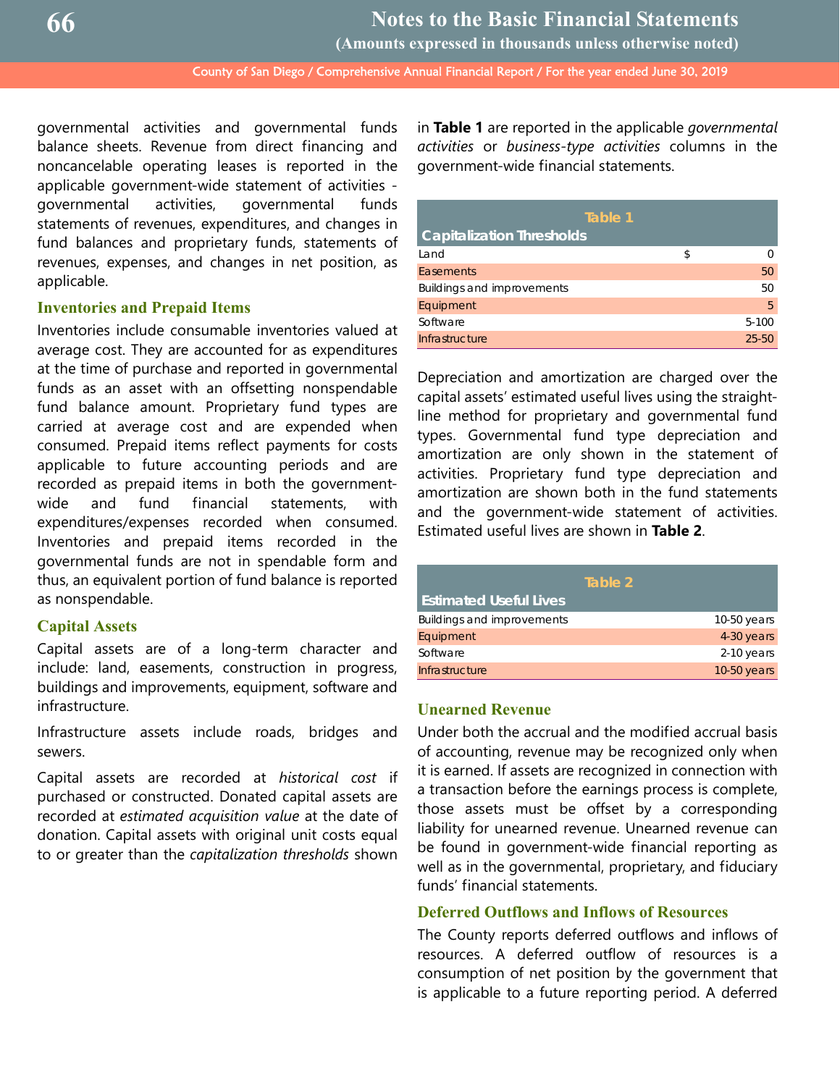governmental activities and governmental funds balance sheets. Revenue from direct financing and noncancelable operating leases is reported in the applicable government-wide statement of activities governmental activities, governmental funds statements of revenues, expenditures, and changes in fund balances and proprietary funds, statements of revenues, expenses, and changes in net position, as applicable.

## **Inventories and Prepaid Items**

Inventories include consumable inventories valued at average cost. They are accounted for as expenditures at the time of purchase and reported in governmental funds as an asset with an offsetting nonspendable fund balance amount. Proprietary fund types are carried at average cost and are expended when consumed. Prepaid items reflect payments for costs applicable to future accounting periods and are recorded as prepaid items in both the governmentwide and fund financial statements, with expenditures/expenses recorded when consumed. Inventories and prepaid items recorded in the governmental funds are not in spendable form and thus, an equivalent portion of fund balance is reported as nonspendable.

#### **Capital Assets**

Capital assets are of a long-term character and include: land, easements, construction in progress, buildings and improvements, equipment, software and infrastructure.

Infrastructure assets include roads, bridges and sewers.

Capital assets are recorded at *historical cost* if purchased or constructed. Donated capital assets are recorded at *estimated acquisition value* at the date of donation. Capital assets with original unit costs equal to or greater than the *capitalization thresholds* shown in **Table 1** are reported in the applicable *governmental activities* or *business-type activities* columns in the government-wide financial statements.

| Table 1                           |   |           |
|-----------------------------------|---|-----------|
| <b>Capitalization Thresholds</b>  |   |           |
| Land                              | S |           |
| <b>Easements</b>                  |   | 50        |
| <b>Buildings and improvements</b> |   | 50        |
| Equipment                         |   | -5        |
| Software                          |   | $5 - 100$ |
| Infrastructure                    |   | $25 - 50$ |

Depreciation and amortization are charged over the capital assets' estimated useful lives using the straightline method for proprietary and governmental fund types. Governmental fund type depreciation and amortization are only shown in the statement of activities. Proprietary fund type depreciation and amortization are shown both in the fund statements and the government-wide statement of activities. Estimated useful lives are shown in **Table 2**.

|                                   | Table 2       |
|-----------------------------------|---------------|
| <b>Estimated Useful Lives</b>     |               |
| <b>Buildings and improvements</b> | $10-50$ years |
| Equipment                         | 4-30 years    |
| Software                          | $2-10$ years  |
| Infrastructure                    | $10-50$ years |

## **Unearned Revenue**

Under both the accrual and the modified accrual basis of accounting, revenue may be recognized only when it is earned. If assets are recognized in connection with a transaction before the earnings process is complete, those assets must be offset by a corresponding liability for unearned revenue. Unearned revenue can be found in government-wide financial reporting as well as in the governmental, proprietary, and fiduciary funds' financial statements.

## **Deferred Outflows and Inflows of Resources**

The County reports deferred outflows and inflows of resources. A deferred outflow of resources is a consumption of net position by the government that is applicable to a future reporting period. A deferred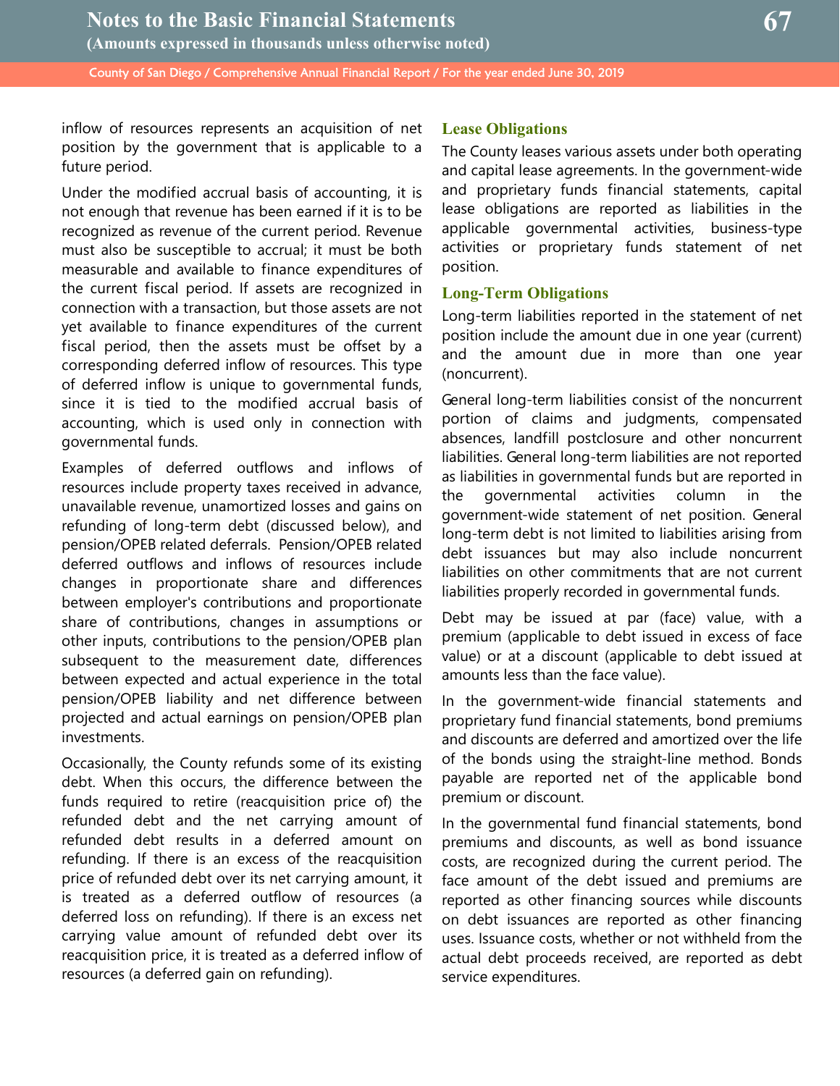inflow of resources represents an acquisition of net position by the government that is applicable to a future period.

Under the modified accrual basis of accounting, it is not enough that revenue has been earned if it is to be recognized as revenue of the current period. Revenue must also be susceptible to accrual; it must be both measurable and available to finance expenditures of the current fiscal period. If assets are recognized in connection with a transaction, but those assets are not yet available to finance expenditures of the current fiscal period, then the assets must be offset by a corresponding deferred inflow of resources. This type of deferred inflow is unique to governmental funds, since it is tied to the modified accrual basis of accounting, which is used only in connection with governmental funds.

Examples of deferred outflows and inflows of resources include property taxes received in advance, unavailable revenue, unamortized losses and gains on refunding of long-term debt (discussed below), and pension/OPEB related deferrals. Pension/OPEB related deferred outflows and inflows of resources include changes in proportionate share and differences between employer's contributions and proportionate share of contributions, changes in assumptions or other inputs, contributions to the pension/OPEB plan subsequent to the measurement date, differences between expected and actual experience in the total pension/OPEB liability and net difference between projected and actual earnings on pension/OPEB plan investments.

Occasionally, the County refunds some of its existing debt. When this occurs, the difference between the funds required to retire (reacquisition price of) the refunded debt and the net carrying amount of refunded debt results in a deferred amount on refunding. If there is an excess of the reacquisition price of refunded debt over its net carrying amount, it is treated as a deferred outflow of resources (a deferred loss on refunding). If there is an excess net carrying value amount of refunded debt over its reacquisition price, it is treated as a deferred inflow of resources (a deferred gain on refunding).

## **Lease Obligations**

The County leases various assets under both operating and capital lease agreements. In the government-wide and proprietary funds financial statements, capital lease obligations are reported as liabilities in the applicable governmental activities, business-type activities or proprietary funds statement of net position.

## **Long-Term Obligations**

Long-term liabilities reported in the statement of net position include the amount due in one year (current) and the amount due in more than one year (noncurrent).

General long-term liabilities consist of the noncurrent portion of claims and judgments, compensated absences, landfill postclosure and other noncurrent liabilities. General long-term liabilities are not reported as liabilities in governmental funds but are reported in the governmental activities column in the government-wide statement of net position. General long-term debt is not limited to liabilities arising from debt issuances but may also include noncurrent liabilities on other commitments that are not current liabilities properly recorded in governmental funds.

Debt may be issued at par (face) value, with a premium (applicable to debt issued in excess of face value) or at a discount (applicable to debt issued at amounts less than the face value).

In the government-wide financial statements and proprietary fund financial statements, bond premiums and discounts are deferred and amortized over the life of the bonds using the straight-line method. Bonds payable are reported net of the applicable bond premium or discount.

In the governmental fund financial statements, bond premiums and discounts, as well as bond issuance costs, are recognized during the current period. The face amount of the debt issued and premiums are reported as other financing sources while discounts on debt issuances are reported as other financing uses. Issuance costs, whether or not withheld from the actual debt proceeds received, are reported as debt service expenditures.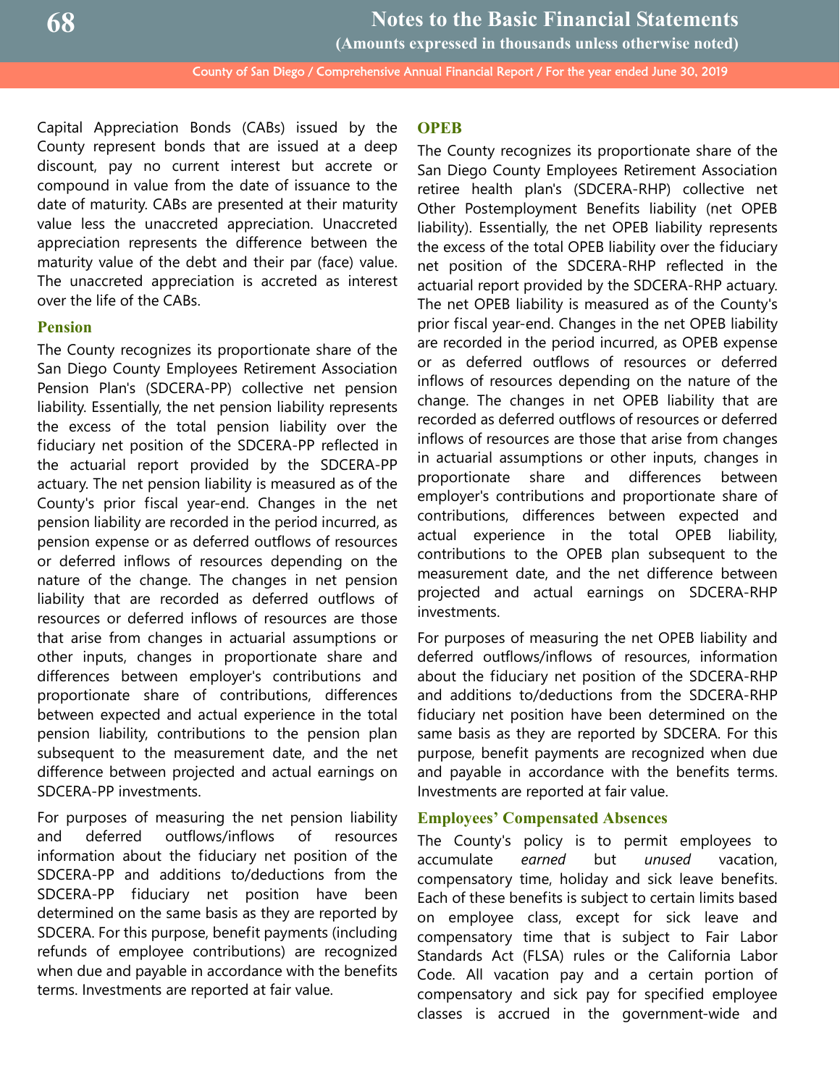**Notes to the Basic Financial Statements**

**(Amounts expressed in thousands unless otherwise noted)**

County of San Diego / Comprehensive Annual Financial Report / For the year ended June 30, 2019

Capital Appreciation Bonds (CABs) issued by the County represent bonds that are issued at a deep discount, pay no current interest but accrete or compound in value from the date of issuance to the date of maturity. CABs are presented at their maturity value less the unaccreted appreciation. Unaccreted appreciation represents the difference between the maturity value of the debt and their par (face) value. The unaccreted appreciation is accreted as interest over the life of the CABs.

#### **Pension**

The County recognizes its proportionate share of the San Diego County Employees Retirement Association Pension Plan's (SDCERA-PP) collective net pension liability. Essentially, the net pension liability represents the excess of the total pension liability over the fiduciary net position of the SDCERA-PP reflected in the actuarial report provided by the SDCERA-PP actuary. The net pension liability is measured as of the County's prior fiscal year-end. Changes in the net pension liability are recorded in the period incurred, as pension expense or as deferred outflows of resources or deferred inflows of resources depending on the nature of the change. The changes in net pension liability that are recorded as deferred outflows of resources or deferred inflows of resources are those that arise from changes in actuarial assumptions or other inputs, changes in proportionate share and differences between employer's contributions and proportionate share of contributions, differences between expected and actual experience in the total pension liability, contributions to the pension plan subsequent to the measurement date, and the net difference between projected and actual earnings on SDCERA-PP investments.

For purposes of measuring the net pension liability and deferred outflows/inflows of resources information about the fiduciary net position of the SDCERA-PP and additions to/deductions from the SDCERA-PP fiduciary net position have been determined on the same basis as they are reported by SDCERA. For this purpose, benefit payments (including refunds of employee contributions) are recognized when due and payable in accordance with the benefits terms. Investments are reported at fair value.

#### **OPEB**

The County recognizes its proportionate share of the San Diego County Employees Retirement Association retiree health plan's (SDCERA-RHP) collective net Other Postemployment Benefits liability (net OPEB liability). Essentially, the net OPEB liability represents the excess of the total OPEB liability over the fiduciary net position of the SDCERA-RHP reflected in the actuarial report provided by the SDCERA-RHP actuary. The net OPEB liability is measured as of the County's prior fiscal year-end. Changes in the net OPEB liability are recorded in the period incurred, as OPEB expense or as deferred outflows of resources or deferred inflows of resources depending on the nature of the change. The changes in net OPEB liability that are recorded as deferred outflows of resources or deferred inflows of resources are those that arise from changes in actuarial assumptions or other inputs, changes in proportionate share and differences between employer's contributions and proportionate share of contributions, differences between expected and actual experience in the total OPEB liability, contributions to the OPEB plan subsequent to the measurement date, and the net difference between projected and actual earnings on SDCERA-RHP investments.

For purposes of measuring the net OPEB liability and deferred outflows/inflows of resources, information about the fiduciary net position of the SDCERA-RHP and additions to/deductions from the SDCERA-RHP fiduciary net position have been determined on the same basis as they are reported by SDCERA. For this purpose, benefit payments are recognized when due and payable in accordance with the benefits terms. Investments are reported at fair value.

#### **Employees' Compensated Absences**

The County's policy is to permit employees to accumulate *earned* but *unused* vacation, compensatory time, holiday and sick leave benefits. Each of these benefits is subject to certain limits based on employee class, except for sick leave and compensatory time that is subject to Fair Labor Standards Act (FLSA) rules or the California Labor Code. All vacation pay and a certain portion of compensatory and sick pay for specified employee classes is accrued in the government-wide and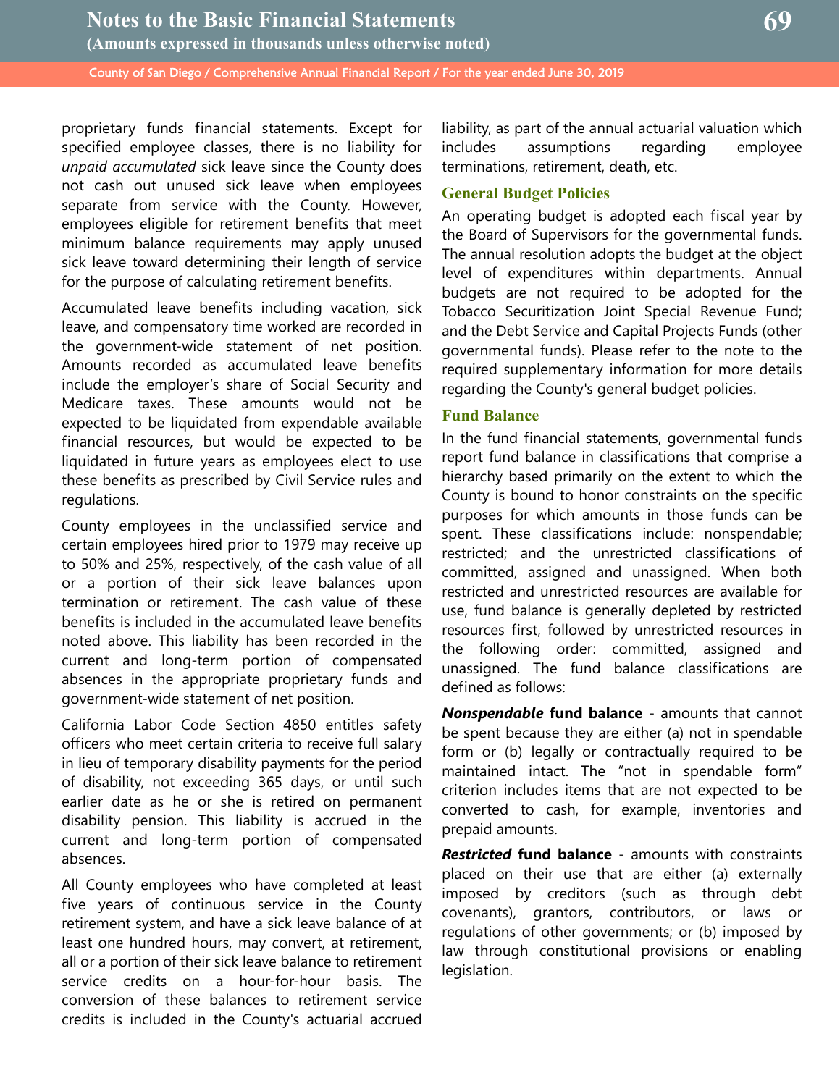proprietary funds financial statements. Except for specified employee classes, there is no liability for *unpaid accumulated* sick leave since the County does not cash out unused sick leave when employees separate from service with the County. However, employees eligible for retirement benefits that meet minimum balance requirements may apply unused sick leave toward determining their length of service for the purpose of calculating retirement benefits.

Accumulated leave benefits including vacation, sick leave, and compensatory time worked are recorded in the government-wide statement of net position. Amounts recorded as accumulated leave benefits include the employer's share of Social Security and Medicare taxes. These amounts would not be expected to be liquidated from expendable available financial resources, but would be expected to be liquidated in future years as employees elect to use these benefits as prescribed by Civil Service rules and regulations.

County employees in the unclassified service and certain employees hired prior to 1979 may receive up to 50% and 25%, respectively, of the cash value of all or a portion of their sick leave balances upon termination or retirement. The cash value of these benefits is included in the accumulated leave benefits noted above. This liability has been recorded in the current and long-term portion of compensated absences in the appropriate proprietary funds and government-wide statement of net position.

California Labor Code Section 4850 entitles safety officers who meet certain criteria to receive full salary in lieu of temporary disability payments for the period of disability, not exceeding 365 days, or until such earlier date as he or she is retired on permanent disability pension. This liability is accrued in the current and long-term portion of compensated absences.

All County employees who have completed at least five years of continuous service in the County retirement system, and have a sick leave balance of at least one hundred hours, may convert, at retirement, all or a portion of their sick leave balance to retirement service credits on a hour-for-hour basis. The conversion of these balances to retirement service credits is included in the County's actuarial accrued

liability, as part of the annual actuarial valuation which includes assumptions regarding employee terminations, retirement, death, etc.

#### **General Budget Policies**

An operating budget is adopted each fiscal year by the Board of Supervisors for the governmental funds. The annual resolution adopts the budget at the object level of expenditures within departments. Annual budgets are not required to be adopted for the Tobacco Securitization Joint Special Revenue Fund; and the Debt Service and Capital Projects Funds (other governmental funds). Please refer to the note to the required supplementary information for more details regarding the County's general budget policies.

#### **Fund Balance**

In the fund financial statements, governmental funds report fund balance in classifications that comprise a hierarchy based primarily on the extent to which the County is bound to honor constraints on the specific purposes for which amounts in those funds can be spent. These classifications include: nonspendable; restricted; and the unrestricted classifications of committed, assigned and unassigned. When both restricted and unrestricted resources are available for use, fund balance is generally depleted by restricted resources first, followed by unrestricted resources in the following order: committed, assigned and unassigned. The fund balance classifications are defined as follows:

*Nonspendable* **fund balance** - amounts that cannot be spent because they are either (a) not in spendable form or (b) legally or contractually required to be maintained intact. The "not in spendable form" criterion includes items that are not expected to be converted to cash, for example, inventories and prepaid amounts.

*Restricted* **fund balance** - amounts with constraints placed on their use that are either (a) externally imposed by creditors (such as through debt covenants), grantors, contributors, or laws or regulations of other governments; or (b) imposed by law through constitutional provisions or enabling legislation.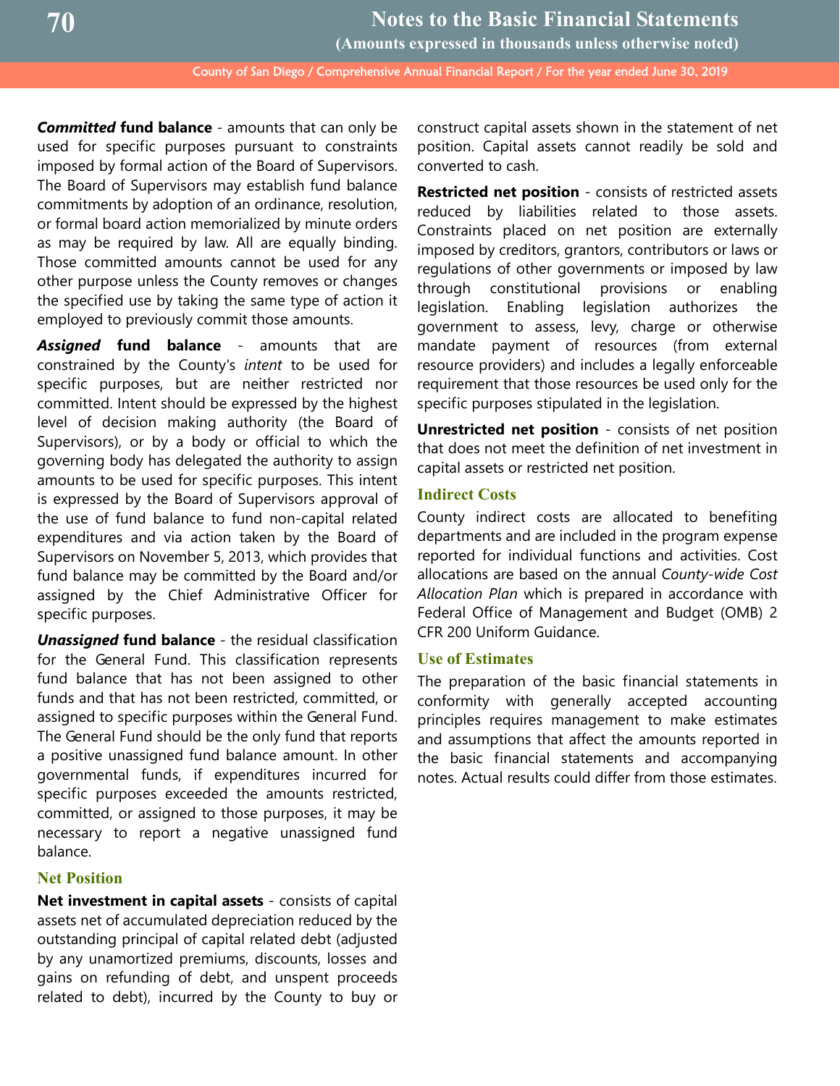*Committed* **fund balance** - amounts that can only be used for specific purposes pursuant to constraints imposed by formal action of the Board of Supervisors. The Board of Supervisors may establish fund balance commitments by adoption of an ordinance, resolution, or formal board action memorialized by minute orders as may be required by law. All are equally binding. Those committed amounts cannot be used for any other purpose unless the County removes or changes the specified use by taking the same type of action it employed to previously commit those amounts.

*Assigned* **fund balance** - amounts that are constrained by the County's *intent* to be used for specific purposes, but are neither restricted nor committed. Intent should be expressed by the highest level of decision making authority (the Board of Supervisors), or by a body or official to which the governing body has delegated the authority to assign amounts to be used for specific purposes. This intent is expressed by the Board of Supervisors approval of the use of fund balance to fund non-capital related expenditures and via action taken by the Board of Supervisors on November 5, 2013, which provides that fund balance may be committed by the Board and/or assigned by the Chief Administrative Officer for specific purposes.

*Unassigned* **fund balance** - the residual classification for the General Fund. This classification represents fund balance that has not been assigned to other funds and that has not been restricted, committed, or assigned to specific purposes within the General Fund. The General Fund should be the only fund that reports a positive unassigned fund balance amount. In other governmental funds, if expenditures incurred for specific purposes exceeded the amounts restricted, committed, or assigned to those purposes, it may be necessary to report a negative unassigned fund balance.

#### **Net Position**

**Net investment in capital assets** - consists of capital assets net of accumulated depreciation reduced by the outstanding principal of capital related debt (adjusted by any unamortized premiums, discounts, losses and gains on refunding of debt, and unspent proceeds related to debt), incurred by the County to buy or construct capital assets shown in the statement of net position. Capital assets cannot readily be sold and converted to cash.

**Restricted net position** - consists of restricted assets reduced by liabilities related to those assets. Constraints placed on net position are externally imposed by creditors, grantors, contributors or laws or regulations of other governments or imposed by law through constitutional provisions or enabling legislation. Enabling legislation authorizes the government to assess, levy, charge or otherwise mandate payment of resources (from external resource providers) and includes a legally enforceable requirement that those resources be used only for the specific purposes stipulated in the legislation.

**Unrestricted net position** - consists of net position that does not meet the definition of net investment in capital assets or restricted net position.

#### **Indirect Costs**

County indirect costs are allocated to benefiting departments and are included in the program expense reported for individual functions and activities. Cost allocations are based on the annual *County-wide Cost Allocation Plan* which is prepared in accordance with Federal Office of Management and Budget (OMB) 2 CFR 200 Uniform Guidance.

#### **Use of Estimates**

The preparation of the basic financial statements in conformity with generally accepted accounting principles requires management to make estimates and assumptions that affect the amounts reported in the basic financial statements and accompanying notes. Actual results could differ from those estimates.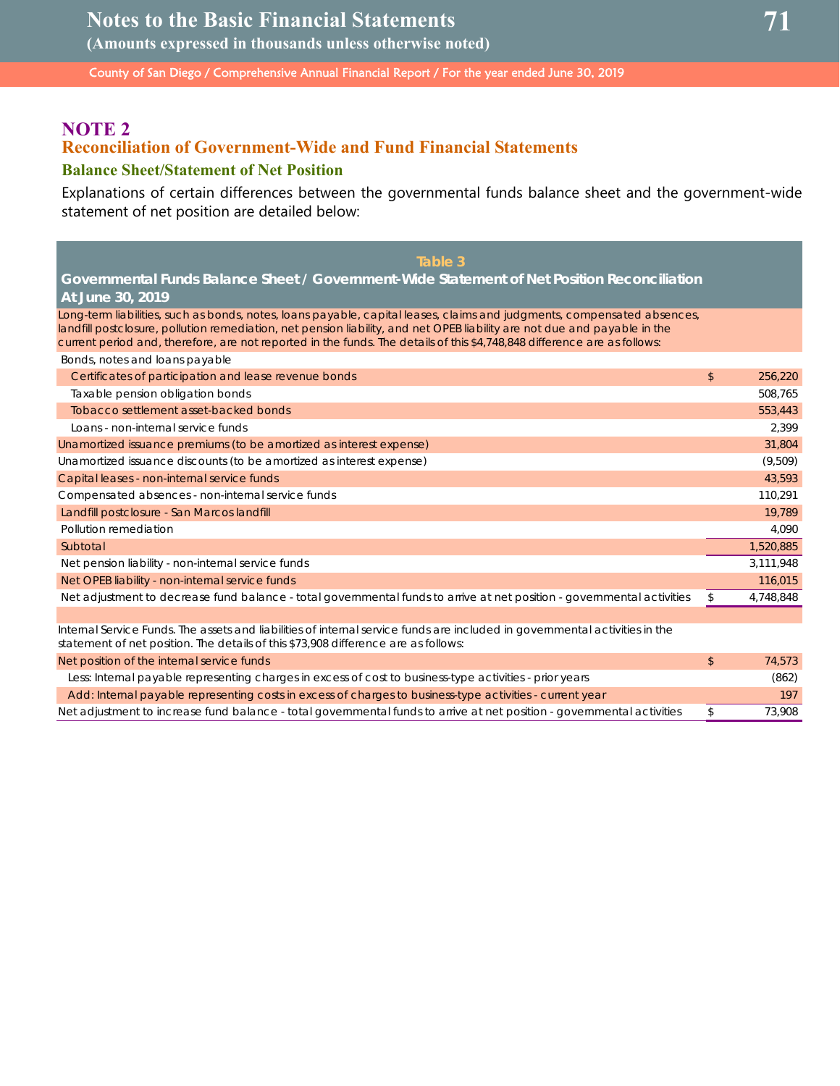**(Amounts expressed in thousands unless otherwise noted)**

County of San Diego / Comprehensive Annual Financial Report / For the year ended June 30, 2019

## **NOTE 2**

## **Reconciliation of Government-Wide and Fund Financial Statements**

## **Balance Sheet/Statement of Net Position**

Explanations of certain differences between the governmental funds balance sheet and the government-wide statement of net position are detailed below:

| Table 3                                                                                                                                                                                                                                                                                                                                                                                                            |    |           |  |  |  |  |  |
|--------------------------------------------------------------------------------------------------------------------------------------------------------------------------------------------------------------------------------------------------------------------------------------------------------------------------------------------------------------------------------------------------------------------|----|-----------|--|--|--|--|--|
| Governmental Funds Balance Sheet / Government-Wide Statement of Net Position Reconciliation                                                                                                                                                                                                                                                                                                                        |    |           |  |  |  |  |  |
| At June 30, 2019                                                                                                                                                                                                                                                                                                                                                                                                   |    |           |  |  |  |  |  |
| Long-term liabilities, such as bonds, notes, loans payable, capital leases, claims and judgments, compensated absences,<br>landfill postclosure, pollution remediation, net pension liability, and net OPEB liability are not due and payable in the<br>current period and, therefore, are not reported in the funds. The details of this \$4,748,848 difference are as follows:<br>Bonds, notes and loans payable |    |           |  |  |  |  |  |
| Certificates of participation and lease revenue bonds                                                                                                                                                                                                                                                                                                                                                              | \$ | 256,220   |  |  |  |  |  |
| Taxable pension obligation bonds                                                                                                                                                                                                                                                                                                                                                                                   |    | 508,765   |  |  |  |  |  |
| Tobacco settlement asset-backed bonds                                                                                                                                                                                                                                                                                                                                                                              |    | 553,443   |  |  |  |  |  |
| Loans - non-internal service funds                                                                                                                                                                                                                                                                                                                                                                                 |    | 2,399     |  |  |  |  |  |
| Unamortized issuance premiums (to be amortized as interest expense)                                                                                                                                                                                                                                                                                                                                                |    | 31,804    |  |  |  |  |  |
| Unamortized issuance discounts (to be amortized as interest expense)                                                                                                                                                                                                                                                                                                                                               |    | (9,509)   |  |  |  |  |  |
| Capital leases - non-internal service funds                                                                                                                                                                                                                                                                                                                                                                        |    | 43,593    |  |  |  |  |  |
| Compensated absences - non-internal service funds                                                                                                                                                                                                                                                                                                                                                                  |    | 110,291   |  |  |  |  |  |
| Landfill postclosure - San Marcos landfill                                                                                                                                                                                                                                                                                                                                                                         |    | 19,789    |  |  |  |  |  |
| Pollution remediation                                                                                                                                                                                                                                                                                                                                                                                              |    | 4,090     |  |  |  |  |  |
| Subtotal                                                                                                                                                                                                                                                                                                                                                                                                           |    | 1,520,885 |  |  |  |  |  |
| Net pension liability - non-internal service funds                                                                                                                                                                                                                                                                                                                                                                 |    | 3,111,948 |  |  |  |  |  |
| Net OPEB liability - non-internal service funds                                                                                                                                                                                                                                                                                                                                                                    |    | 116,015   |  |  |  |  |  |
| Net adjustment to decrease fund balance - total governmental funds to arrive at net position - governmental activities                                                                                                                                                                                                                                                                                             | \$ | 4,748,848 |  |  |  |  |  |
|                                                                                                                                                                                                                                                                                                                                                                                                                    |    |           |  |  |  |  |  |
| Internal Service Funds. The assets and liabilities of internal service funds are included in governmental activities in the<br>statement of net position. The details of this \$73,908 difference are as follows:                                                                                                                                                                                                  |    |           |  |  |  |  |  |
| Net position of the internal service funds                                                                                                                                                                                                                                                                                                                                                                         | \$ | 74,573    |  |  |  |  |  |
| Less: Internal payable representing charges in excess of cost to business-type activities - prior years                                                                                                                                                                                                                                                                                                            |    | (862)     |  |  |  |  |  |
| Add: Internal payable representing costs in excess of charges to business-type activities - current year                                                                                                                                                                                                                                                                                                           |    | 197       |  |  |  |  |  |

Net adjustment to increase fund balance - total governmental funds to arrive at net position - governmental activities \$ 73,908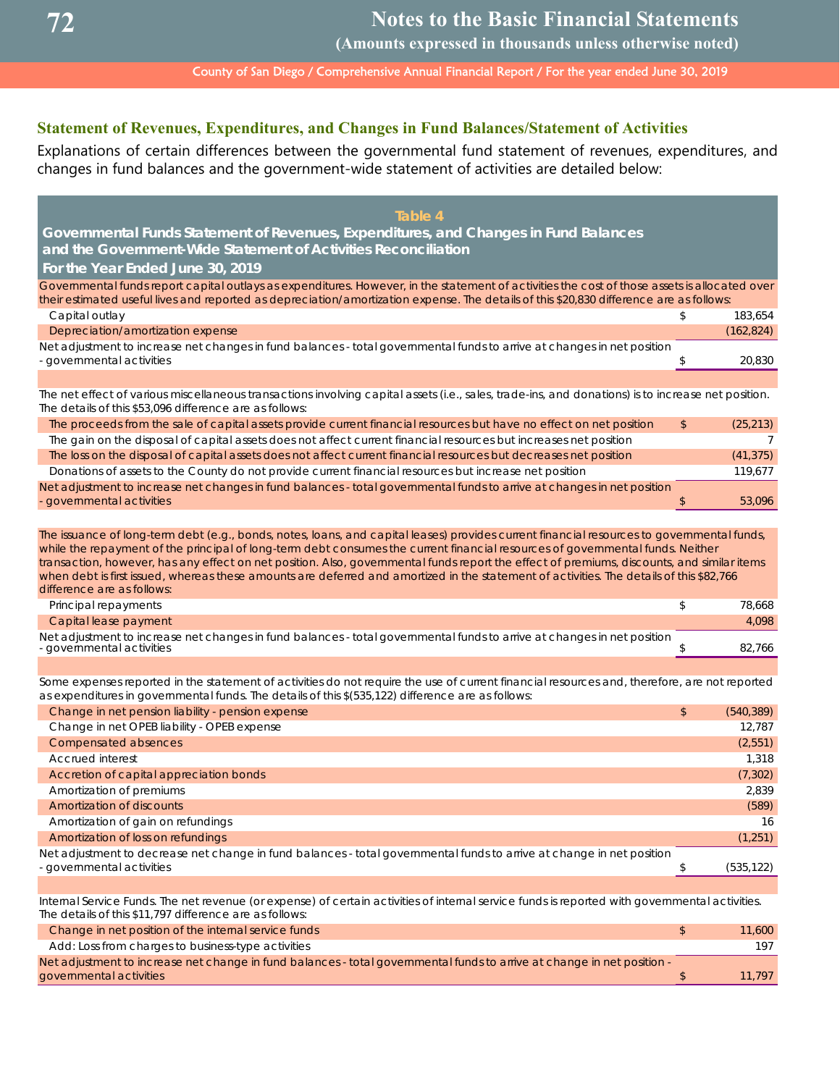**(Amounts expressed in thousands unless otherwise noted)**

County of San Diego / Comprehensive Annual Financial Report / For the year ended June 30, 2019

## **Statement of Revenues, Expenditures, and Changes in Fund Balances/Statement of Activities**

Explanations of certain differences between the governmental fund statement of revenues, expenditures, and changes in fund balances and the government-wide statement of activities are detailed below:

| Table 4                                                                                                                                                                                                                                                                                                                                                                                                                                                |               |            |
|--------------------------------------------------------------------------------------------------------------------------------------------------------------------------------------------------------------------------------------------------------------------------------------------------------------------------------------------------------------------------------------------------------------------------------------------------------|---------------|------------|
| Governmental Funds Statement of Revenues, Expenditures, and Changes in Fund Balances                                                                                                                                                                                                                                                                                                                                                                   |               |            |
| and the Government-Wide Statement of Activities Reconciliation                                                                                                                                                                                                                                                                                                                                                                                         |               |            |
| For the Year Ended June 30, 2019                                                                                                                                                                                                                                                                                                                                                                                                                       |               |            |
| Governmental funds report capital outlays as expenditures. However, in the statement of activities the cost of those assets is allocated over<br>their estimated useful lives and reported as depreciation/amortization expense. The details of this \$20,830 difference are as follows:                                                                                                                                                               |               |            |
| Capital outlay                                                                                                                                                                                                                                                                                                                                                                                                                                         | \$.           | 183,654    |
| Depreciation/amortization expense                                                                                                                                                                                                                                                                                                                                                                                                                      |               | (162, 824) |
| Net adjustment to increase net changes in fund balances - total governmental funds to arrive at changes in net position<br>- governmental activities                                                                                                                                                                                                                                                                                                   | \$            | 20.830     |
|                                                                                                                                                                                                                                                                                                                                                                                                                                                        |               |            |
| The net effect of various miscellaneous transactions involving capital assets (i.e., sales, trade-ins, and donations) is to increase net position.<br>The details of this \$53,096 difference are as follows:                                                                                                                                                                                                                                          |               |            |
| The proceeds from the sale of capital assets provide current financial resources but have no effect on net position                                                                                                                                                                                                                                                                                                                                    | \$            | (25, 213)  |
| The gain on the disposal of capital assets does not affect current financial resources but increases net position                                                                                                                                                                                                                                                                                                                                      |               | 7          |
| The loss on the disposal of capital assets does not affect current financial resources but decreases net position                                                                                                                                                                                                                                                                                                                                      |               | (41, 375)  |
| Donations of assets to the County do not provide current financial resources but increase net position                                                                                                                                                                                                                                                                                                                                                 |               | 119,677    |
| Net adjustment to increase net changes in fund balances - total governmental funds to arrive at changes in net position<br>- governmental activities                                                                                                                                                                                                                                                                                                   | $\mathsf{\$}$ | 53.096     |
| while the repayment of the principal of long-term debt consumes the current financial resources of governmental funds. Neither<br>transaction, however, has any effect on net position. Also, governmental funds report the effect of premiums, discounts, and similar items<br>when debt is first issued, whereas these amounts are deferred and amortized in the statement of activities. The details of this \$82,766<br>difference are as follows: |               |            |
| Principal repayments                                                                                                                                                                                                                                                                                                                                                                                                                                   | \$            | 78.668     |
| Capital lease payment                                                                                                                                                                                                                                                                                                                                                                                                                                  |               | 4,098      |
| Net adjustment to increase net changes in fund balances - total governmental funds to arrive at changes in net position<br>governmental activities                                                                                                                                                                                                                                                                                                     | \$            | 82.766     |
|                                                                                                                                                                                                                                                                                                                                                                                                                                                        |               |            |
| Some expenses reported in the statement of activities do not require the use of current financial resources and, therefore, are not reported<br>as expenditures in governmental funds. The details of this \$(535,122) difference are as follows:                                                                                                                                                                                                      |               |            |
| Change in net pension liability - pension expense                                                                                                                                                                                                                                                                                                                                                                                                      | \$            | (540, 389) |
| Change in net OPEB liability - OPEB expense                                                                                                                                                                                                                                                                                                                                                                                                            |               | 12.787     |
| Compensated absences                                                                                                                                                                                                                                                                                                                                                                                                                                   |               | (2,551)    |
| <b>Accrued interest</b>                                                                                                                                                                                                                                                                                                                                                                                                                                |               | 1,318      |
| Accretion of capital appreciation bonds                                                                                                                                                                                                                                                                                                                                                                                                                |               | (7, 302)   |
| Amortization of premiums                                                                                                                                                                                                                                                                                                                                                                                                                               |               | 2.839      |
| Amortization of discounts                                                                                                                                                                                                                                                                                                                                                                                                                              |               | (589)      |
| Amortization of gain on refundings                                                                                                                                                                                                                                                                                                                                                                                                                     |               | 16         |
| Amortization of loss on refundings                                                                                                                                                                                                                                                                                                                                                                                                                     |               | (1,251)    |
| Net adjustment to decrease net change in fund balances - total governmental funds to arrive at change in net position<br>- governmental activities                                                                                                                                                                                                                                                                                                     | \$            | (535, 122) |
|                                                                                                                                                                                                                                                                                                                                                                                                                                                        |               |            |

Internal Service Funds. The net revenue (or expense) of certain activities of internal service funds is reported with governmental activities. The details of this \$11,797 difference are as follows:

| Change in net position of the internal service funds                                                                    | 11,600 |
|-------------------------------------------------------------------------------------------------------------------------|--------|
| Add: Loss from charges to business-type activities                                                                      |        |
| Net adjustment to increase net change in fund balances - total governmental funds to arrive at change in net position - |        |
| governmental activities                                                                                                 | 11.797 |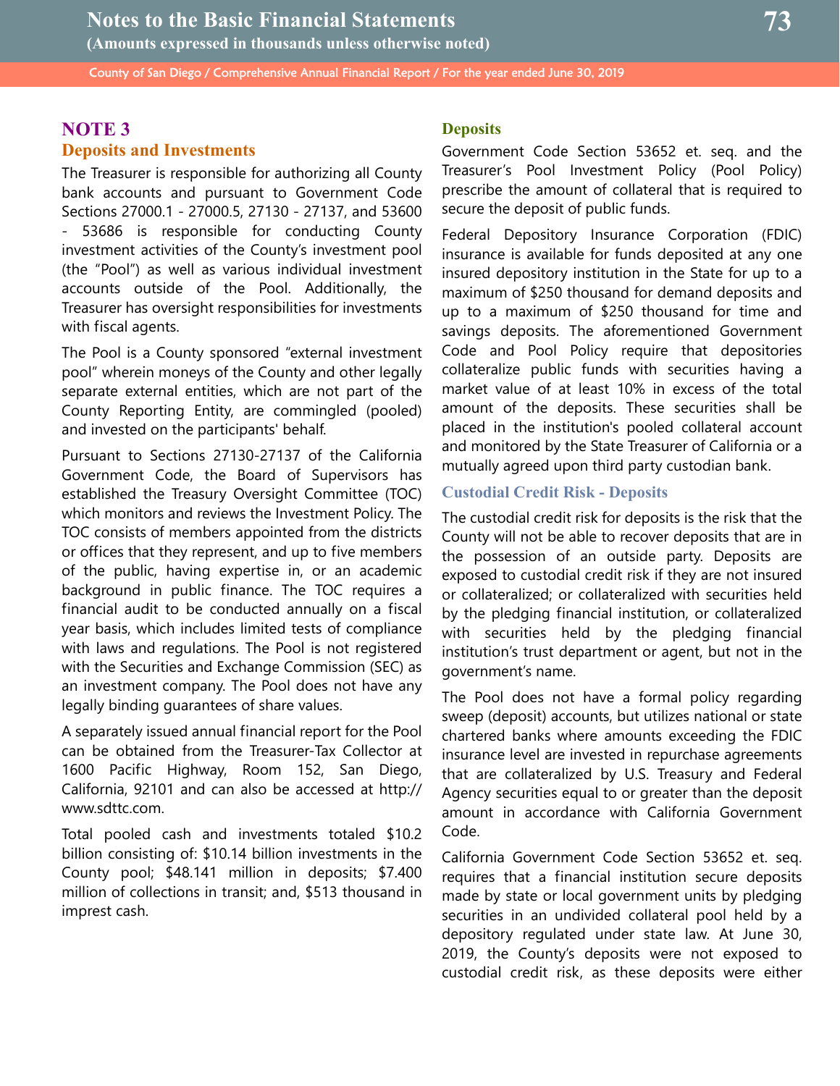## **NOTE 3 Deposits and Investments**

The Treasurer is responsible for authorizing all County bank accounts and pursuant to Government Code Sections 27000.1 - 27000.5, 27130 - 27137, and 53600 53686 is responsible for conducting County investment activities of the County's investment pool (the "Pool") as well as various individual investment accounts outside of the Pool. Additionally, the Treasurer has oversight responsibilities for investments with fiscal agents.

The Pool is a County sponsored "external investment pool" wherein moneys of the County and other legally separate external entities, which are not part of the County Reporting Entity, are commingled (pooled) and invested on the participants' behalf.

Pursuant to Sections 27130-27137 of the California Government Code, the Board of Supervisors has established the Treasury Oversight Committee (TOC) which monitors and reviews the Investment Policy. The TOC consists of members appointed from the districts or offices that they represent, and up to five members of the public, having expertise in, or an academic background in public finance. The TOC requires a financial audit to be conducted annually on a fiscal year basis, which includes limited tests of compliance with laws and regulations. The Pool is not registered with the Securities and Exchange Commission (SEC) as an investment company. The Pool does not have any legally binding guarantees of share values.

A separately issued annual financial report for the Pool can be obtained from the Treasurer-Tax Collector at 1600 Pacific Highway, Room 152, San Diego, California, 92101 and can also be accessed at http:// www.sdttc.com.

Total pooled cash and investments totaled \$10.2 billion consisting of: \$10.14 billion investments in the County pool; \$48.141 million in deposits; \$7.400 million of collections in transit; and, \$513 thousand in imprest cash.

#### **Deposits**

Government Code Section 53652 et. seq. and the Treasurer's Pool Investment Policy (Pool Policy) prescribe the amount of collateral that is required to secure the deposit of public funds.

Federal Depository Insurance Corporation (FDIC) insurance is available for funds deposited at any one insured depository institution in the State for up to a maximum of \$250 thousand for demand deposits and up to a maximum of \$250 thousand for time and savings deposits. The aforementioned Government Code and Pool Policy require that depositories collateralize public funds with securities having a market value of at least 10% in excess of the total amount of the deposits. These securities shall be placed in the institution's pooled collateral account and monitored by the State Treasurer of California or a mutually agreed upon third party custodian bank.

## **Custodial Credit Risk - Deposits**

The custodial credit risk for deposits is the risk that the County will not be able to recover deposits that are in the possession of an outside party. Deposits are exposed to custodial credit risk if they are not insured or collateralized; or collateralized with securities held by the pledging financial institution, or collateralized with securities held by the pledging financial institution's trust department or agent, but not in the government's name.

The Pool does not have a formal policy regarding sweep (deposit) accounts, but utilizes national or state chartered banks where amounts exceeding the FDIC insurance level are invested in repurchase agreements that are collateralized by U.S. Treasury and Federal Agency securities equal to or greater than the deposit amount in accordance with California Government Code.

California Government Code Section 53652 et. seq. requires that a financial institution secure deposits made by state or local government units by pledging securities in an undivided collateral pool held by a depository regulated under state law. At June 30, 2019, the County's deposits were not exposed to custodial credit risk, as these deposits were either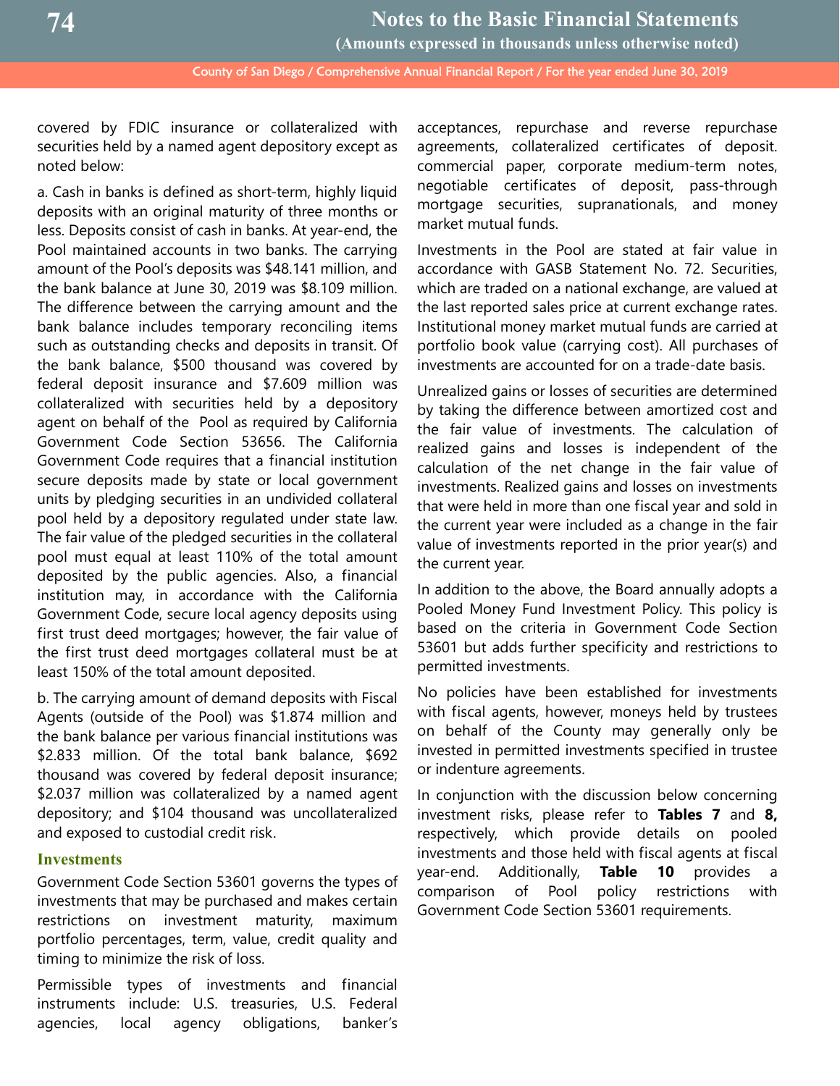covered by FDIC insurance or collateralized with securities held by a named agent depository except as noted below:

a. Cash in banks is defined as short-term, highly liquid deposits with an original maturity of three months or less. Deposits consist of cash in banks. At year-end, the Pool maintained accounts in two banks. The carrying amount of the Pool's deposits was \$48.141 million, and the bank balance at June 30, 2019 was \$8.109 million. The difference between the carrying amount and the bank balance includes temporary reconciling items such as outstanding checks and deposits in transit. Of the bank balance, \$500 thousand was covered by federal deposit insurance and \$7.609 million was collateralized with securities held by a depository agent on behalf of the Pool as required by California Government Code Section 53656. The California Government Code requires that a financial institution secure deposits made by state or local government units by pledging securities in an undivided collateral pool held by a depository regulated under state law. The fair value of the pledged securities in the collateral pool must equal at least 110% of the total amount deposited by the public agencies. Also, a financial institution may, in accordance with the California Government Code, secure local agency deposits using first trust deed mortgages; however, the fair value of the first trust deed mortgages collateral must be at least 150% of the total amount deposited.

b. The carrying amount of demand deposits with Fiscal Agents (outside of the Pool) was \$1.874 million and the bank balance per various financial institutions was \$2.833 million. Of the total bank balance, \$692 thousand was covered by federal deposit insurance; \$2.037 million was collateralized by a named agent depository; and \$104 thousand was uncollateralized and exposed to custodial credit risk.

#### **Investments**

Government Code Section 53601 governs the types of investments that may be purchased and makes certain restrictions on investment maturity, maximum portfolio percentages, term, value, credit quality and timing to minimize the risk of loss.

Permissible types of investments and financial instruments include: U.S. treasuries, U.S. Federal agencies, local agency obligations, banker's acceptances, repurchase and reverse repurchase agreements, collateralized certificates of deposit. commercial paper, corporate medium-term notes, negotiable certificates of deposit, pass-through mortgage securities, supranationals, and money market mutual funds.

Investments in the Pool are stated at fair value in accordance with GASB Statement No. 72. Securities, which are traded on a national exchange, are valued at the last reported sales price at current exchange rates. Institutional money market mutual funds are carried at portfolio book value (carrying cost). All purchases of investments are accounted for on a trade-date basis.

Unrealized gains or losses of securities are determined by taking the difference between amortized cost and the fair value of investments. The calculation of realized gains and losses is independent of the calculation of the net change in the fair value of investments. Realized gains and losses on investments that were held in more than one fiscal year and sold in the current year were included as a change in the fair value of investments reported in the prior year(s) and the current year.

In addition to the above, the Board annually adopts a Pooled Money Fund Investment Policy. This policy is based on the criteria in Government Code Section 53601 but adds further specificity and restrictions to permitted investments.

No policies have been established for investments with fiscal agents, however, moneys held by trustees on behalf of the County may generally only be invested in permitted investments specified in trustee or indenture agreements.

In conjunction with the discussion below concerning investment risks, please refer to **Tables 7** and **8,** respectively, which provide details on pooled investments and those held with fiscal agents at fiscal year-end. Additionally, **Table 10** provides a comparison of Pool policy restrictions with Government Code Section 53601 requirements.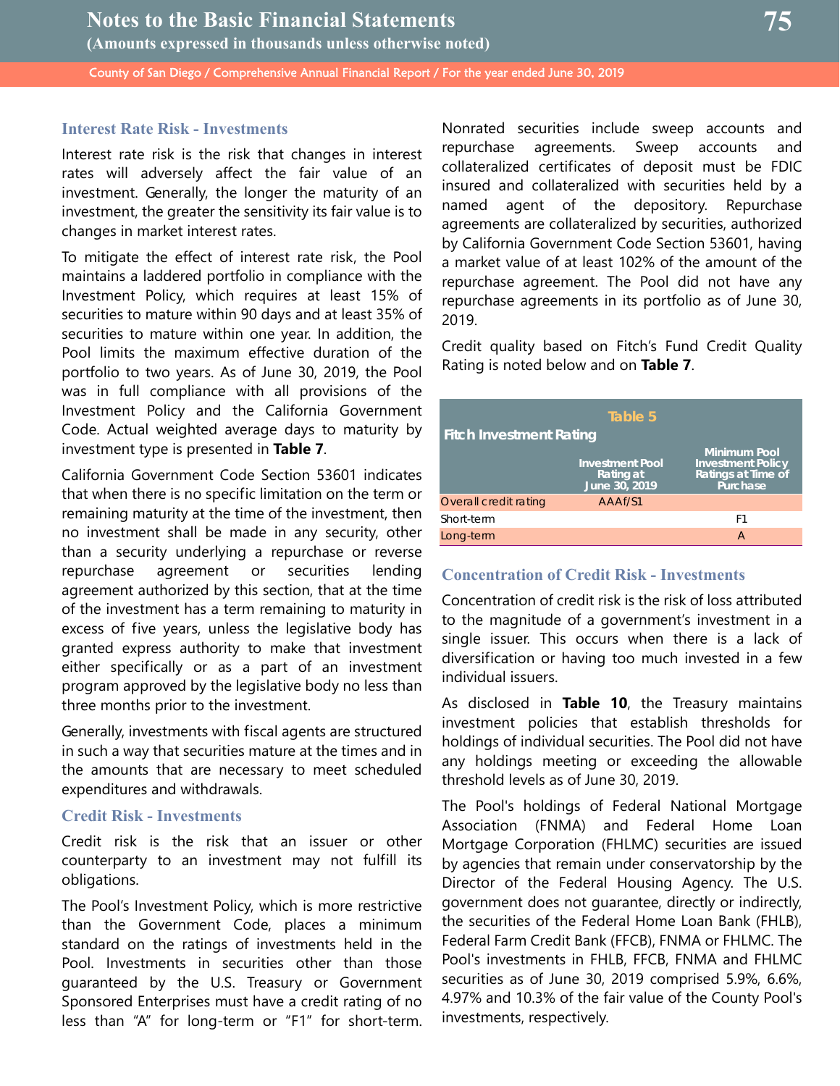## **Interest Rate Risk - Investments**

Interest rate risk is the risk that changes in interest rates will adversely affect the fair value of an investment. Generally, the longer the maturity of an investment, the greater the sensitivity its fair value is to changes in market interest rates.

To mitigate the effect of interest rate risk, the Pool maintains a laddered portfolio in compliance with the Investment Policy, which requires at least 15% of securities to mature within 90 days and at least 35% of securities to mature within one year. In addition, the Pool limits the maximum effective duration of the portfolio to two years. As of June 30, 2019, the Pool was in full compliance with all provisions of the Investment Policy and the California Government Code. Actual weighted average days to maturity by investment type is presented in **Table 7**.

California Government Code Section 53601 indicates that when there is no specific limitation on the term or remaining maturity at the time of the investment, then no investment shall be made in any security, other than a security underlying a repurchase or reverse repurchase agreement or securities lending agreement authorized by this section, that at the time of the investment has a term remaining to maturity in excess of five years, unless the legislative body has granted express authority to make that investment either specifically or as a part of an investment program approved by the legislative body no less than three months prior to the investment.

Generally, investments with fiscal agents are structured in such a way that securities mature at the times and in the amounts that are necessary to meet scheduled expenditures and withdrawals.

#### **Credit Risk - Investments**

Credit risk is the risk that an issuer or other counterparty to an investment may not fulfill its obligations.

The Pool's Investment Policy, which is more restrictive than the Government Code, places a minimum standard on the ratings of investments held in the Pool. Investments in securities other than those guaranteed by the U.S. Treasury or Government Sponsored Enterprises must have a credit rating of no less than "A" for long-term or "F1" for short-term. Nonrated securities include sweep accounts and repurchase agreements. Sweep accounts and collateralized certificates of deposit must be FDIC insured and collateralized with securities held by a named agent of the depository. Repurchase agreements are collateralized by securities, authorized by California Government Code Section 53601, having a market value of at least 102% of the amount of the repurchase agreement. The Pool did not have any repurchase agreements in its portfolio as of June 30, 2019.

Credit quality based on Fitch's Fund Credit Quality Rating is noted below and on **Table 7**.

| <b>Fitch Investment Rating</b> | Table 5                                              |                                                                                   |
|--------------------------------|------------------------------------------------------|-----------------------------------------------------------------------------------|
|                                | <b>Investment Pool</b><br>Rating at<br>June 30, 2019 | <b>Minimum Pool</b><br><b>Investment Policy</b><br>Ratings at Time of<br>Purchase |
| Overall credit rating          | AAAf/S1                                              |                                                                                   |
| Short-term                     |                                                      | F1                                                                                |
| Long-term                      |                                                      | А                                                                                 |

## **Concentration of Credit Risk - Investments**

Concentration of credit risk is the risk of loss attributed to the magnitude of a government's investment in a single issuer. This occurs when there is a lack of diversification or having too much invested in a few individual issuers.

As disclosed in **Table 10**, the Treasury maintains investment policies that establish thresholds for holdings of individual securities. The Pool did not have any holdings meeting or exceeding the allowable threshold levels as of June 30, 2019.

The Pool's holdings of Federal National Mortgage Association (FNMA) and Federal Home Loan Mortgage Corporation (FHLMC) securities are issued by agencies that remain under conservatorship by the Director of the Federal Housing Agency. The U.S. government does not guarantee, directly or indirectly, the securities of the Federal Home Loan Bank (FHLB), Federal Farm Credit Bank (FFCB), FNMA or FHLMC. The Pool's investments in FHLB, FFCB, FNMA and FHLMC securities as of June 30, 2019 comprised 5.9%, 6.6%, 4.97% and 10.3% of the fair value of the County Pool's investments, respectively.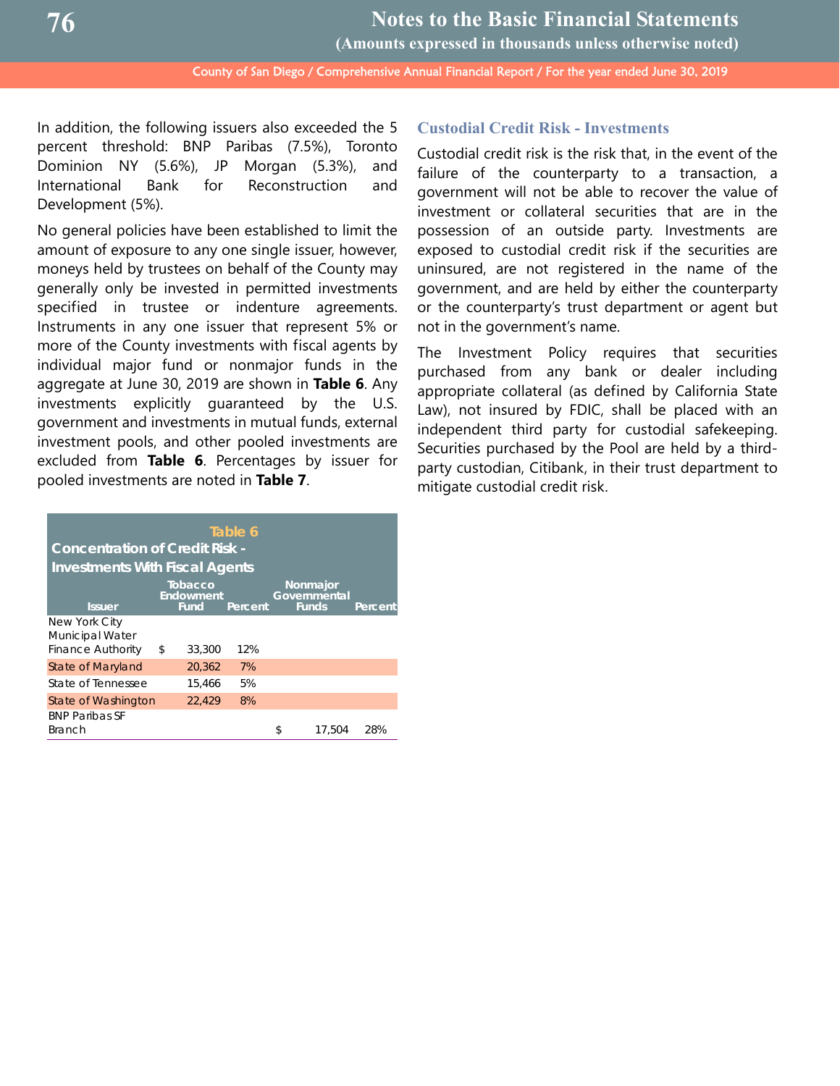**Notes to the Basic Financial Statements (Amounts expressed in thousands unless otherwise noted)**

County of San Diego / Comprehensive Annual Financial Report / For the year ended June 30, 2019

In addition, the following issuers also exceeded the 5 percent threshold: BNP Paribas (7.5%), Toronto Dominion NY (5.6%), JP Morgan (5.3%), and International Bank for Reconstruction and Development (5%).

No general policies have been established to limit the amount of exposure to any one single issuer, however, moneys held by trustees on behalf of the County may generally only be invested in permitted investments specified in trustee or indenture agreements. Instruments in any one issuer that represent 5% or more of the County investments with fiscal agents by individual major fund or nonmajor funds in the aggregate at June 30, 2019 are shown in **Table 6**. Any investments explicitly guaranteed by the U.S. government and investments in mutual funds, external investment pools, and other pooled investments are excluded from **Table 6**. Percentages by issuer for pooled investments are noted in **Table 7**.

| Table 6<br><b>Concentration of Credit Risk -</b>                                                                                                         |    |        |     |    |        |     |  |  |  |  |
|----------------------------------------------------------------------------------------------------------------------------------------------------------|----|--------|-----|----|--------|-----|--|--|--|--|
| <b>Investments With Fiscal Agents</b><br>Tobacco<br>Nonmajor<br>Endowment<br>Governmental<br><b>Funds</b><br>Fund<br><b>Issuer</b><br>Percent<br>Percent |    |        |     |    |        |     |  |  |  |  |
| New York City<br>Municipal Water<br><b>Finance Authority</b>                                                                                             | \$ | 33,300 | 12% |    |        |     |  |  |  |  |
| State of Maryland                                                                                                                                        |    | 20,362 | 7%  |    |        |     |  |  |  |  |
| State of Tennessee                                                                                                                                       |    | 15,466 | 5%  |    |        |     |  |  |  |  |
| 8%<br>22,429<br>State of Washington                                                                                                                      |    |        |     |    |        |     |  |  |  |  |
| <b>BNP Paribas SF</b><br><b>Branch</b>                                                                                                                   |    |        |     | \$ | 17.504 | 28% |  |  |  |  |

## **Custodial Credit Risk - Investments**

Custodial credit risk is the risk that, in the event of the failure of the counterparty to a transaction, a government will not be able to recover the value of investment or collateral securities that are in the possession of an outside party. Investments are exposed to custodial credit risk if the securities are uninsured, are not registered in the name of the government, and are held by either the counterparty or the counterparty's trust department or agent but not in the government's name.

The Investment Policy requires that securities purchased from any bank or dealer including appropriate collateral (as defined by California State Law), not insured by FDIC, shall be placed with an independent third party for custodial safekeeping. Securities purchased by the Pool are held by a thirdparty custodian, Citibank, in their trust department to mitigate custodial credit risk.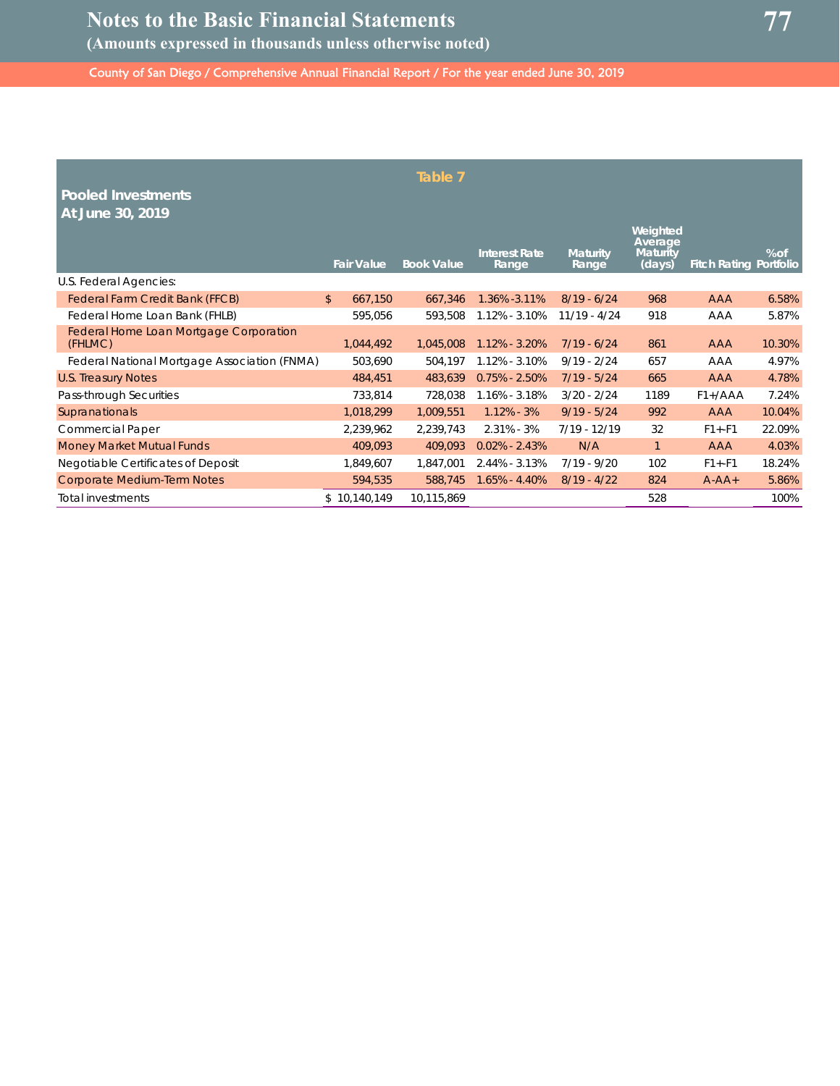| <b>Pooled Investments</b><br>At June 30, 2019            |                           | Table 7           |                               |                          |                                                  |                               |        |
|----------------------------------------------------------|---------------------------|-------------------|-------------------------------|--------------------------|--------------------------------------------------|-------------------------------|--------|
|                                                          | <b>Fair Value</b>         | <b>Book Value</b> | <b>Interest Rate</b><br>Range | <b>Maturity</b><br>Range | Weighted<br>Average<br><b>Maturity</b><br>(days) | <b>Fitch Rating Portfolio</b> | $%$ of |
| U.S. Federal Agencies:                                   |                           |                   |                               |                          |                                                  |                               |        |
| Federal Farm Credit Bank (FFCB)                          | $\mathfrak{D}$<br>667,150 | 667,346           | 1.36% -3.11%                  | $8/19 - 6/24$            | 968                                              | <b>AAA</b>                    | 6.58%  |
| Federal Home Loan Bank (FHLB)                            | 595,056                   | 593,508           | 1.12% - 3.10%                 | $11/19 - 4/24$           | 918                                              | AAA                           | 5.87%  |
| <b>Federal Home Loan Mortgage Corporation</b><br>(FHLMC) | 1,044,492                 | 1,045,008         | 1.12% - 3.20%                 | $7/19 - 6/24$            | 861                                              | <b>AAA</b>                    | 10.30% |
| Federal National Mortgage Association (FNMA)             | 503,690                   | 504,197           | $1.12\% - 3.10\%$             | $9/19 - 2/24$            | 657                                              | AAA                           | 4.97%  |
| <b>U.S. Treasury Notes</b>                               | 484,451                   | 483,639           | $0.75\% - 2.50\%$             | $7/19 - 5/24$            | 665                                              | <b>AAA</b>                    | 4.78%  |
| Pass-through Securities                                  | 733,814                   | 728,038           | 1.16% - 3.18%                 | $3/20 - 2/24$            | 1189                                             | $F1+ /AAA$                    | 7.24%  |
| Supranationals                                           | 1,018,299                 | 1,009,551         | $1.12\% - 3\%$                | $9/19 - 5/24$            | 992                                              | <b>AAA</b>                    | 10.04% |
| <b>Commercial Paper</b>                                  | 2,239,962                 | 2,239,743         | $2.31\% - 3\%$                | $7/19 - 12/19$           | 32                                               | $F1 + -F1$                    | 22.09% |
| <b>Money Market Mutual Funds</b>                         | 409,093                   | 409,093           | $0.02\% - 2.43\%$             | N/A                      | $\mathbf{1}$                                     | <b>AAA</b>                    | 4.03%  |
| Negotiable Certificates of Deposit                       | 1,849,607                 | 1,847,001         | 2.44% - 3.13%                 | $7/19 - 9/20$            | 102                                              | $F1 + -F1$                    | 18.24% |
| Corporate Medium-Term Notes                              | 594,535                   | 588,745           | $1.65\% - 4.40\%$             | $8/19 - 4/22$            | 824                                              | $A - AA +$                    | 5.86%  |
| <b>Total investments</b>                                 | \$10,140,149              | 10,115,869        |                               |                          | 528                                              |                               | 100%   |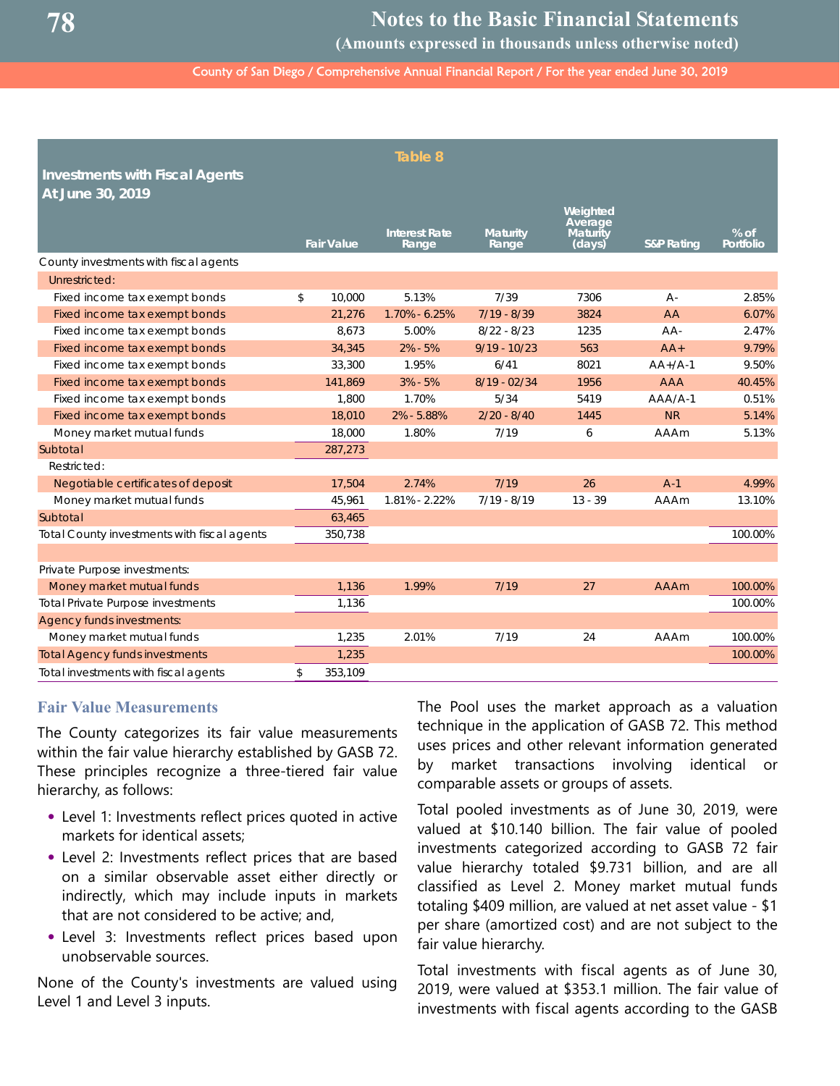**(Amounts expressed in thousands unless otherwise noted)**

County of San Diego / Comprehensive Annual Financial Report / For the year ended June 30, 2019

| Table 8<br><b>Investments with Fiscal Agents</b><br>At June 30, 2019 |    |                   |                               |                          |                                                  |                       |                     |  |  |
|----------------------------------------------------------------------|----|-------------------|-------------------------------|--------------------------|--------------------------------------------------|-----------------------|---------------------|--|--|
|                                                                      |    | <b>Fair Value</b> | <b>Interest Rate</b><br>Range | <b>Maturity</b><br>Range | Weighted<br>Average<br><b>Maturity</b><br>(days) | <b>S&amp;P Rating</b> | $%$ of<br>Portfolio |  |  |
| County investments with fiscal agents                                |    |                   |                               |                          |                                                  |                       |                     |  |  |
| Unrestricted:                                                        |    |                   |                               |                          |                                                  |                       |                     |  |  |
| Fixed income tax exempt bonds                                        | \$ | 10,000            | 5.13%                         | 7/39                     | 7306                                             | $A -$                 | 2.85%               |  |  |
| Fixed income tax exempt bonds                                        |    | 21,276            | 1.70% - 6.25%                 | $7/19 - 8/39$            | 3824                                             | AA                    | 6.07%               |  |  |
| Fixed income tax exempt bonds                                        |    | 8,673             | 5.00%                         | $8/22 - 8/23$            | 1235                                             | AA-                   | 2.47%               |  |  |
| Fixed income tax exempt bonds                                        |    | 34,345            | $2\% - 5\%$                   | $9/19 - 10/23$           | 563                                              | $AA+$                 | 9.79%               |  |  |
| Fixed income tax exempt bonds                                        |    | 33,300            | 1.95%                         | 6/41                     | 8021                                             | $AA+/A-1$             | 9.50%               |  |  |
| Fixed income tax exempt bonds                                        |    | 141,869           | $3% - 5%$                     | $8/19 - 02/34$           | 1956                                             | <b>AAA</b>            | 40.45%              |  |  |
| Fixed income tax exempt bonds                                        |    | 1,800             | 1.70%                         | 5/34                     | 5419                                             | $AAA-1$               | 0.51%               |  |  |
| Fixed income tax exempt bonds                                        |    | 18,010            | 2% - 5.88%                    | $2/20 - 8/40$            | 1445                                             | <b>NR</b>             | 5.14%               |  |  |
| Money market mutual funds                                            |    | 18,000            | 1.80%                         | 7/19                     | 6                                                | <b>AAAm</b>           | 5.13%               |  |  |
| Subtotal                                                             |    | 287,273           |                               |                          |                                                  |                       |                     |  |  |
| Restricted:                                                          |    |                   |                               |                          |                                                  |                       |                     |  |  |
| Negotiable certificates of deposit                                   |    | 17,504            | 2.74%                         | 7/19                     | 26                                               | $A-1$                 | 4.99%               |  |  |
| Money market mutual funds                                            |    | 45,961            | 1.81% - 2.22%                 | $7/19 - 8/19$            | $13 - 39$                                        | <b>AAAm</b>           | 13.10%              |  |  |
| Subtotal                                                             |    | 63,465            |                               |                          |                                                  |                       |                     |  |  |
| Total County investments with fiscal agents                          |    | 350,738           |                               |                          |                                                  |                       | 100.00%             |  |  |
|                                                                      |    |                   |                               |                          |                                                  |                       |                     |  |  |
| Private Purpose investments:                                         |    |                   |                               |                          |                                                  |                       |                     |  |  |
| Money market mutual funds                                            |    | 1,136             | 1.99%                         | 7/19                     | 27                                               | <b>AAAm</b>           | 100.00%             |  |  |
| <b>Total Private Purpose investments</b>                             |    | 1,136             |                               |                          |                                                  |                       | 100.00%             |  |  |
| Agency funds investments:                                            |    |                   |                               |                          |                                                  |                       |                     |  |  |
| Money market mutual funds                                            |    | 1,235             | 2.01%                         | 7/19                     | 24                                               | <b>AAAm</b>           | 100.00%             |  |  |
| <b>Total Agency funds investments</b>                                |    | 1,235             |                               |                          |                                                  |                       | 100.00%             |  |  |
| Total investments with fiscal agents                                 | \$ | 353,109           |                               |                          |                                                  |                       |                     |  |  |

#### **Fair Value Measurements**

The County categorizes its fair value measurements within the fair value hierarchy established by GASB 72. These principles recognize a three-tiered fair value hierarchy, as follows:

- **•** Level 1: Investments reflect prices quoted in active markets for identical assets;
- **•** Level 2: Investments reflect prices that are based on a similar observable asset either directly or indirectly, which may include inputs in markets that are not considered to be active; and,
- **•** Level 3: Investments reflect prices based upon unobservable sources.

None of the County's investments are valued using Level 1 and Level 3 inputs.

The Pool uses the market approach as a valuation technique in the application of GASB 72. This method uses prices and other relevant information generated by market transactions involving identical or comparable assets or groups of assets.

Total pooled investments as of June 30, 2019, were valued at \$10.140 billion. The fair value of pooled investments categorized according to GASB 72 fair value hierarchy totaled \$9.731 billion, and are all classified as Level 2. Money market mutual funds totaling \$409 million, are valued at net asset value - \$1 per share (amortized cost) and are not subject to the fair value hierarchy.

Total investments with fiscal agents as of June 30, 2019, were valued at \$353.1 million. The fair value of investments with fiscal agents according to the GASB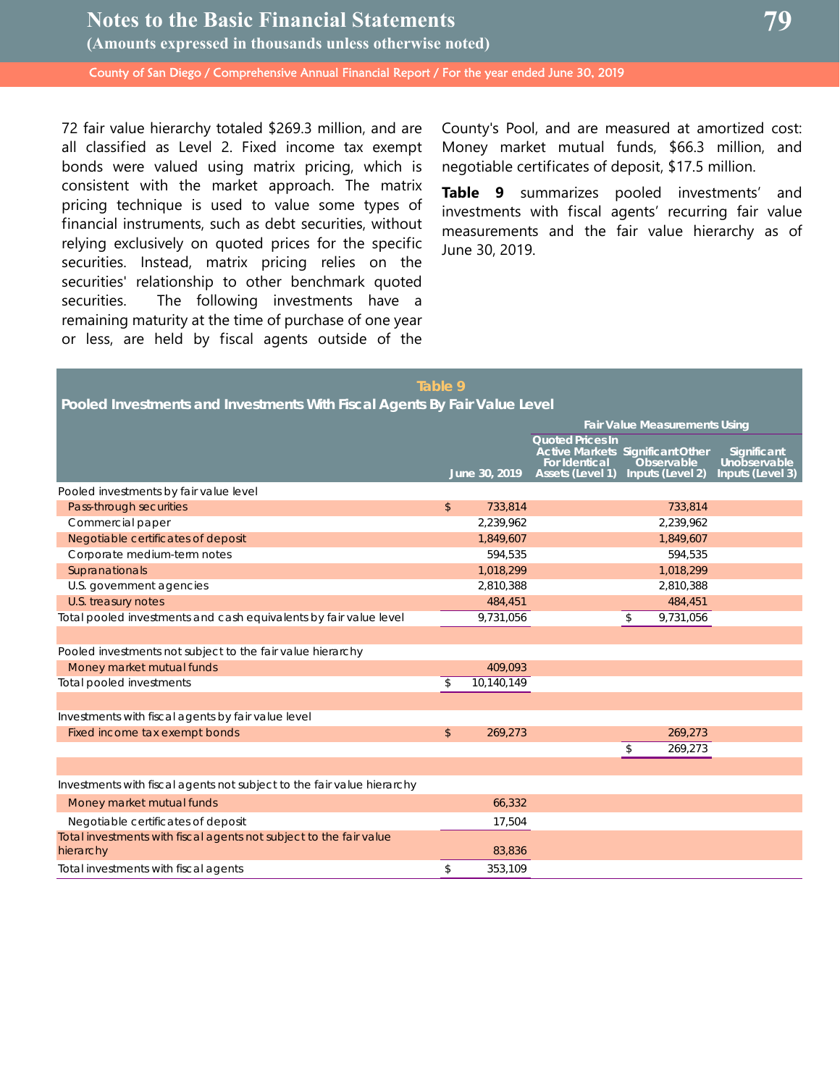72 fair value hierarchy totaled \$269.3 million, and are all classified as Level 2. Fixed income tax exempt bonds were valued using matrix pricing, which is consistent with the market approach. The matrix pricing technique is used to value some types of financial instruments, such as debt securities, without relying exclusively on quoted prices for the specific securities. Instead, matrix pricing relies on the securities' relationship to other benchmark quoted securities. The following investments have a remaining maturity at the time of purchase of one year or less, are held by fiscal agents outside of the

County's Pool, and are measured at amortized cost: Money market mutual funds, \$66.3 million, and negotiable certificates of deposit, \$17.5 million.

**Table 9** summarizes pooled investments' and investments with fiscal agents' recurring fair value measurements and the fair value hierarchy as of June 30, 2019.

## **Table 9 Pooled Investments and Investments With Fiscal Agents By Fair Value Level**

|                                                                                 |               |               | <b>Fair Value Measurements Using</b>                                                                                  |    |                                |                                                 |
|---------------------------------------------------------------------------------|---------------|---------------|-----------------------------------------------------------------------------------------------------------------------|----|--------------------------------|-------------------------------------------------|
|                                                                                 |               | June 30, 2019 | <b>Quoted Prices In</b><br><b>Active Markets Significant Other</b><br><b>For Identical</b><br><b>Assets (Level 1)</b> |    | Observable<br>Inputs (Level 2) | Significant<br>Unobservable<br>Inputs (Level 3) |
| Pooled investments by fair value level                                          |               |               |                                                                                                                       |    |                                |                                                 |
| Pass-through securities                                                         | $\mathsf{\$}$ | 733,814       |                                                                                                                       |    | 733,814                        |                                                 |
| Commercial paper                                                                |               | 2,239,962     |                                                                                                                       |    | 2,239,962                      |                                                 |
| Negotiable certificates of deposit                                              |               | 1,849,607     |                                                                                                                       |    | 1,849,607                      |                                                 |
| Corporate medium-term notes                                                     |               | 594,535       |                                                                                                                       |    | 594,535                        |                                                 |
| Supranationals                                                                  |               | 1,018,299     |                                                                                                                       |    | 1,018,299                      |                                                 |
| U.S. government agencies                                                        |               | 2,810,388     |                                                                                                                       |    | 2,810,388                      |                                                 |
| U.S. treasury notes                                                             |               | 484,451       |                                                                                                                       |    | 484,451                        |                                                 |
| Total pooled investments and cash equivalents by fair value level               |               | 9,731,056     |                                                                                                                       | \$ | 9,731,056                      |                                                 |
|                                                                                 |               |               |                                                                                                                       |    |                                |                                                 |
| Pooled investments not subject to the fair value hierarchy                      |               |               |                                                                                                                       |    |                                |                                                 |
| Money market mutual funds                                                       |               | 409,093       |                                                                                                                       |    |                                |                                                 |
| Total pooled investments                                                        | \$            | 10,140,149    |                                                                                                                       |    |                                |                                                 |
|                                                                                 |               |               |                                                                                                                       |    |                                |                                                 |
| Investments with fiscal agents by fair value level                              |               |               |                                                                                                                       |    |                                |                                                 |
| Fixed income tax exempt bonds                                                   | $\mathsf{\$}$ | 269.273       |                                                                                                                       |    | 269,273                        |                                                 |
|                                                                                 |               |               |                                                                                                                       | \$ | 269,273                        |                                                 |
|                                                                                 |               |               |                                                                                                                       |    |                                |                                                 |
| Investments with fiscal agents not subject to the fair value hierarchy          |               |               |                                                                                                                       |    |                                |                                                 |
| Money market mutual funds                                                       |               | 66,332        |                                                                                                                       |    |                                |                                                 |
| Negotiable certificates of deposit                                              |               | 17,504        |                                                                                                                       |    |                                |                                                 |
| Total investments with fiscal agents not subject to the fair value<br>hierarchy |               | 83,836        |                                                                                                                       |    |                                |                                                 |
| Total investments with fiscal agents                                            | \$            | 353,109       |                                                                                                                       |    |                                |                                                 |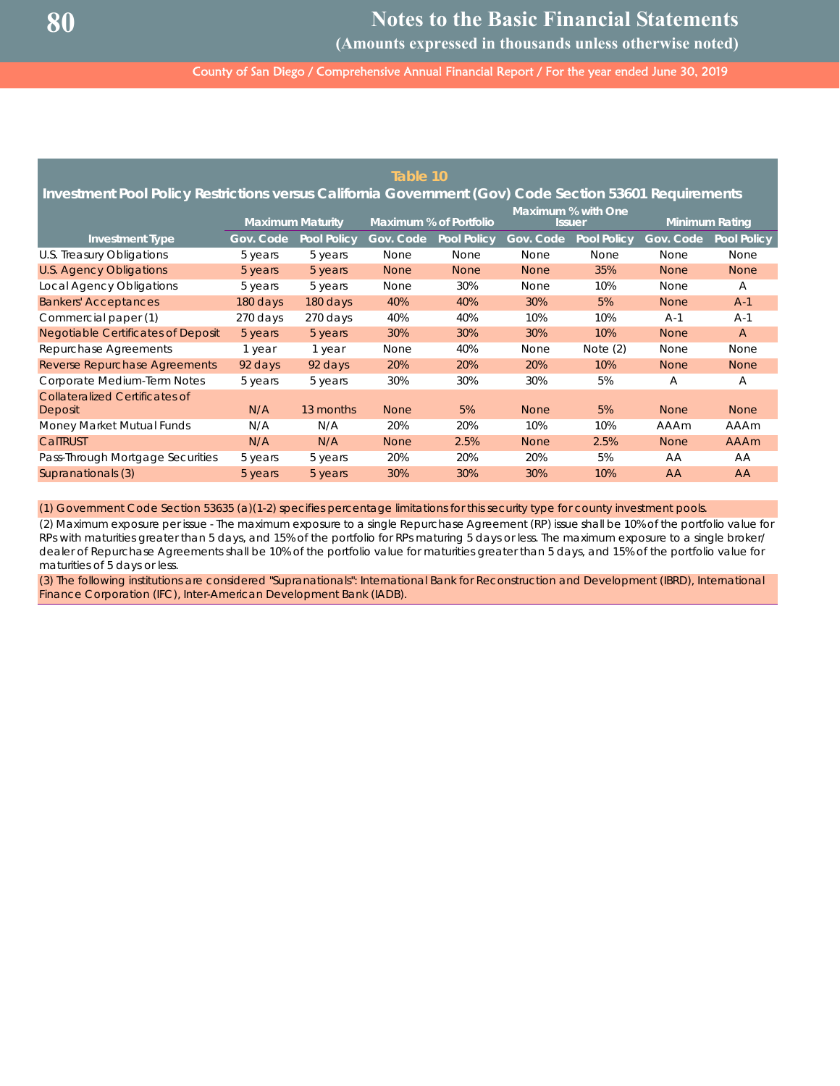**Notes to the Basic Financial Statements**

**(Amounts expressed in thousands unless otherwise noted)**

County of San Diego / Comprehensive Annual Financial Report / For the year ended June 30, 2019

|                                                                                                        |           |                         | Table 10    |                        |                                     |                    |                       |                    |
|--------------------------------------------------------------------------------------------------------|-----------|-------------------------|-------------|------------------------|-------------------------------------|--------------------|-----------------------|--------------------|
| Investment Pool Policy Restrictions versus California Government (Gov) Code Section 53601 Requirements |           |                         |             |                        |                                     |                    |                       |                    |
|                                                                                                        |           | <b>Maximum Maturity</b> |             | Maximum % of Portfolio | Maximum % with One<br><b>Issuer</b> |                    | <b>Minimum Rating</b> |                    |
| <b>Investment Type</b>                                                                                 | Gov. Code | <b>Pool Policy</b>      | Gov. Code   | <b>Pool Policy</b>     | Gov. Code                           | <b>Pool Policy</b> | Gov. Code             | <b>Pool Policy</b> |
| U.S. Treasury Obligations                                                                              | 5 years   | 5 years                 | None        | <b>None</b>            | <b>None</b>                         | <b>None</b>        | <b>None</b>           | <b>None</b>        |
| <b>U.S. Agency Obligations</b>                                                                         | 5 years   | 5 years                 | <b>None</b> | <b>None</b>            | <b>None</b>                         | 35%                | <b>None</b>           | <b>None</b>        |
| Local Agency Obligations                                                                               | 5 years   | 5 years                 | <b>None</b> | 30%                    | None                                | 10%                | <b>None</b>           | A                  |
| <b>Bankers' Acceptances</b>                                                                            | 180 days  | 180 days                | 40%         | 40%                    | 30%                                 | 5%                 | <b>None</b>           | $A-1$              |
| Commercial paper (1)                                                                                   | 270 days  | 270 days                | 40%         | 40%                    | 10%                                 | 10%                | $A-1$                 | $A-1$              |
| Negotiable Certificates of Deposit                                                                     | 5 years   | 5 years                 | 30%         | 30%                    | 30%                                 | 10%                | <b>None</b>           | $\overline{A}$     |
| Repurchase Agreements                                                                                  | 1 year    | 1 year                  | <b>None</b> | 40%                    | <b>None</b>                         | Note $(2)$         | <b>None</b>           | <b>None</b>        |
| <b>Reverse Repurchase Agreements</b>                                                                   | 92 days   | 92 days                 | 20%         | 20%                    | <b>20%</b>                          | 10%                | <b>None</b>           | <b>None</b>        |
| Corporate Medium-Term Notes                                                                            | 5 years   | 5 years                 | 30%         | 30%                    | 30%                                 | 5%                 | Α                     | Α                  |
| Collateralized Certificates of                                                                         |           |                         |             |                        |                                     |                    |                       |                    |
| Deposit                                                                                                | N/A       | 13 months               | <b>None</b> | 5%                     | <b>None</b>                         | 5%                 | <b>None</b>           | <b>None</b>        |
| Money Market Mutual Funds                                                                              | N/A       | N/A                     | 20%         | 20%                    | 10%                                 | 10%                | AAAm                  | AAAm               |
| CalTRUST                                                                                               | N/A       | N/A                     | <b>None</b> | 2.5%                   | <b>None</b>                         | 2.5%               | <b>None</b>           | <b>AAAm</b>        |
| Pass-Through Mortgage Securities                                                                       | 5 years   | 5 years                 | 20%         | 20%                    | 20%                                 | 5%                 | AA                    | AA                 |
| Supranationals (3)                                                                                     | 5 years   | 5 years                 | 30%         | 30%                    | 30%                                 | 10%                | AA                    | AA                 |

(1) Government Code Section 53635 (a)(1-2) specifies percentage limitations for this security type for county investment pools.

(2) Maximum exposure per issue - The maximum exposure to a single Repurchase Agreement (RP) issue shall be 10% of the portfolio value for RPs with maturities greater than 5 days, and 15% of the portfolio for RPs maturing 5 days or less. The maximum exposure to a single broker/ dealer of Repurchase Agreements shall be 10% of the portfolio value for maturities greater than 5 days, and 15% of the portfolio value for maturities of 5 days or less.

(3) The following institutions are considered "Supranationals": International Bank for Reconstruction and Development (IBRD), International Finance Corporation (IFC), Inter-American Development Bank (IADB).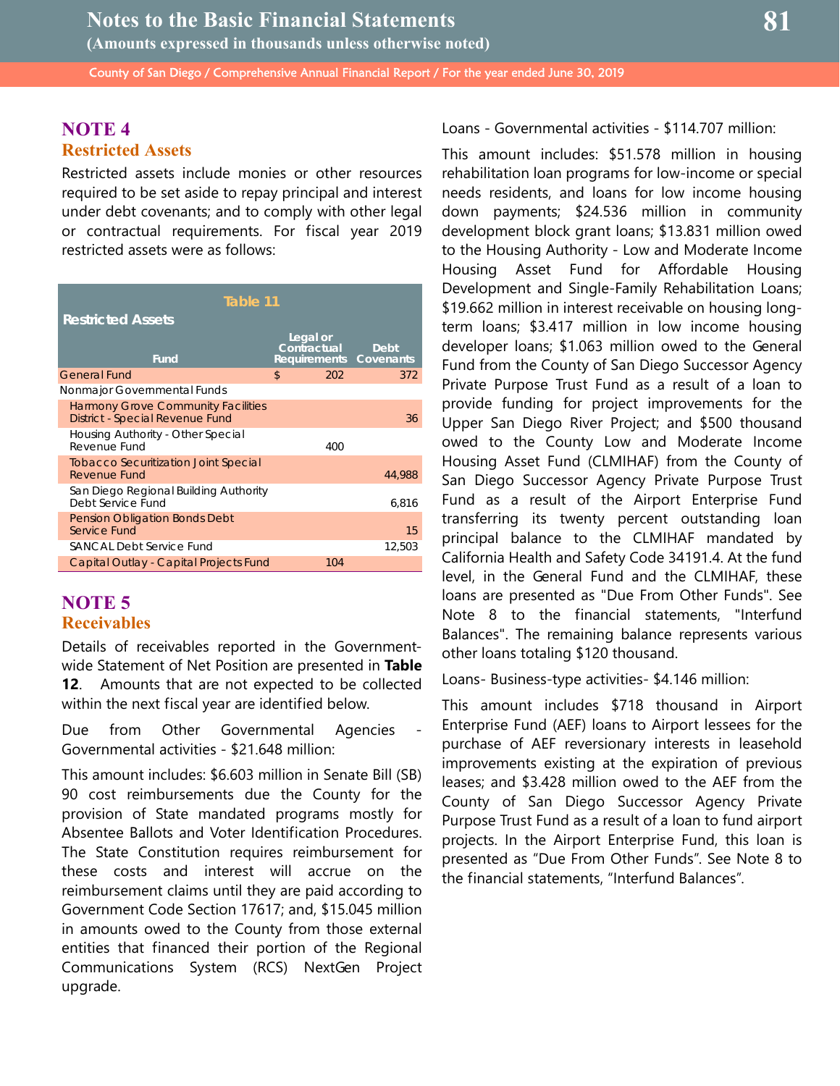## **NOTE 4 Restricted Assets**

Restricted assets include monies or other resources required to be set aside to repay principal and interest under debt covenants; and to comply with other legal or contractual requirements. For fiscal year 2019 restricted assets were as follows:

| Table 11                                                                     |                         |                                |
|------------------------------------------------------------------------------|-------------------------|--------------------------------|
| <b>Restricted Assets</b>                                                     |                         |                                |
| Fund                                                                         | Legal or<br>Contractual | Debt<br>Requirements Covenants |
| <b>General Fund</b>                                                          | \$                      | 202<br>372                     |
| Nonmajor Governmental Funds                                                  |                         |                                |
| <b>Harmony Grove Community Facilities</b><br>District - Special Revenue Fund |                         | 36                             |
| Housing Authority - Other Special<br>Revenue Fund                            |                         | 400                            |
| <b>Tobacco Securitization Joint Special</b><br>Revenue Fund                  |                         | 44,988                         |
| San Diego Regional Building Authority<br>Debt Service Fund                   |                         | 6,816                          |
| <b>Pension Obligation Bonds Debt</b><br>Service Fund                         |                         | 15                             |
| SANCAL Debt Service Fund                                                     |                         | 12,503                         |
| Capital Outlay - Capital Projects Fund                                       |                         | 104                            |

## **NOTE 5 Receivables**

Details of receivables reported in the Governmentwide Statement of Net Position are presented in **Table 12**. Amounts that are not expected to be collected within the next fiscal year are identified below.

Due from Other Governmental Agencies Governmental activities - \$21.648 million:

This amount includes: \$6.603 million in Senate Bill (SB) 90 cost reimbursements due the County for the provision of State mandated programs mostly for Absentee Ballots and Voter Identification Procedures. The State Constitution requires reimbursement for these costs and interest will accrue on the reimbursement claims until they are paid according to Government Code Section 17617; and, \$15.045 million in amounts owed to the County from those external entities that financed their portion of the Regional Communications System (RCS) NextGen Project upgrade.

Loans - Governmental activities - \$114.707 million:

This amount includes: \$51.578 million in housing rehabilitation loan programs for low-income or special needs residents, and loans for low income housing down payments; \$24.536 million in community development block grant loans; \$13.831 million owed to the Housing Authority - Low and Moderate Income Housing Asset Fund for Affordable Housing Development and Single-Family Rehabilitation Loans; \$19.662 million in interest receivable on housing longterm loans; \$3.417 million in low income housing developer loans; \$1.063 million owed to the General Fund from the County of San Diego Successor Agency Private Purpose Trust Fund as a result of a loan to provide funding for project improvements for the Upper San Diego River Project; and \$500 thousand owed to the County Low and Moderate Income Housing Asset Fund (CLMIHAF) from the County of San Diego Successor Agency Private Purpose Trust Fund as a result of the Airport Enterprise Fund transferring its twenty percent outstanding loan principal balance to the CLMIHAF mandated by California Health and Safety Code 34191.4. At the fund level, in the General Fund and the CLMIHAF, these loans are presented as "Due From Other Funds". See Note 8 to the financial statements, "Interfund Balances". The remaining balance represents various other loans totaling \$120 thousand.

Loans- Business-type activities- \$4.146 million:

This amount includes \$718 thousand in Airport Enterprise Fund (AEF) loans to Airport lessees for the purchase of AEF reversionary interests in leasehold improvements existing at the expiration of previous leases; and \$3.428 million owed to the AEF from the County of San Diego Successor Agency Private Purpose Trust Fund as a result of a loan to fund airport projects. In the Airport Enterprise Fund, this loan is presented as "Due From Other Funds". See Note 8 to the financial statements, "Interfund Balances".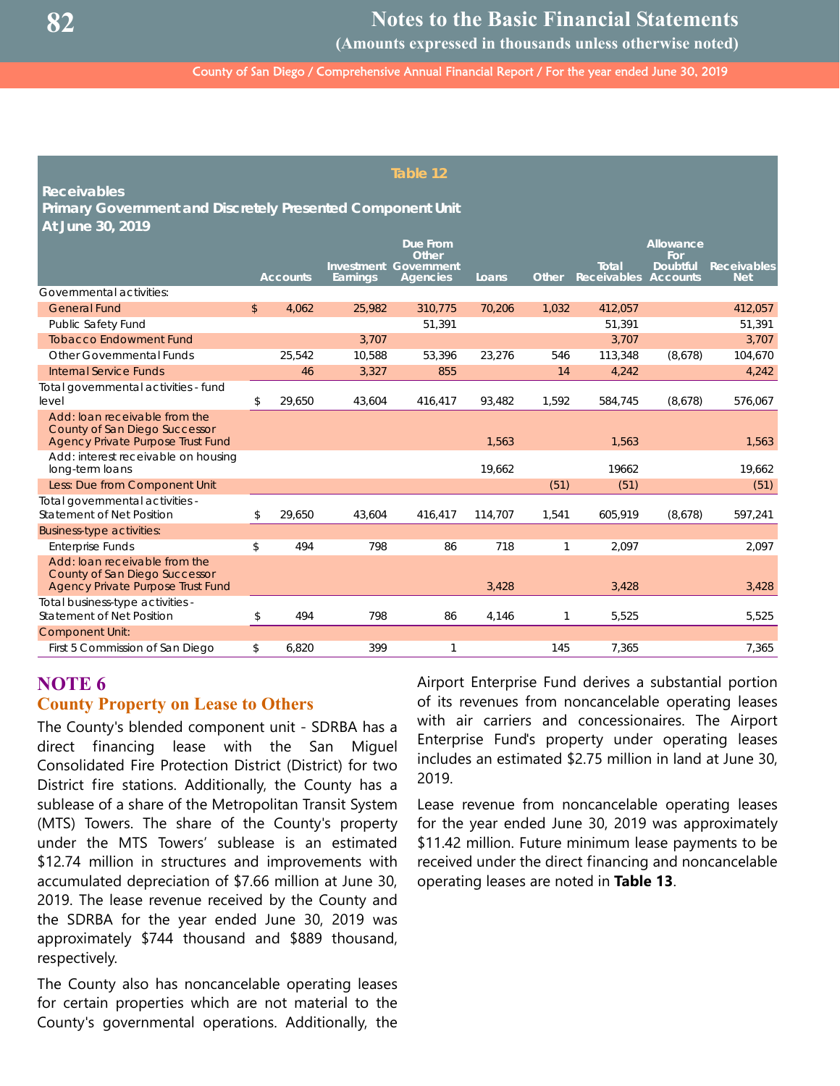**(Amounts expressed in thousands unless otherwise noted)**

County of San Diego / Comprehensive Annual Financial Report / For the year ended June 30, 2019

#### **Table 12**

**Receivables**

**Primary Government and Discretely Presented Component Unit At June 30, 2019**

|                                                                                                                   |              |                 |            | <b>Due From</b><br>Other |         |              |                    | Allowance<br>For |                    |
|-------------------------------------------------------------------------------------------------------------------|--------------|-----------------|------------|--------------------------|---------|--------------|--------------------|------------------|--------------------|
|                                                                                                                   |              |                 | Investment | Government               |         |              | <b>Total</b>       | <b>Doubtful</b>  | <b>Receivables</b> |
| Governmental activities:                                                                                          |              | <b>Accounts</b> | Earnings   | <b>Agencies</b>          | Loans   | <b>Other</b> | <b>Receivables</b> | <b>Accounts</b>  | <b>Net</b>         |
|                                                                                                                   | $\mathbb{S}$ |                 |            |                          |         |              |                    |                  |                    |
| <b>General Fund</b>                                                                                               |              | 4.062           | 25,982     | 310,775                  | 70,206  | 1,032        | 412,057            |                  | 412,057            |
| Public Safety Fund                                                                                                |              |                 |            | 51,391                   |         |              | 51,391             |                  | 51,391             |
| <b>Tobacco Endowment Fund</b>                                                                                     |              |                 | 3,707      |                          |         |              | 3,707              |                  | 3,707              |
| <b>Other Governmental Funds</b>                                                                                   |              | 25,542          | 10,588     | 53,396                   | 23,276  | 546          | 113,348            | (8,678)          | 104,670            |
| <b>Internal Service Funds</b>                                                                                     |              | 46              | 3,327      | 855                      |         | 14           | 4,242              |                  | 4,242              |
| Total governmental activities - fund<br>level                                                                     | \$           | 29,650          | 43,604     | 416,417                  | 93,482  | 1,592        | 584,745            | (8,678)          | 576,067            |
| Add: loan receivable from the<br>County of San Diego Successor<br><b>Agency Private Purpose Trust Fund</b>        |              |                 |            |                          | 1,563   |              | 1,563              |                  | 1,563              |
| Add: interest receivable on housing<br>long-term loans                                                            |              |                 |            |                          | 19,662  |              | 19662              |                  | 19,662             |
| Less: Due from Component Unit                                                                                     |              |                 |            |                          |         | (51)         | (51)               |                  | (51)               |
| Total governmental activities -<br><b>Statement of Net Position</b>                                               | \$           | 29,650          | 43,604     | 416,417                  | 114,707 | 1,541        | 605,919            | (8,678)          | 597,241            |
| <b>Business-type activities:</b>                                                                                  |              |                 |            |                          |         |              |                    |                  |                    |
| <b>Enterprise Funds</b>                                                                                           | \$           | 494             | 798        | 86                       | 718     | 1            | 2,097              |                  | 2,097              |
| Add: loan receivable from the<br><b>County of San Diego Successor</b><br><b>Agency Private Purpose Trust Fund</b> |              |                 |            |                          | 3,428   |              | 3,428              |                  | 3,428              |
| Total business-type activities -<br><b>Statement of Net Position</b>                                              | \$           | 494             | 798        | 86                       | 4,146   |              | 5,525              |                  | 5,525              |
| <b>Component Unit:</b>                                                                                            |              |                 |            |                          |         |              |                    |                  |                    |
| First 5 Commission of San Diego                                                                                   | \$           | 6,820           | 399        | 1                        |         | 145          | 7,365              |                  | 7,365              |

## **NOTE 6 County Property on Lease to Others**

The County's blended component unit - SDRBA has a direct financing lease with the San Miguel Consolidated Fire Protection District (District) for two District fire stations. Additionally, the County has a sublease of a share of the Metropolitan Transit System (MTS) Towers. The share of the County's property under the MTS Towers' sublease is an estimated \$12.74 million in structures and improvements with accumulated depreciation of \$7.66 million at June 30, 2019. The lease revenue received by the County and the SDRBA for the year ended June 30, 2019 was approximately \$744 thousand and \$889 thousand, respectively.

The County also has noncancelable operating leases for certain properties which are not material to the County's governmental operations. Additionally, the Airport Enterprise Fund derives a substantial portion of its revenues from noncancelable operating leases with air carriers and concessionaires. The Airport Enterprise Fund's property under operating leases includes an estimated \$2.75 million in land at June 30, 2019.

Lease revenue from noncancelable operating leases for the year ended June 30, 2019 was approximately \$11.42 million. Future minimum lease payments to be received under the direct financing and noncancelable operating leases are noted in **Table 13**.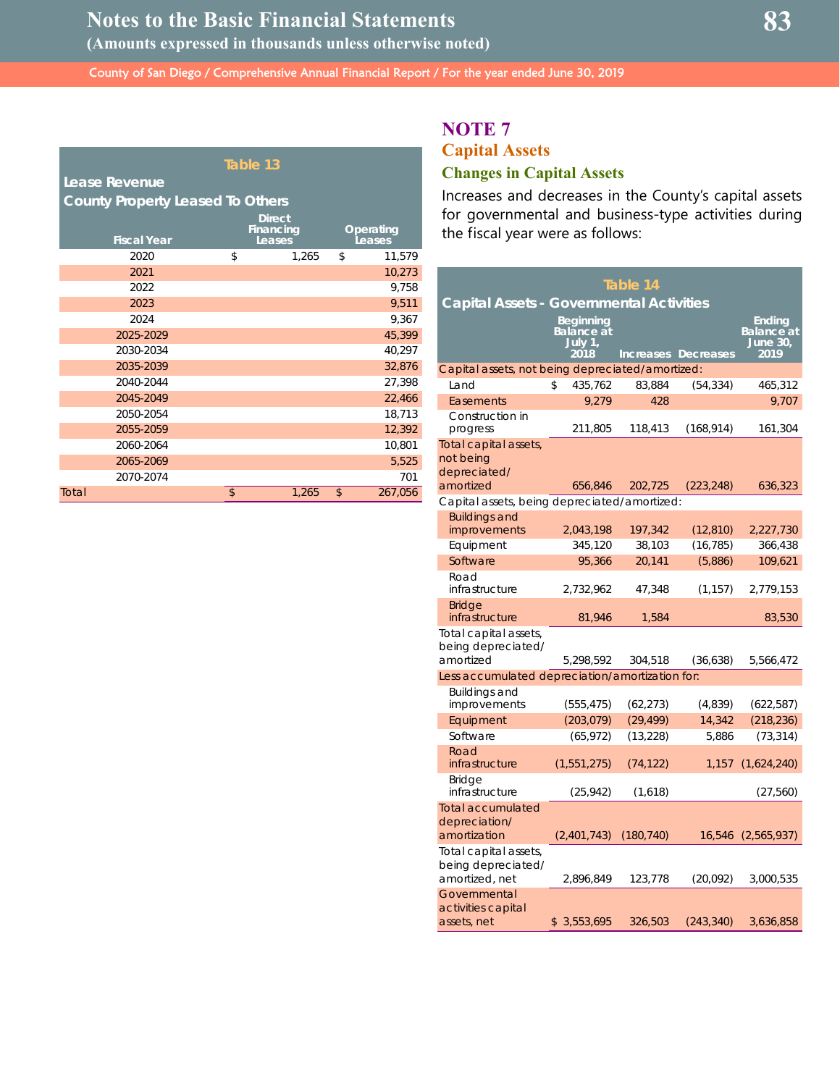|       |                                         | Table 13                             |                     |
|-------|-----------------------------------------|--------------------------------------|---------------------|
|       | Lease Revenue                           |                                      |                     |
|       | <b>County Property Leased To Others</b> |                                      |                     |
|       | <b>Fiscal Year</b>                      | <b>Direct</b><br>Financing<br>Leases | Operating<br>Leases |
|       | 2020                                    | \$<br>1,265                          | \$<br>11,579        |
|       | 2021                                    |                                      | 10,273              |
|       | 2022                                    |                                      | 9,758               |
|       | 2023                                    |                                      | 9,511               |
|       | 2024                                    |                                      | 9,367               |
|       | 2025-2029                               |                                      | 45,399              |
|       | 2030-2034                               |                                      | 40,297              |
|       | 2035-2039                               |                                      | 32,876              |
|       | 2040-2044                               |                                      | 27,398              |
|       | 2045-2049                               |                                      | 22,466              |
|       | 2050-2054                               |                                      | 18,713              |
|       | 2055-2059                               |                                      | 12,392              |
|       | 2060-2064                               |                                      | 10,801              |
|       | 2065-2069                               |                                      | 5,525               |
|       | 2070-2074                               |                                      | 701                 |
| Total |                                         | \$<br>1,265                          | \$<br>267,056       |

## **NOTE 7**

## **Capital Assets Changes in Capital Assets**

Increases and decreases in the County's capital assets for governmental and business-type activities during the fiscal year were as follows:

| Table 14                                                      |                                                   |            |                            |                                                 |  |  |  |  |  |  |  |
|---------------------------------------------------------------|---------------------------------------------------|------------|----------------------------|-------------------------------------------------|--|--|--|--|--|--|--|
| <b>Capital Assets - Governmental Activities</b>               |                                                   |            |                            |                                                 |  |  |  |  |  |  |  |
|                                                               | <b>Beginning</b><br>Balance at<br>July 1,<br>2018 |            | <b>Increases Decreases</b> | Endina<br><b>Balance</b> at<br>June 30,<br>2019 |  |  |  |  |  |  |  |
| Capital assets, not being depreciated/amortized:              |                                                   |            |                            |                                                 |  |  |  |  |  |  |  |
| Land                                                          | 435,762<br>\$                                     | 83,884     | (54, 334)                  | 465,312                                         |  |  |  |  |  |  |  |
| Easements                                                     | 9.279                                             | 428        |                            | 9.707                                           |  |  |  |  |  |  |  |
| Construction in<br>progress                                   | 211,805                                           | 118,413    | (168,914)                  | 161,304                                         |  |  |  |  |  |  |  |
| Total capital assets,<br>not being<br>depreciated/            |                                                   |            |                            |                                                 |  |  |  |  |  |  |  |
| amortized                                                     | 656,846                                           | 202,725    | (223, 248)                 | 636,323                                         |  |  |  |  |  |  |  |
| Capital assets, being depreciated/amortized:                  |                                                   |            |                            |                                                 |  |  |  |  |  |  |  |
| <b>Buildings and</b>                                          |                                                   |            |                            |                                                 |  |  |  |  |  |  |  |
| improvements                                                  | 2,043,198                                         | 197,342    | (12, 810)                  | 2,227,730                                       |  |  |  |  |  |  |  |
| Equipment                                                     | 345,120                                           | 38,103     | (16, 785)                  | 366,438                                         |  |  |  |  |  |  |  |
| Software                                                      | 95,366                                            | 20,141     | (5,886)                    | 109,621                                         |  |  |  |  |  |  |  |
| Road<br>infrastructure                                        | 2,732,962                                         | 47,348     | (1, 157)                   | 2,779,153                                       |  |  |  |  |  |  |  |
| <b>Bridge</b><br>infrastructure                               | 81,946                                            | 1,584      |                            | 83,530                                          |  |  |  |  |  |  |  |
| Total capital assets,<br>being depreciated/<br>amortized      | 5,298,592                                         | 304,518    | (36, 638)                  | 5,566,472                                       |  |  |  |  |  |  |  |
| Less accumulated depreciation/amortization for:               |                                                   |            |                            |                                                 |  |  |  |  |  |  |  |
| <b>Buildings and</b><br>improvements                          | (555, 475)                                        | (62, 273)  | (4,839)                    | (622, 587)                                      |  |  |  |  |  |  |  |
| Equipment                                                     | (203, 079)                                        | (29, 499)  | 14,342                     | (218, 236)                                      |  |  |  |  |  |  |  |
| Software                                                      | (65, 972)                                         | (13, 228)  | 5,886                      | (73, 314)                                       |  |  |  |  |  |  |  |
| Road<br>infrastructure                                        | (1,551,275)                                       | (74, 122)  | 1,157                      | (1,624,240)                                     |  |  |  |  |  |  |  |
| <b>Bridge</b><br>infrastructure                               | (25, 942)                                         | (1,618)    |                            | (27, 560)                                       |  |  |  |  |  |  |  |
| Total accumulated<br>depreciation/<br>amortization            | (2,401,743)                                       | (180, 740) | 16,546                     | (2,565,937)                                     |  |  |  |  |  |  |  |
| Total capital assets,<br>being depreciated/<br>amortized, net | 2,896,849                                         | 123,778    | (20,092)                   | 3,000,535                                       |  |  |  |  |  |  |  |
| Governmental<br>activities capital<br>assets, net             | 3,553,695<br>\$                                   | 326,503    | (243, 340)                 | 3,636,858                                       |  |  |  |  |  |  |  |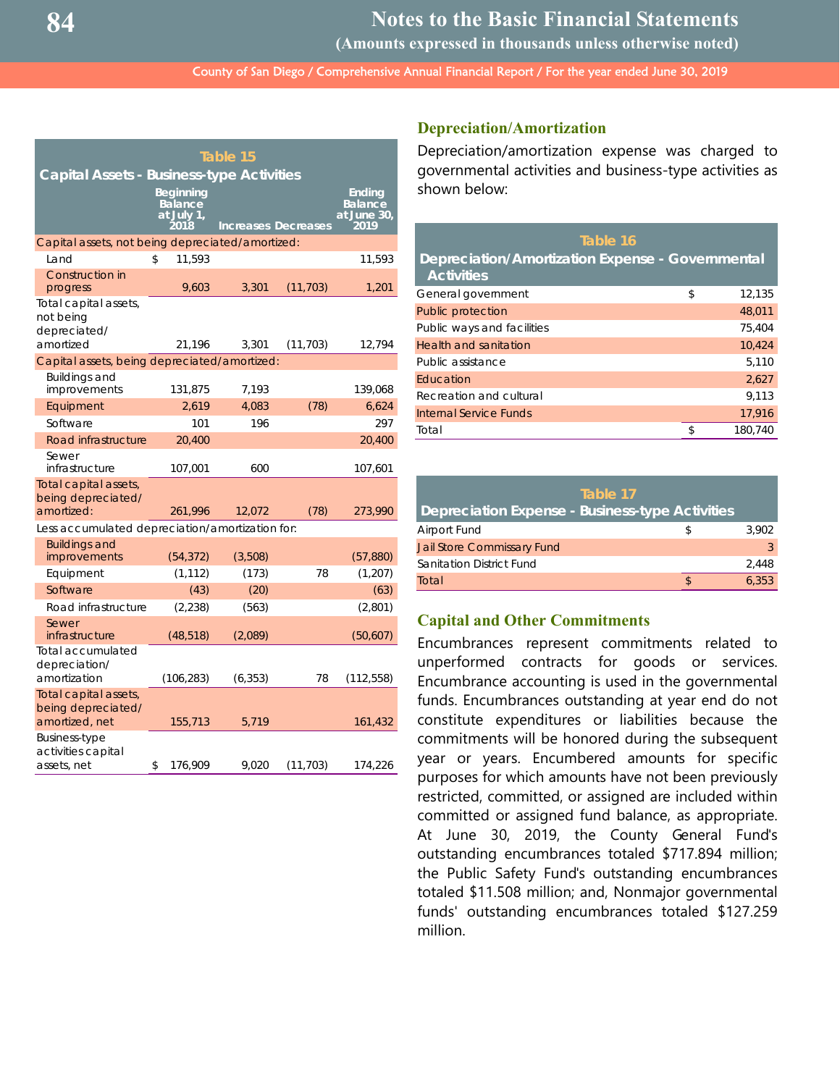**Notes to the Basic Financial Statements**

**(Amounts expressed in thousands unless otherwise noted)**

County of San Diego / Comprehensive Annual Financial Report / For the year ended June 30, 2019

|                                                                 |                                                   | Table 15 |                            |                                                        |
|-----------------------------------------------------------------|---------------------------------------------------|----------|----------------------------|--------------------------------------------------------|
| <b>Capital Assets - Business-type Activities</b>                | <b>Beginning</b><br>Balance<br>at July 1,<br>2018 |          | <b>Increases Decreases</b> | <b>Ending</b><br><b>Balance</b><br>at June 30,<br>2019 |
| Capital assets, not being depreciated/amortized:                |                                                   |          |                            |                                                        |
| Land                                                            | 11,593<br>\$                                      |          |                            | 11,593                                                 |
| Construction in<br>progress                                     | 9,603                                             | 3,301    | (11, 703)                  | 1,201                                                  |
| Total capital assets,<br>not being<br>depreciated/<br>amortized | 21,196                                            | 3,301    | (11, 703)                  | 12,794                                                 |
| Capital assets, being depreciated/amortized:                    |                                                   |          |                            |                                                        |
| <b>Buildings and</b><br>improvements                            | 131,875                                           | 7,193    |                            | 139,068                                                |
| Equipment                                                       | 2.619                                             | 4.083    | (78)                       | 6,624                                                  |
| Software                                                        | 101                                               | 196      |                            | 297                                                    |
| Road infrastructure                                             | 20,400                                            |          |                            | 20,400                                                 |
| Sewer<br>infrastructure                                         | 107,001                                           | 600      |                            | 107,601                                                |
| Total capital assets,<br>being depreciated/<br>amortized:       | 261,996                                           | 12,072   | (78)                       | 273,990                                                |
| Less accumulated depreciation/amortization for:                 |                                                   |          |                            |                                                        |
| <b>Buildings and</b><br>improvements                            | (54, 372)                                         | (3,508)  |                            | (57, 880)                                              |
| Equipment                                                       | (1, 112)                                          | (173)    | 78                         | (1, 207)                                               |
| Software                                                        | (43)                                              | (20)     |                            | (63)                                                   |
| Road infrastructure                                             | (2, 238)                                          | (563)    |                            | (2,801)                                                |
| Sewer<br>infrastructure                                         | (48, 518)                                         | (2,089)  |                            | (50,607)                                               |
| Total accumulated<br>depreciation/                              |                                                   |          |                            |                                                        |
| amortization                                                    | (106, 283)                                        | (6, 353) | 78                         | (112, 558)                                             |
| Total capital assets,<br>being depreciated/<br>amortized, net   | 155,713                                           | 5,719    |                            | 161,432                                                |
| Business-type<br>activities capital<br>assets, net              | \$<br>176,909                                     | 9,020    | (11, 703)                  | 174,226                                                |

#### **Depreciation/Amortization**

Depreciation/amortization expense was charged to governmental activities and business-type activities as shown below:

| Table 16                                                              |              |
|-----------------------------------------------------------------------|--------------|
| Depreciation/Amortization Expense - Governmental<br><b>Activities</b> |              |
| General government                                                    | \$<br>12,135 |
| Public protection                                                     | 48,011       |
| Public ways and facilities                                            | 75.404       |
| Health and sanitation                                                 | 10,424       |
| Public assistance                                                     | 5,110        |
| Education                                                             | 2.627        |
| Recreation and cultural                                               | 9.113        |
| Internal Service Funds                                                | 17,916       |
| Total                                                                 | 180,740      |

| Table 17                                        |       |
|-------------------------------------------------|-------|
| Depreciation Expense - Business-type Activities |       |
| Airport Fund                                    | 3.902 |
| <b>Jail Store Commissary Fund</b>               |       |
| Sanitation District Fund                        | 2.448 |
| Total                                           | 6.353 |

#### **Capital and Other Commitments**

Encumbrances represent commitments related to unperformed contracts for goods or services. Encumbrance accounting is used in the governmental funds. Encumbrances outstanding at year end do not constitute expenditures or liabilities because the commitments will be honored during the subsequent year or years. Encumbered amounts for specific purposes for which amounts have not been previously restricted, committed, or assigned are included within committed or assigned fund balance, as appropriate. At June 30, 2019, the County General Fund's outstanding encumbrances totaled \$717.894 million; the Public Safety Fund's outstanding encumbrances totaled \$11.508 million; and, Nonmajor governmental funds' outstanding encumbrances totaled \$127.259 million.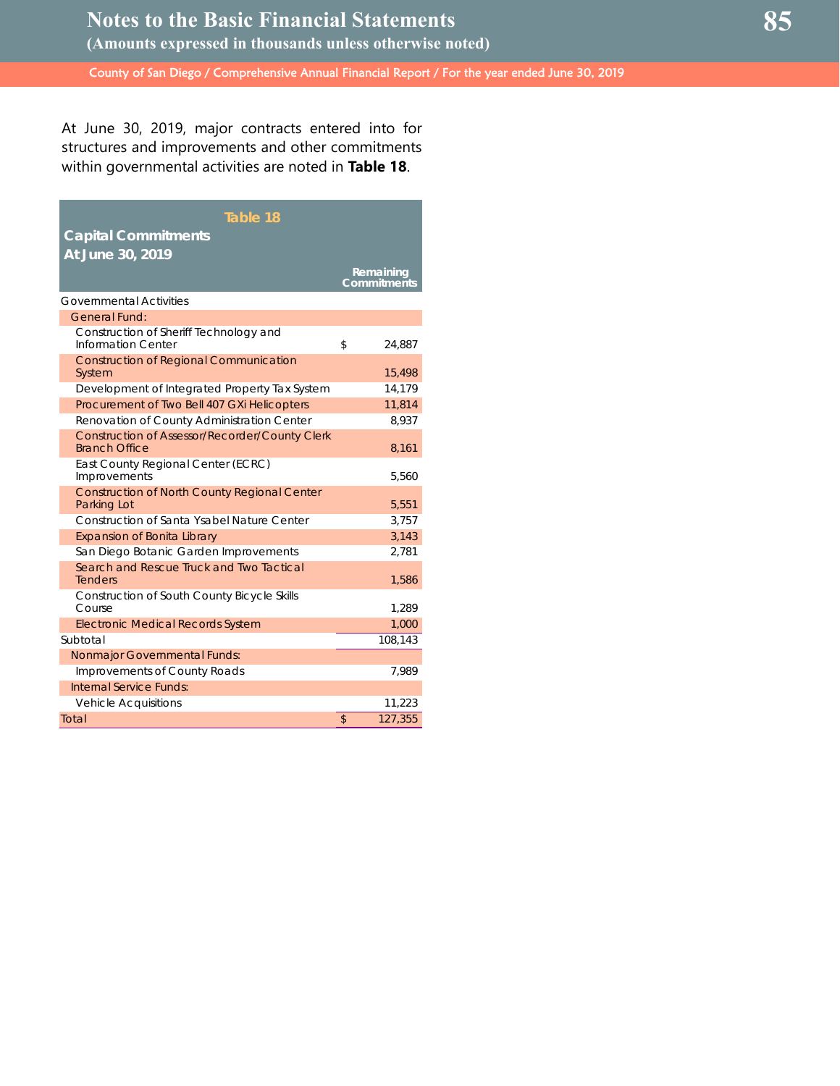At June 30, 2019, major contracts entered into for structures and improvements and other commitments within governmental activities are noted in **Table 18**.

| Table 18                                                                      |                          |
|-------------------------------------------------------------------------------|--------------------------|
| <b>Capital Commitments</b>                                                    |                          |
| At June 30, 2019                                                              |                          |
|                                                                               | Remaining<br>Commitments |
| <b>Governmental Activities</b>                                                |                          |
| General Fund:                                                                 |                          |
| Construction of Sheriff Technology and<br><b>Information Center</b>           | \$<br>24,887             |
| <b>Construction of Regional Communication</b><br>System                       | 15,498                   |
| Development of Integrated Property Tax System                                 | 14,179                   |
| Procurement of Two Bell 407 GXi Helicopters                                   | 11,814                   |
| Renovation of County Administration Center                                    | 8,937                    |
| <b>Construction of Assessor/Recorder/County Clerk</b><br><b>Branch Office</b> | 8,161                    |
| East County Regional Center (ECRC)<br>Improvements                            | 5,560                    |
| <b>Construction of North County Regional Center</b><br>Parking Lot            | 5,551                    |
| Construction of Santa Ysabel Nature Center                                    | 3,757                    |
| <b>Expansion of Bonita Library</b>                                            | 3,143                    |
| San Diego Botanic Garden Improvements                                         | 2,781                    |
| Search and Rescue Truck and Two Tactical<br><b>Tenders</b>                    | 1,586                    |
| <b>Construction of South County Bicycle Skills</b><br>Course                  | 1,289                    |
| <b>Electronic Medical Records System</b>                                      | 1,000                    |
| Subtotal                                                                      | 108,143                  |
| <b>Nonmajor Governmental Funds:</b>                                           |                          |
| Improvements of County Roads                                                  | 7,989                    |
| Internal Service Funds:                                                       |                          |
| <b>Vehicle Acquisitions</b>                                                   | 11,223                   |
| Total                                                                         | \$<br>127.355            |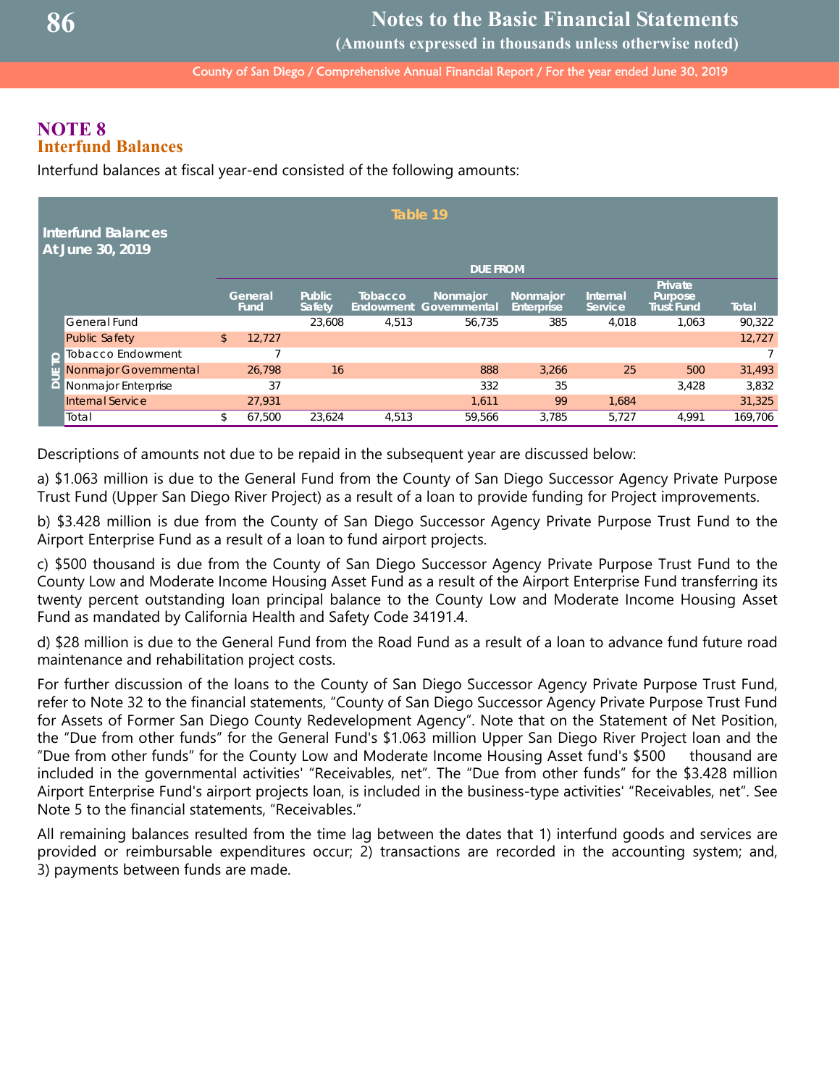**(Amounts expressed in thousands unless otherwise noted)**

County of San Diego / Comprehensive Annual Financial Report / For the year ended June 30, 2019

## **NOTE 8 Interfund Balances**

Interfund balances at fiscal year-end consisted of the following amounts:

|                | <b>Interfund Balances</b><br>At June 30, 2019 |               |                 |                                |                             | Table 19                 |                               |                     |                                          |              |
|----------------|-----------------------------------------------|---------------|-----------------|--------------------------------|-----------------------------|--------------------------|-------------------------------|---------------------|------------------------------------------|--------------|
|                |                                               |               |                 |                                |                             | <b>DUE FROM</b>          |                               |                     |                                          |              |
|                |                                               |               | General<br>Fund | <b>Public</b><br><b>Safety</b> | <b>Tobacco</b><br>Endowment | Nonmajor<br>Governmental | Nonmajor<br><b>Enterprise</b> | Internal<br>Service | Private<br>Purpose,<br><b>Trust Fund</b> | <b>Total</b> |
|                | <b>General Fund</b>                           |               |                 | 23,608                         | 4,513                       | 56,735                   | 385                           | 4,018               | 1,063                                    | 90,322       |
|                | <b>Public Safety</b>                          | $\mathsf{\$}$ | 12.727          |                                |                             |                          |                               |                     |                                          | 12,727       |
| $\overline{O}$ | <b>Tobacco Endowment</b>                      |               | ⇁               |                                |                             |                          |                               |                     |                                          |              |
|                | Nonmajor Governmental                         |               | 26.798          | 16                             |                             | 888                      | 3,266                         | 25                  | 500                                      | 31,493       |
| jη             | Nonmajor Enterprise                           |               | 37              |                                |                             | 332                      | 35                            |                     | 3.428                                    | 3,832        |
|                | <b>Internal Service</b>                       |               | 27,931          |                                |                             | 1.611                    | 99                            | 1,684               |                                          | 31,325       |
|                | Total                                         | \$            | 67.500          | 23.624                         | 4.513                       | 59.566                   | 3.785                         | 5,727               | 4.991                                    | 169.706      |

Descriptions of amounts not due to be repaid in the subsequent year are discussed below:

a) \$1.063 million is due to the General Fund from the County of San Diego Successor Agency Private Purpose Trust Fund (Upper San Diego River Project) as a result of a loan to provide funding for Project improvements.

b) \$3.428 million is due from the County of San Diego Successor Agency Private Purpose Trust Fund to the Airport Enterprise Fund as a result of a loan to fund airport projects.

c) \$500 thousand is due from the County of San Diego Successor Agency Private Purpose Trust Fund to the County Low and Moderate Income Housing Asset Fund as a result of the Airport Enterprise Fund transferring its twenty percent outstanding loan principal balance to the County Low and Moderate Income Housing Asset Fund as mandated by California Health and Safety Code 34191.4.

d) \$28 million is due to the General Fund from the Road Fund as a result of a loan to advance fund future road maintenance and rehabilitation project costs.

For further discussion of the loans to the County of San Diego Successor Agency Private Purpose Trust Fund, refer to Note 32 to the financial statements, "County of San Diego Successor Agency Private Purpose Trust Fund for Assets of Former San Diego County Redevelopment Agency". Note that on the Statement of Net Position, the "Due from other funds" for the General Fund's \$1.063 million Upper San Diego River Project loan and the "Due from other funds" for the County Low and Moderate Income Housing Asset fund's \$500 thousand are included in the governmental activities' "Receivables, net". The "Due from other funds" for the \$3.428 million Airport Enterprise Fund's airport projects loan, is included in the business-type activities' "Receivables, net". See Note 5 to the financial statements, "Receivables."

All remaining balances resulted from the time lag between the dates that 1) interfund goods and services are provided or reimbursable expenditures occur; 2) transactions are recorded in the accounting system; and, 3) payments between funds are made.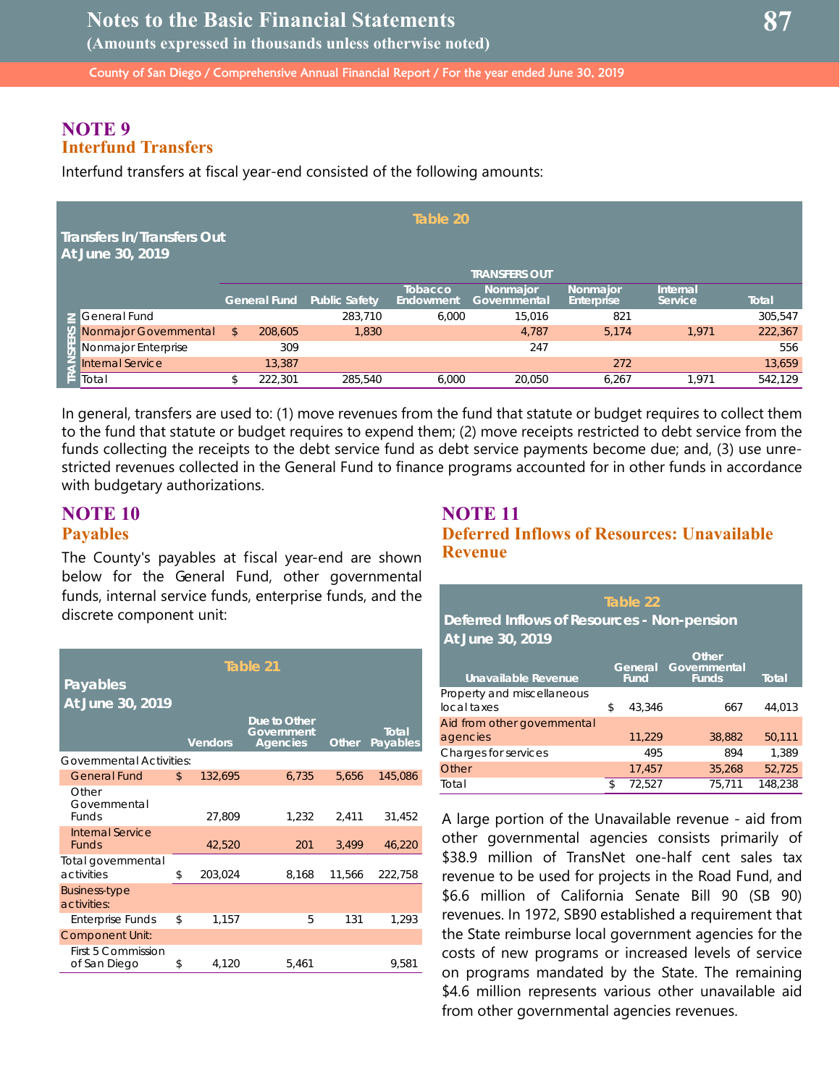**(Amounts expressed in thousands unless otherwise noted)**

County of San Diego / Comprehensive Annual Financial Report / For the year ended June 30, 2019

## **NOTE 9 Interfund Transfers**

Interfund transfers at fiscal year-end consisted of the following amounts:

| <b>Transfers In/Transfers Out</b><br>At June 30, 2019              |                     |                      | Table 20                    |                          |                        |                     |              |
|--------------------------------------------------------------------|---------------------|----------------------|-----------------------------|--------------------------|------------------------|---------------------|--------------|
|                                                                    |                     |                      |                             | <b>TRANSFERS OUT</b>     |                        |                     |              |
|                                                                    | <b>General Fund</b> | <b>Public Safety</b> | <b>Tobacco</b><br>Endowment | Nonmajor<br>Governmental | Nonmaior<br>Enterprise | Internal<br>Service | <b>Total</b> |
| Seneral Fund                                                       |                     | 283,710              | 6.000                       | 15,016                   | 821                    |                     | 305,547      |
| Nonmajor Governmental                                              | \$<br>208,605       | 1,830                |                             | 4.787                    | 5.174                  | 1.971               | 222,367      |
| x Nonmajor Governme<br>= Nonmajor Enterprise<br>= Internal Service | 309                 |                      |                             | 247                      |                        |                     | 556          |
|                                                                    | 13,387              |                      |                             |                          | 272                    |                     | 13,659       |
| I≝ Total                                                           | 222,301             | 285,540              | 6.000                       | 20,050                   | 6,267                  | .971                | 542,129      |

In general, transfers are used to: (1) move revenues from the fund that statute or budget requires to collect them to the fund that statute or budget requires to expend them; (2) move receipts restricted to debt service from the funds collecting the receipts to the debt service fund as debt service payments become due; and, (3) use unrestricted revenues collected in the General Fund to finance programs accounted for in other funds in accordance with budgetary authorizations.

## **NOTE 10 Payables**

The County's payables at fiscal year-end are shown below for the General Fund, other governmental funds, internal service funds, enterprise funds, and the discrete component unit:

|                                       |                | Table 21                                      |        |                          |
|---------------------------------------|----------------|-----------------------------------------------|--------|--------------------------|
| Payables                              |                |                                               |        |                          |
| At June 30, 2019                      |                |                                               |        |                          |
|                                       | <b>Vendors</b> | Due to Other<br>Government<br><b>Agencies</b> | Other  | <b>Total</b><br>Payables |
| <b>Governmental Activities:</b>       |                |                                               |        |                          |
| <b>General Fund</b>                   | \$<br>132,695  | 6,735                                         | 5.656  | 145,086                  |
| Other<br>Governmental<br><b>Funds</b> | 27,809         | 1,232                                         | 2,411  | 31,452                   |
| Internal Service<br><b>Funds</b>      | 42,520         | 201                                           | 3,499  | 46,220                   |
| Total governmental<br>activities      | \$<br>203,024  | 8,168                                         | 11,566 | 222,758                  |
| Business-type<br>activities:          |                |                                               |        |                          |
| <b>Enterprise Funds</b>               | \$<br>1,157    | 5                                             | 131    | 1,293                    |
| <b>Component Unit:</b>                |                |                                               |        |                          |
| First 5 Commission<br>of San Diego    | \$<br>4,120    | 5,461                                         |        | 9.581                    |

## **NOTE 11 Deferred Inflows of Resources: Unavailable Revenue**

| Table 22<br>Deferred Inflows of Resources - Non-pension<br>At June 30, 2019 |    |                        |                                       |              |  |  |  |
|-----------------------------------------------------------------------------|----|------------------------|---------------------------------------|--------------|--|--|--|
| Unavailable Revenue                                                         |    | General<br><b>Fund</b> | Other<br>Governmental<br><b>Funds</b> | <b>Total</b> |  |  |  |
| Property and miscellaneous<br>local taxes                                   | \$ | 43.346                 | 667                                   | 44.013       |  |  |  |
| Aid from other governmental<br>agencies                                     |    | 11,229                 | 38,882                                | 50,111       |  |  |  |
| Charges for services                                                        |    | 495                    | 894                                   | 1.389        |  |  |  |

Other 17,457 35,268 52,725 Total **\$ 72,527** 75,711 148,238

A large portion of the Unavailable revenue - aid from other governmental agencies consists primarily of \$38.9 million of TransNet one-half cent sales tax revenue to be used for projects in the Road Fund, and \$6.6 million of California Senate Bill 90 (SB 90) revenues. In 1972, SB90 established a requirement that the State reimburse local government agencies for the costs of new programs or increased levels of service on programs mandated by the State. The remaining \$4.6 million represents various other unavailable aid from other governmental agencies revenues.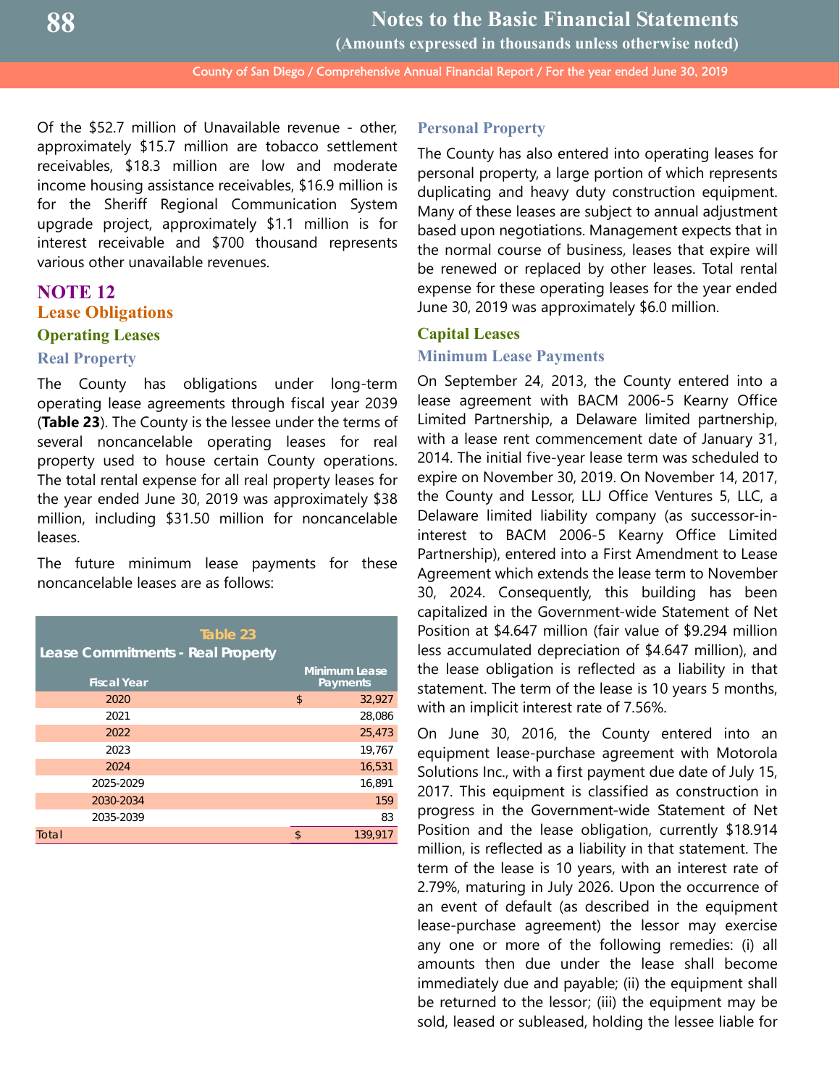**Notes to the Basic Financial Statements (Amounts expressed in thousands unless otherwise noted)**

County of San Diego / Comprehensive Annual Financial Report / For the year ended June 30, 2019

Of the \$52.7 million of Unavailable revenue - other, approximately \$15.7 million are tobacco settlement receivables, \$18.3 million are low and moderate income housing assistance receivables, \$16.9 million is for the Sheriff Regional Communication System upgrade project, approximately \$1.1 million is for interest receivable and \$700 thousand represents various other unavailable revenues.

## **NOTE 12 Lease Obligations Operating Leases**

#### **Real Property**

The County has obligations under long-term operating lease agreements through fiscal year 2039 (**Table 23**). The County is the lessee under the terms of several noncancelable operating leases for real property used to house certain County operations. The total rental expense for all real property leases for the year ended June 30, 2019 was approximately \$38 million, including \$31.50 million for noncancelable leases.

The future minimum lease payments for these noncancelable leases are as follows:

| Table 23<br>Lease Commitments - Real Property |                                  |
|-----------------------------------------------|----------------------------------|
| <b>Fiscal Year</b>                            | <b>Minimum Lease</b><br>Payments |
| 2020                                          | \$<br>32,927                     |
| 2021                                          | 28,086                           |
| 2022                                          | 25,473                           |
| 2023                                          | 19,767                           |
| 2024                                          | 16,531                           |
| 2025-2029                                     | 16.891                           |
| 2030-2034                                     | 159                              |
| 2035-2039                                     | 83                               |
| Total                                         | \$<br>139.917                    |

#### **Personal Property**

The County has also entered into operating leases for personal property, a large portion of which represents duplicating and heavy duty construction equipment. Many of these leases are subject to annual adjustment based upon negotiations. Management expects that in the normal course of business, leases that expire will be renewed or replaced by other leases. Total rental expense for these operating leases for the year ended June 30, 2019 was approximately \$6.0 million.

## **Capital Leases Minimum Lease Payments**

On September 24, 2013, the County entered into a lease agreement with BACM 2006-5 Kearny Office Limited Partnership, a Delaware limited partnership, with a lease rent commencement date of January 31, 2014. The initial five-year lease term was scheduled to expire on November 30, 2019. On November 14, 2017, the County and Lessor, LLJ Office Ventures 5, LLC, a Delaware limited liability company (as successor-ininterest to BACM 2006-5 Kearny Office Limited Partnership), entered into a First Amendment to Lease Agreement which extends the lease term to November 30, 2024. Consequently, this building has been capitalized in the Government-wide Statement of Net Position at \$4.647 million (fair value of \$9.294 million less accumulated depreciation of \$4.647 million), and the lease obligation is reflected as a liability in that statement. The term of the lease is 10 years 5 months, with an implicit interest rate of 7.56%.

On June 30, 2016, the County entered into an equipment lease-purchase agreement with Motorola Solutions Inc., with a first payment due date of July 15, 2017. This equipment is classified as construction in progress in the Government-wide Statement of Net Position and the lease obligation, currently \$18.914 million, is reflected as a liability in that statement. The term of the lease is 10 years, with an interest rate of 2.79%, maturing in July 2026. Upon the occurrence of an event of default (as described in the equipment lease-purchase agreement) the lessor may exercise any one or more of the following remedies: (i) all amounts then due under the lease shall become immediately due and payable; (ii) the equipment shall be returned to the lessor; (iii) the equipment may be sold, leased or subleased, holding the lessee liable for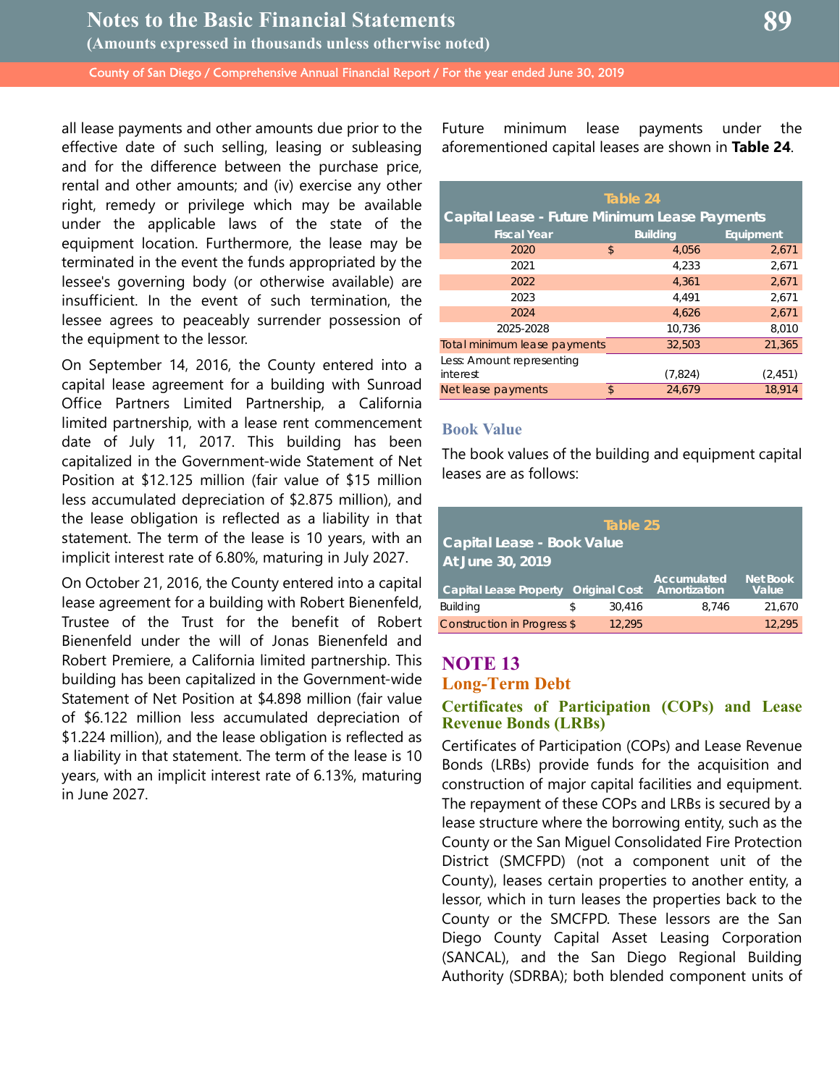all lease payments and other amounts due prior to the effective date of such selling, leasing or subleasing and for the difference between the purchase price, rental and other amounts; and (iv) exercise any other right, remedy or privilege which may be available under the applicable laws of the state of the equipment location. Furthermore, the lease may be terminated in the event the funds appropriated by the lessee's governing body (or otherwise available) are insufficient. In the event of such termination, the lessee agrees to peaceably surrender possession of the equipment to the lessor.

On September 14, 2016, the County entered into a capital lease agreement for a building with Sunroad Office Partners Limited Partnership, a California limited partnership, with a lease rent commencement date of July 11, 2017. This building has been capitalized in the Government-wide Statement of Net Position at \$12.125 million (fair value of \$15 million less accumulated depreciation of \$2.875 million), and the lease obligation is reflected as a liability in that statement. The term of the lease is 10 years, with an implicit interest rate of 6.80%, maturing in July 2027.

On October 21, 2016, the County entered into a capital lease agreement for a building with Robert Bienenfeld, Trustee of the Trust for the benefit of Robert Bienenfeld under the will of Jonas Bienenfeld and Robert Premiere, a California limited partnership. This building has been capitalized in the Government-wide Statement of Net Position at \$4.898 million (fair value of \$6.122 million less accumulated depreciation of \$1.224 million), and the lease obligation is reflected as a liability in that statement. The term of the lease is 10 years, with an implicit interest rate of 6.13%, maturing in June 2027.

Future minimum lease payments under the aforementioned capital leases are shown in **Table 24**.

| Table 24                                      |    |                 |           |  |  |  |  |
|-----------------------------------------------|----|-----------------|-----------|--|--|--|--|
| Capital Lease - Future Minimum Lease Payments |    |                 |           |  |  |  |  |
| <b>Fiscal Year</b>                            |    | <b>Building</b> | Equipment |  |  |  |  |
| 2020                                          | \$ | 4,056           | 2,671     |  |  |  |  |
| 2021                                          |    | 4.233           | 2,671     |  |  |  |  |
| 2022                                          |    | 4.361           | 2,671     |  |  |  |  |
| 2023                                          |    | 4.491           | 2,671     |  |  |  |  |
| 2024                                          |    | 4.626           | 2,671     |  |  |  |  |
| 2025-2028                                     |    | 10,736          | 8,010     |  |  |  |  |
| Total minimum lease payments                  |    | 32,503          | 21,365    |  |  |  |  |
| Less: Amount representing                     |    |                 |           |  |  |  |  |
| interest                                      |    | (7,824)         | (2, 451)  |  |  |  |  |
| Net lease payments                            | \$ | 24.679          | 18.914    |  |  |  |  |

#### **Book Value**

The book values of the building and equipment capital leases are as follows:

| Table 25                          |   |                      |                             |                          |  |  |
|-----------------------------------|---|----------------------|-----------------------------|--------------------------|--|--|
| <b>Capital Lease - Book Value</b> |   |                      |                             |                          |  |  |
| At June 30, 2019                  |   |                      |                             |                          |  |  |
| Capital Lease Property            |   | <b>Original Cost</b> | Accumulated<br>Amortization | <b>Net Book</b><br>Value |  |  |
| <b>Building</b>                   | S | 30.416               | 8.746                       | 21.670                   |  |  |
| Construction in Progress \$       |   | 12.295               |                             | 12.295                   |  |  |

## **NOTE 13 Long-Term Debt**

#### **Certificates of Participation (COPs) and Lease Revenue Bonds (LRBs)**

Certificates of Participation (COPs) and Lease Revenue Bonds (LRBs) provide funds for the acquisition and construction of major capital facilities and equipment. The repayment of these COPs and LRBs is secured by a lease structure where the borrowing entity, such as the County or the San Miguel Consolidated Fire Protection District (SMCFPD) (not a component unit of the County), leases certain properties to another entity, a lessor, which in turn leases the properties back to the County or the SMCFPD. These lessors are the San Diego County Capital Asset Leasing Corporation (SANCAL), and the San Diego Regional Building Authority (SDRBA); both blended component units of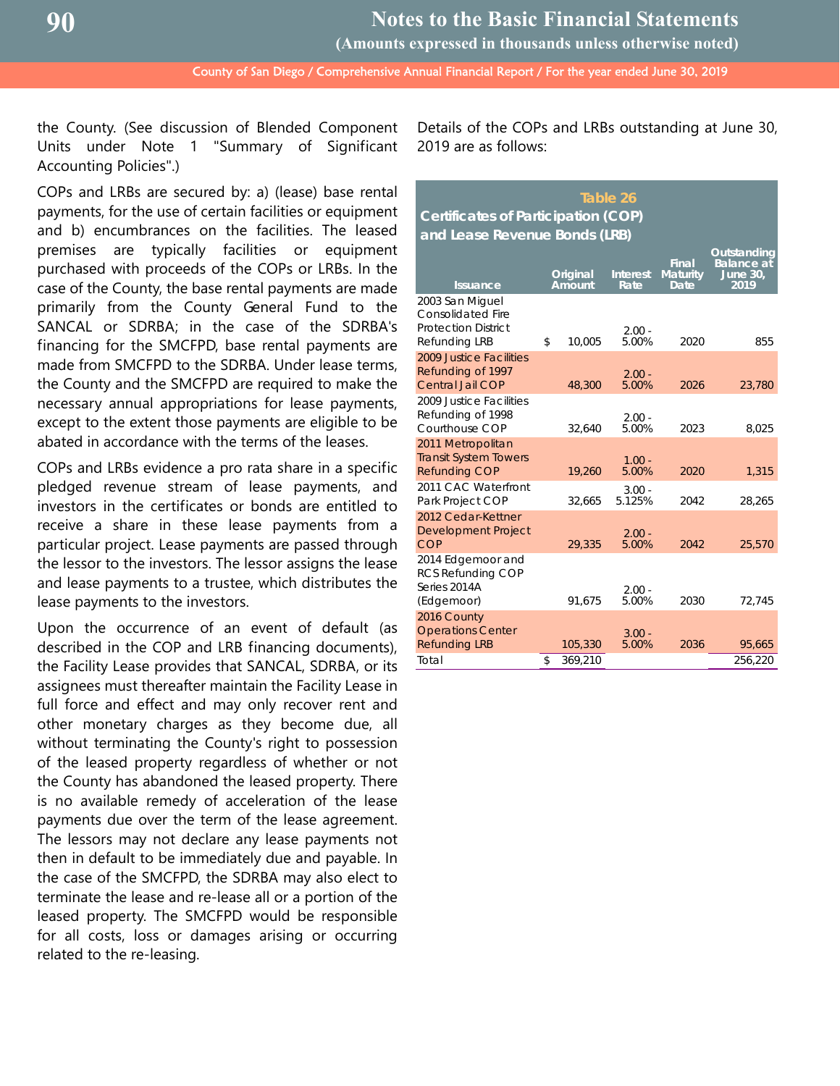**(Amounts expressed in thousands unless otherwise noted)**

County of San Diego / Comprehensive Annual Financial Report / For the year ended June 30, 2019

the County. (See discussion of Blended Component Units under Note 1 "Summary of Significant Accounting Policies".)

COPs and LRBs are secured by: a) (lease) base rental payments, for the use of certain facilities or equipment and b) encumbrances on the facilities. The leased premises are typically facilities or equipment purchased with proceeds of the COPs or LRBs. In the case of the County, the base rental payments are made primarily from the County General Fund to the SANCAL or SDRBA; in the case of the SDRBA's financing for the SMCFPD, base rental payments are made from SMCFPD to the SDRBA. Under lease terms, the County and the SMCFPD are required to make the necessary annual appropriations for lease payments, except to the extent those payments are eligible to be abated in accordance with the terms of the leases.

COPs and LRBs evidence a pro rata share in a specific pledged revenue stream of lease payments, and investors in the certificates or bonds are entitled to receive a share in these lease payments from a particular project. Lease payments are passed through the lessor to the investors. The lessor assigns the lease and lease payments to a trustee, which distributes the lease payments to the investors.

Upon the occurrence of an event of default (as described in the COP and LRB financing documents), the Facility Lease provides that SANCAL, SDRBA, or its assignees must thereafter maintain the Facility Lease in full force and effect and may only recover rent and other monetary charges as they become due, all without terminating the County's right to possession of the leased property regardless of whether or not the County has abandoned the leased property. There is no available remedy of acceleration of the lease payments due over the term of the lease agreement. The lessors may not declare any lease payments not then in default to be immediately due and payable. In the case of the SMCFPD, the SDRBA may also elect to terminate the lease and re-lease all or a portion of the leased property. The SMCFPD would be responsible for all costs, loss or damages arising or occurring related to the re-leasing.

Details of the COPs and LRBs outstanding at June 30, 2019 are as follows:

## **Table 26 Certificates of Participation (COP) and Lease Revenue Bonds (LRB)**

| <b>Issuance</b>                                                                                   | Original<br>Amount | <b>Interest</b><br>Rate | <b>Final</b><br><b>Maturity</b><br>Date | Outstanding<br><b>Balance</b> at<br><b>June 30,</b><br>2019 |
|---------------------------------------------------------------------------------------------------|--------------------|-------------------------|-----------------------------------------|-------------------------------------------------------------|
| 2003 San Miguel<br><b>Consolidated Fire</b><br><b>Protection District</b><br><b>Refunding LRB</b> | \$<br>10.005       | $2.00 -$<br>5.00%       | 2020                                    | 855                                                         |
| 2009 Justice Facilities<br>Refunding of 1997<br>Central Jail COP                                  | 48,300             | $2.00 -$<br>5.00%       | 2026                                    | 23,780                                                      |
| 2009 Justice Facilities<br>Refunding of 1998<br>Courthouse COP                                    | 32.640             | $2.00 -$<br>5.00%       | 2023                                    | 8,025                                                       |
| 2011 Metropolitan<br><b>Transit System Towers</b><br><b>Refunding COP</b>                         | 19,260             | $1.00 -$<br>5.00%       | 2020                                    | 1,315                                                       |
| 2011 CAC Waterfront<br>Park Project COP                                                           | 32.665             | $3.00 -$<br>5.125%      | 2042                                    | 28,265                                                      |
| 2012 Cedar-Kettner<br><b>Development Project</b><br>COP                                           | 29,335             | $2.00 -$<br>5.00%       | 2042                                    | 25,570                                                      |
| 2014 Edgemoor and<br><b>RCS Refunding COP</b><br>Series 2014A<br>(Edgemoor)                       | 91,675             | $2.00 -$<br>5.00%       | 2030                                    | 72,745                                                      |
| 2016 County<br><b>Operations Center</b><br><b>Refunding LRB</b>                                   | 105,330            | $3.00 -$<br>5.00%       | 2036                                    | 95,665                                                      |
| Total                                                                                             | \$<br>369,210      |                         |                                         | 256,220                                                     |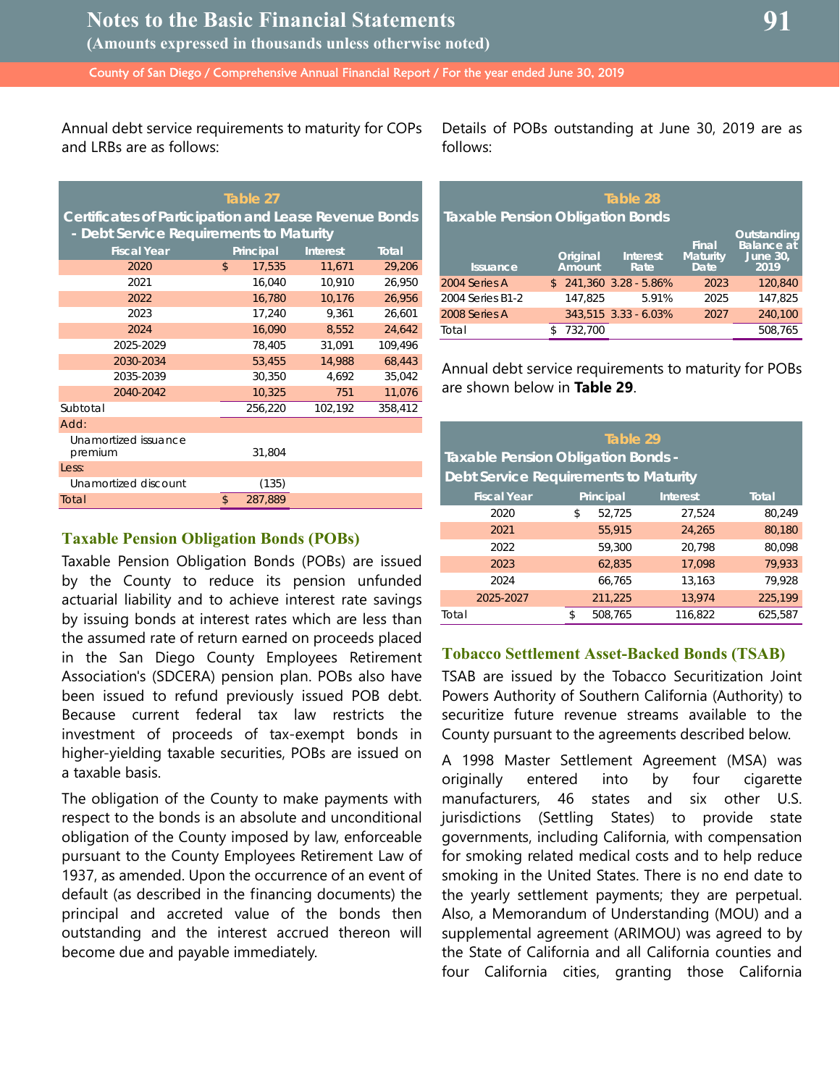Annual debt service requirements to maturity for COPs and LRBs are as follows:

| Table 27                                                     |               |           |                 |         |  |  |  |  |
|--------------------------------------------------------------|---------------|-----------|-----------------|---------|--|--|--|--|
| <b>Certificates of Participation and Lease Revenue Bonds</b> |               |           |                 |         |  |  |  |  |
| - Debt Service Requirements to Maturity                      |               |           |                 |         |  |  |  |  |
| <b>Fiscal Year</b>                                           |               | Principal | <b>Interest</b> | Total   |  |  |  |  |
| 2020                                                         | \$            | 17,535    | 11,671          | 29,206  |  |  |  |  |
| 2021                                                         |               | 16,040    | 10,910          | 26,950  |  |  |  |  |
| 2022                                                         |               | 16,780    | 10,176          | 26,956  |  |  |  |  |
| 2023                                                         |               | 17,240    | 9,361           | 26,601  |  |  |  |  |
| 2024                                                         |               | 16,090    | 8,552           | 24,642  |  |  |  |  |
| 2025-2029                                                    |               | 78,405    | 31,091          | 109,496 |  |  |  |  |
| 2030-2034                                                    |               | 53,455    | 14,988          | 68,443  |  |  |  |  |
| 2035-2039                                                    |               | 30,350    | 4,692           | 35,042  |  |  |  |  |
| 2040-2042                                                    |               | 10,325    | 751             | 11,076  |  |  |  |  |
| Subtotal                                                     |               | 256,220   | 102,192         | 358,412 |  |  |  |  |
| Add:                                                         |               |           |                 |         |  |  |  |  |
| Unamortized issuance<br>premium                              |               | 31.804    |                 |         |  |  |  |  |
| Less:                                                        |               |           |                 |         |  |  |  |  |
| Unamortized discount                                         |               | (135)     |                 |         |  |  |  |  |
| Total                                                        | $\mathsf{\$}$ | 287,889   |                 |         |  |  |  |  |

#### **Taxable Pension Obligation Bonds (POBs)**

Taxable Pension Obligation Bonds (POBs) are issued by the County to reduce its pension unfunded actuarial liability and to achieve interest rate savings by issuing bonds at interest rates which are less than the assumed rate of return earned on proceeds placed in the San Diego County Employees Retirement Association's (SDCERA) pension plan. POBs also have been issued to refund previously issued POB debt. Because current federal tax law restricts the investment of proceeds of tax-exempt bonds in higher-yielding taxable securities, POBs are issued on a taxable basis.

The obligation of the County to make payments with respect to the bonds is an absolute and unconditional obligation of the County imposed by law, enforceable pursuant to the County Employees Retirement Law of 1937, as amended. Upon the occurrence of an event of default (as described in the financing documents) the principal and accreted value of the bonds then outstanding and the interest accrued thereon will become due and payable immediately.

Details of POBs outstanding at June 30, 2019 are as follows:

| Table 28<br><b>Taxable Pension Obligation Bonds</b> |  |                    |                         |                                        |                                                             |  |  |
|-----------------------------------------------------|--|--------------------|-------------------------|----------------------------------------|-------------------------------------------------------------|--|--|
| <b>Issuance</b>                                     |  | Original<br>Amount | <b>Interest</b><br>Rate | Final<br>Maturity<br>Date <sup>'</sup> | Outstanding<br><b>Balance</b> at<br><b>June 30,</b><br>2019 |  |  |
| 2004 Series A                                       |  |                    | $$241,360$ 3.28 - 5.86% | 2023                                   | 120,840                                                     |  |  |
| 2004 Series B1-2                                    |  | 147.825            | 5.91%                   | 2025                                   | 147.825                                                     |  |  |
| 2008 Series A                                       |  |                    | 343.515 3.33 - 6.03%    | 2027                                   | 240.100                                                     |  |  |
| Total                                               |  | 732.700            |                         |                                        | 508.765                                                     |  |  |

Annual debt service requirements to maturity for POBs are shown below in **Table 29**.

| Table 29<br><b>Taxable Pension Obligation Bonds -</b><br>Debt Service Requirements to Maturity |    |           |                 |              |  |  |  |
|------------------------------------------------------------------------------------------------|----|-----------|-----------------|--------------|--|--|--|
| <b>Fiscal Year</b>                                                                             |    | Principal | <b>Interest</b> | <b>Total</b> |  |  |  |
| 2020                                                                                           | \$ | 52,725    | 27.524          | 80,249       |  |  |  |
| 2021                                                                                           |    | 55.915    | 24,265          | 80,180       |  |  |  |
| 2022                                                                                           |    | 59,300    | 20,798          | 80.098       |  |  |  |
| 2023                                                                                           |    | 62.835    | 17.098          | 79.933       |  |  |  |
| 2024                                                                                           |    | 66.765    | 13,163          | 79.928       |  |  |  |
| 2025-2027                                                                                      |    | 211,225   | 13,974          | 225,199      |  |  |  |
| Total                                                                                          | \$ | 508.765   | 116.822         | 625.587      |  |  |  |

## **Tobacco Settlement Asset-Backed Bonds (TSAB)**

TSAB are issued by the Tobacco Securitization Joint Powers Authority of Southern California (Authority) to securitize future revenue streams available to the County pursuant to the agreements described below.

A 1998 Master Settlement Agreement (MSA) was originally entered into by four cigarette manufacturers, 46 states and six other U.S. jurisdictions (Settling States) to provide state governments, including California, with compensation for smoking related medical costs and to help reduce smoking in the United States. There is no end date to the yearly settlement payments; they are perpetual. Also, a Memorandum of Understanding (MOU) and a supplemental agreement (ARIMOU) was agreed to by the State of California and all California counties and four California cities, granting those California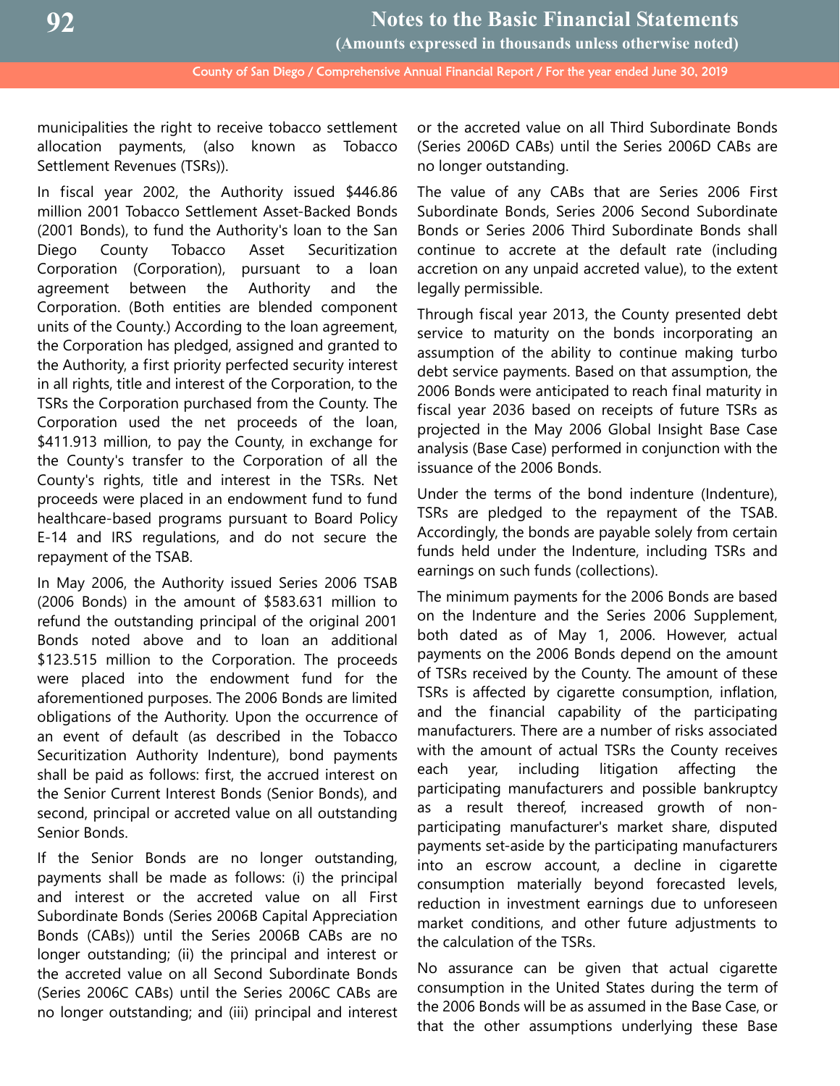**92**

 County of San Diego / Comprehensive Annual Financial Report / For the year ended June 30, 2019 **Notes to the Basic Financial Statements (Amounts expressed in thousands unless otherwise noted)**

municipalities the right to receive tobacco settlement allocation payments, (also known as Tobacco Settlement Revenues (TSRs)).

In fiscal year 2002, the Authority issued \$446.86 million 2001 Tobacco Settlement Asset-Backed Bonds (2001 Bonds), to fund the Authority's loan to the San Diego County Tobacco Asset Securitization Corporation (Corporation), pursuant to a loan agreement between the Authority and the Corporation. (Both entities are blended component units of the County.) According to the loan agreement, the Corporation has pledged, assigned and granted to the Authority, a first priority perfected security interest in all rights, title and interest of the Corporation, to the TSRs the Corporation purchased from the County. The Corporation used the net proceeds of the loan, \$411.913 million, to pay the County, in exchange for the County's transfer to the Corporation of all the County's rights, title and interest in the TSRs. Net proceeds were placed in an endowment fund to fund healthcare-based programs pursuant to Board Policy E-14 and IRS regulations, and do not secure the repayment of the TSAB.

In May 2006, the Authority issued Series 2006 TSAB (2006 Bonds) in the amount of \$583.631 million to refund the outstanding principal of the original 2001 Bonds noted above and to loan an additional \$123.515 million to the Corporation. The proceeds were placed into the endowment fund for the aforementioned purposes. The 2006 Bonds are limited obligations of the Authority. Upon the occurrence of an event of default (as described in the Tobacco Securitization Authority Indenture), bond payments shall be paid as follows: first, the accrued interest on the Senior Current Interest Bonds (Senior Bonds), and second, principal or accreted value on all outstanding Senior Bonds.

If the Senior Bonds are no longer outstanding, payments shall be made as follows: (i) the principal and interest or the accreted value on all First Subordinate Bonds (Series 2006B Capital Appreciation Bonds (CABs)) until the Series 2006B CABs are no longer outstanding; (ii) the principal and interest or the accreted value on all Second Subordinate Bonds (Series 2006C CABs) until the Series 2006C CABs are no longer outstanding; and (iii) principal and interest or the accreted value on all Third Subordinate Bonds (Series 2006D CABs) until the Series 2006D CABs are no longer outstanding.

The value of any CABs that are Series 2006 First Subordinate Bonds, Series 2006 Second Subordinate Bonds or Series 2006 Third Subordinate Bonds shall continue to accrete at the default rate (including accretion on any unpaid accreted value), to the extent legally permissible.

Through fiscal year 2013, the County presented debt service to maturity on the bonds incorporating an assumption of the ability to continue making turbo debt service payments. Based on that assumption, the 2006 Bonds were anticipated to reach final maturity in fiscal year 2036 based on receipts of future TSRs as projected in the May 2006 Global Insight Base Case analysis (Base Case) performed in conjunction with the issuance of the 2006 Bonds.

Under the terms of the bond indenture (Indenture), TSRs are pledged to the repayment of the TSAB. Accordingly, the bonds are payable solely from certain funds held under the Indenture, including TSRs and earnings on such funds (collections).

The minimum payments for the 2006 Bonds are based on the Indenture and the Series 2006 Supplement, both dated as of May 1, 2006. However, actual payments on the 2006 Bonds depend on the amount of TSRs received by the County. The amount of these TSRs is affected by cigarette consumption, inflation, and the financial capability of the participating manufacturers. There are a number of risks associated with the amount of actual TSRs the County receives each year, including litigation affecting the participating manufacturers and possible bankruptcy as a result thereof, increased growth of nonparticipating manufacturer's market share, disputed payments set-aside by the participating manufacturers into an escrow account, a decline in cigarette consumption materially beyond forecasted levels, reduction in investment earnings due to unforeseen market conditions, and other future adjustments to the calculation of the TSRs.

No assurance can be given that actual cigarette consumption in the United States during the term of the 2006 Bonds will be as assumed in the Base Case, or that the other assumptions underlying these Base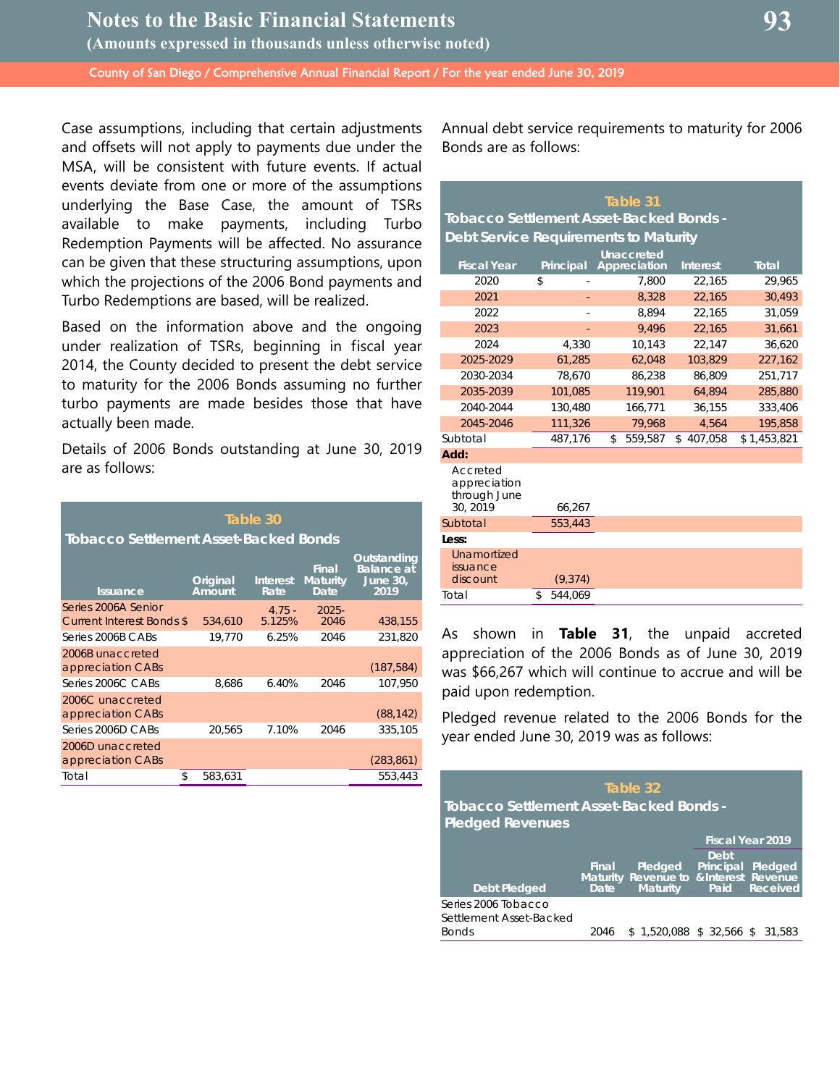Case assumptions, including that certain adjustments and offsets will not apply to payments due under the MSA, will be consistent with future events. If actual events deviate from one or more of the assumptions underlying the Base Case, the amount of TSRs available to make payments, including Turbo Redemption Payments will be affected. No assurance can be given that these structuring assumptions, upon which the projections of the 2006 Bond payments and Turbo Redemptions are based, will be realized.

Based on the information above and the ongoing under realization of TSRs, beginning in fiscal year 2014, the County decided to present the debt service to maturity for the 2006 Bonds assuming no further turbo payments are made besides those that have actually been made.

Details of 2006 Bonds outstanding at June 30, 2019 are as follows:

| Table 30<br>Tobacco Settlement Asset-Backed Bonds |                    |                         |                                  |                                                      |  |  |  |
|---------------------------------------------------|--------------------|-------------------------|----------------------------------|------------------------------------------------------|--|--|--|
| <b>Issuance</b>                                   | Original<br>Amount | <b>Interest</b><br>Rate | Final<br><b>Maturity</b><br>Date | Outstanding<br>Balance at<br><b>June 30,</b><br>2019 |  |  |  |
| Series 2006A Senior<br>Current Interest Bonds \$  | 534,610            | $4.75 -$<br>5.125%      | $2025 -$<br>2046                 | 438,155                                              |  |  |  |
| Series 2006B CABs                                 | 19.770             | 6.25%                   | 2046                             | 231.820                                              |  |  |  |
| 2006B unaccreted<br>appreciation CABs             |                    |                         |                                  | (187, 584)                                           |  |  |  |
| Series 2006C CABs                                 | 8,686              | 6.40%                   | 2046                             | 107,950                                              |  |  |  |
| 2006C unaccreted<br>appreciation CABs             |                    |                         |                                  | (88, 142)                                            |  |  |  |
| Series 2006D CABs                                 | 20,565             | 7.10%                   | 2046                             | 335,105                                              |  |  |  |
| 2006D unaccreted<br>appreciation CABs             |                    |                         |                                  | (283, 861)                                           |  |  |  |
| \$<br>Total                                       | 583,631            |                         |                                  | 553,443                                              |  |  |  |

Annual debt service requirements to maturity for 2006 Bonds are as follows:

| Table 31                                            |               |               |                 |              |  |  |  |  |
|-----------------------------------------------------|---------------|---------------|-----------------|--------------|--|--|--|--|
| <b>Tobacco Settlement Asset-Backed Bonds -</b>      |               |               |                 |              |  |  |  |  |
| Debt Service Requirements to Maturity               |               |               |                 |              |  |  |  |  |
| <b>Unaccreted</b>                                   |               |               |                 |              |  |  |  |  |
| <b>Fiscal Year</b>                                  | Principal     | Appreciation  | <b>Interest</b> | <b>Total</b> |  |  |  |  |
| 2020                                                | \$            | 7,800         | 22,165          | 29,965       |  |  |  |  |
| 2021                                                |               | 8,328         | 22,165          | 30,493       |  |  |  |  |
| 2022                                                |               | 8.894         | 22.165          | 31,059       |  |  |  |  |
| 2023                                                |               | 9.496         | 22,165          | 31,661       |  |  |  |  |
| 2024                                                | 4,330         | 10,143        | 22,147          | 36,620       |  |  |  |  |
| 2025-2029                                           | 61,285        | 62,048        | 103,829         | 227,162      |  |  |  |  |
| 2030-2034                                           | 78,670        | 86,238        | 86,809          | 251,717      |  |  |  |  |
| 2035-2039                                           | 101,085       | 119,901       | 64,894          | 285,880      |  |  |  |  |
| 2040-2044                                           | 130,480       | 166,771       | 36,155          | 333,406      |  |  |  |  |
| 2045-2046                                           | 111,326       | 79.968        | 4.564           | 195.858      |  |  |  |  |
| Subtotal                                            | 487,176       | \$<br>559,587 | \$<br>407,058   | \$1,453,821  |  |  |  |  |
| Add:                                                |               |               |                 |              |  |  |  |  |
| Accreted<br>appreciation<br>through June<br>30.2019 | 66,267        |               |                 |              |  |  |  |  |
| Subtotal                                            | 553,443       |               |                 |              |  |  |  |  |
| Less:                                               |               |               |                 |              |  |  |  |  |
| Unamortized<br>issuance<br>discount                 | (9, 374)      |               |                 |              |  |  |  |  |
| Total                                               | 544,069<br>\$ |               |                 |              |  |  |  |  |

As shown in **Table 31**, the unpaid accreted appreciation of the 2006 Bonds as of June 30, 2019 was \$66,267 which will continue to accrue and will be paid upon redemption.

Pledged revenue related to the 2006 Bonds for the year ended June 30, 2019 was as follows:

| Table 32                                                                  |               |                                                                      |                           |                            |  |  |
|---------------------------------------------------------------------------|---------------|----------------------------------------------------------------------|---------------------------|----------------------------|--|--|
| <b>Tobacco Settlement Asset-Backed Bonds -</b><br><b>Pledged Revenues</b> |               |                                                                      |                           |                            |  |  |
|                                                                           |               |                                                                      |                           | <b>Fiscal Year 2019</b>    |  |  |
| <b>Debt Pledged</b>                                                       | Final<br>Date | Pledged<br>Maturity Revenue to & Interest Revenue<br><b>Maturity</b> | Debt<br>Principal<br>Paid | Pledged<br><b>Received</b> |  |  |
| Series 2006 Tobacco<br>Settlement Asset-Backed<br><b>Bonds</b>            | 2046          | \$1.520.088                                                          | $$32,566$ \$              | 31.583                     |  |  |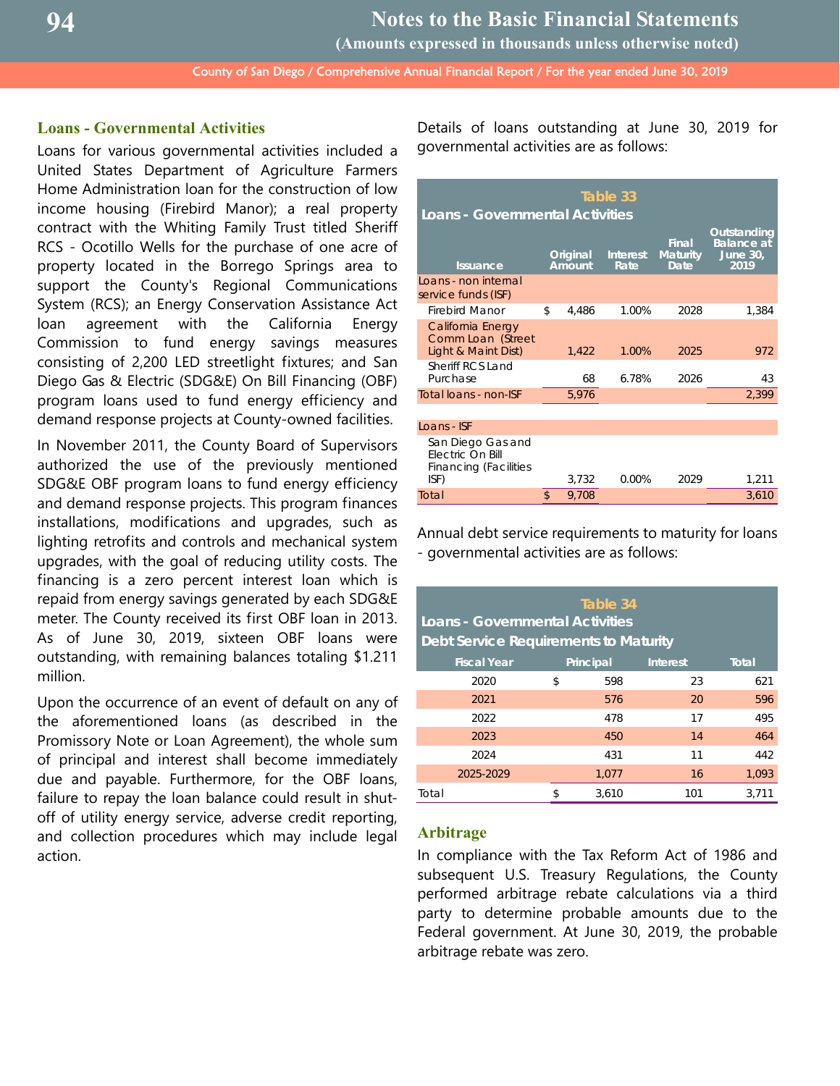**(Amounts expressed in thousands unless otherwise noted)**

County of San Diego / Comprehensive Annual Financial Report / For the year ended June 30, 2019

## **Loans - Governmental Activities**

Loans for various governmental activities included a United States Department of Agriculture Farmers Home Administration loan for the construction of low income housing (Firebird Manor); a real property contract with the Whiting Family Trust titled Sheriff RCS - Ocotillo Wells for the purchase of one acre of property located in the Borrego Springs area to support the County's Regional Communications System (RCS); an Energy Conservation Assistance Act loan agreement with the California Energy Commission to fund energy savings measures consisting of 2,200 LED streetlight fixtures; and San Diego Gas & Electric (SDG&E) On Bill Financing (OBF) program loans used to fund energy efficiency and demand response projects at County-owned facilities.

In November 2011, the County Board of Supervisors authorized the use of the previously mentioned SDG&E OBF program loans to fund energy efficiency and demand response projects. This program finances installations, modifications and upgrades, such as lighting retrofits and controls and mechanical system upgrades, with the goal of reducing utility costs. The financing is a zero percent interest loan which is repaid from energy savings generated by each SDG&E meter. The County received its first OBF loan in 2013. As of June 30, 2019, sixteen OBF loans were outstanding, with remaining balances totaling \$1.211 million.

Upon the occurrence of an event of default on any of the aforementioned loans (as described in the Promissory Note or Loan Agreement), the whole sum of principal and interest shall become immediately due and payable. Furthermore, for the OBF loans, failure to repay the loan balance could result in shutoff of utility energy service, adverse credit reporting, and collection procedures which may include legal action.

Details of loans outstanding at June 30, 2019 for governmental activities are as follows:

| Table 33<br><b>Loans - Governmental Activities</b>                                   |    |                    |                                                                                |      |       |  |  |
|--------------------------------------------------------------------------------------|----|--------------------|--------------------------------------------------------------------------------|------|-------|--|--|
| <b>Issuance</b>                                                                      |    | Original<br>Amount | Outstanding<br><b>Balance at</b><br><b>Maturity</b><br><b>June 30,</b><br>2019 |      |       |  |  |
| Loans - non internal<br>service funds (ISF)                                          |    |                    |                                                                                |      |       |  |  |
| <b>Firebird Manor</b>                                                                | \$ | 4,486              | 1.00%                                                                          | 2028 | 1,384 |  |  |
| California Energy<br>Comm Loan (Street<br>Light & Maint Dist)                        |    | 1,422              | 1.00%                                                                          | 2025 | 972   |  |  |
| <b>Sheriff RCS Land</b><br>Purchase                                                  |    | 68                 | 6.78%                                                                          | 2026 | 43    |  |  |
| Total loans - non-ISF                                                                |    | 5,976              |                                                                                |      | 2,399 |  |  |
|                                                                                      |    |                    |                                                                                |      |       |  |  |
| Loans - ISF                                                                          |    |                    |                                                                                |      |       |  |  |
| San Diego Gas and<br><b>Electric On Bill</b><br><b>Financing (Facilities</b><br>ISF) |    | 3,732              | 0.00%                                                                          | 2029 | 1,211 |  |  |
| Total                                                                                | \$ | 9.708              |                                                                                |      | 3,610 |  |  |

Annual debt service requirements to maturity for loans - governmental activities are as follows:

| Table 34<br><b>Loans - Governmental Activities</b><br>Debt Service Requirements to Maturity |    |           |                 |       |  |  |
|---------------------------------------------------------------------------------------------|----|-----------|-----------------|-------|--|--|
| <b>Fiscal Year</b>                                                                          |    | Principal | <b>Interest</b> | Total |  |  |
| 2020                                                                                        | \$ | 598       | 23              | 621   |  |  |
| 2021                                                                                        |    | 576       | 20              | 596   |  |  |
| 2022                                                                                        |    | 478       | 17              | 495   |  |  |
| 2023                                                                                        |    | 450       | 14              | 464   |  |  |
| 2024                                                                                        |    | 431       | 11              | 442   |  |  |
| 2025-2029                                                                                   |    | 1,077     | 16              | 1,093 |  |  |
| Total                                                                                       |    | 3.610     | 101             | 3,711 |  |  |

#### **Arbitrage**

In compliance with the Tax Reform Act of 1986 and subsequent U.S. Treasury Regulations, the County performed arbitrage rebate calculations via a third party to determine probable amounts due to the Federal government. At June 30, 2019, the probable arbitrage rebate was zero.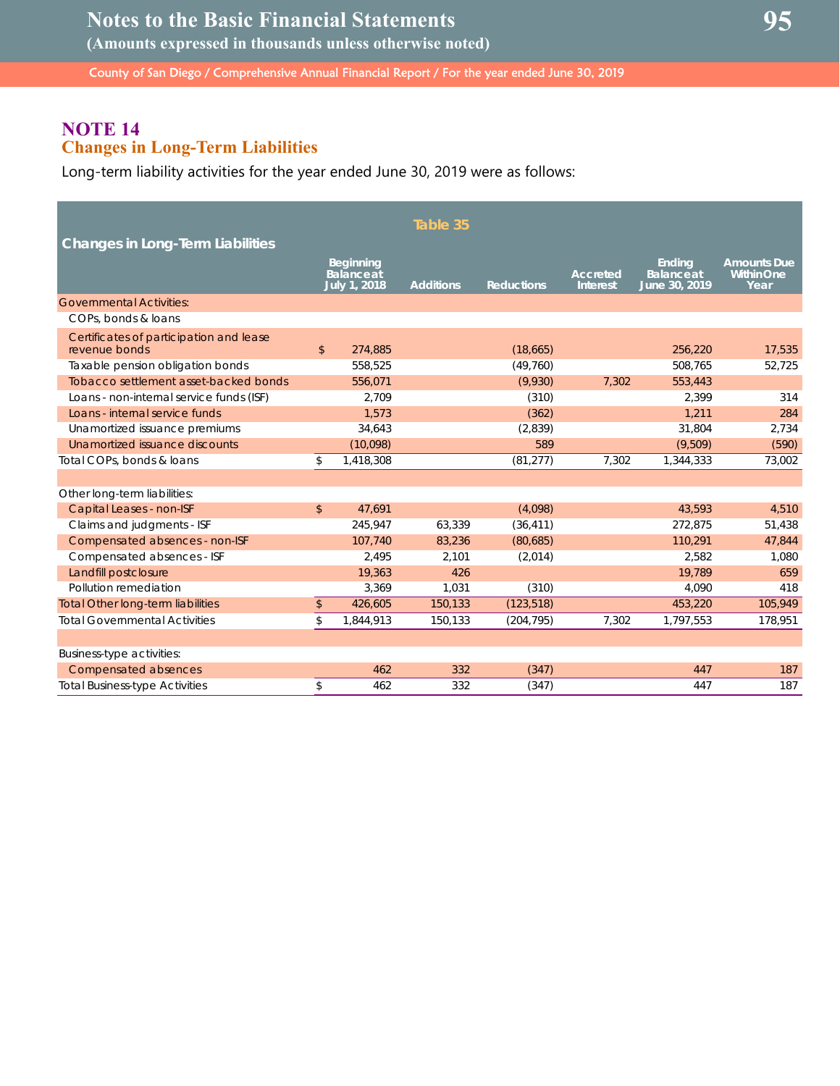## **Notes to the Basic Financial Statements**

**(Amounts expressed in thousands unless otherwise noted)**

County of San Diego / Comprehensive Annual Financial Report / For the year ended June 30, 2019

## **NOTE 14 Changes in Long-Term Liabilities**

Long-term liability activities for the year ended June 30, 2019 were as follows:

| <b>Changes in Long-Term Liabilities</b>                  |                |                                                       | Table 35         |                   |                                    |                                                     |                                                 |
|----------------------------------------------------------|----------------|-------------------------------------------------------|------------------|-------------------|------------------------------------|-----------------------------------------------------|-------------------------------------------------|
|                                                          |                | <b>Beginning</b><br><b>Balance</b> at<br>July 1, 2018 | <b>Additions</b> | <b>Reductions</b> | <b>Accreted</b><br><b>Interest</b> | <b>Ending</b><br><b>Balance</b> at<br>June 30, 2019 | <b>Amounts Due</b><br><b>Within One</b><br>Year |
| <b>Governmental Activities:</b>                          |                |                                                       |                  |                   |                                    |                                                     |                                                 |
| COPs, bonds & loans                                      |                |                                                       |                  |                   |                                    |                                                     |                                                 |
| Certificates of participation and lease<br>revenue bonds | \$             | 274,885                                               |                  | (18,665)          |                                    | 256,220                                             | 17,535                                          |
| Taxable pension obligation bonds                         |                | 558,525                                               |                  | (49, 760)         |                                    | 508,765                                             | 52,725                                          |
| Tobacco settlement asset-backed bonds                    |                | 556,071                                               |                  | (9,930)           | 7,302                              | 553,443                                             |                                                 |
| Loans - non-internal service funds (ISF)                 |                | 2.709                                                 |                  | (310)             |                                    | 2.399                                               | 314                                             |
| Loans - internal service funds                           |                | 1,573                                                 |                  | (362)             |                                    | 1,211                                               | 284                                             |
| Unamortized issuance premiums                            |                | 34,643                                                |                  | (2,839)           |                                    | 31.804                                              | 2,734                                           |
| Unamortized issuance discounts                           |                | (10,098)                                              |                  | 589               |                                    | (9,509)                                             | (590)                                           |
| Total COPs, bonds & loans                                | \$             | 1,418,308                                             |                  | (81, 277)         | 7,302                              | 1,344,333                                           | 73,002                                          |
|                                                          |                |                                                       |                  |                   |                                    |                                                     |                                                 |
| Other long-term liabilities:                             |                |                                                       |                  |                   |                                    |                                                     |                                                 |
| Capital Leases - non-ISF                                 | $\mathfrak{D}$ | 47,691                                                |                  | (4,098)           |                                    | 43,593                                              | 4,510                                           |
| Claims and judgments - ISF                               |                | 245,947                                               | 63,339           | (36, 411)         |                                    | 272,875                                             | 51,438                                          |
| Compensated absences - non-ISF                           |                | 107,740                                               | 83,236           | (80,685)          |                                    | 110,291                                             | 47,844                                          |
| Compensated absences - ISF                               |                | 2,495                                                 | 2,101            | (2,014)           |                                    | 2,582                                               | 1,080                                           |
| Landfill postclosure                                     |                | 19,363                                                | 426              |                   |                                    | 19,789                                              | 659                                             |
| Pollution remediation                                    |                | 3,369                                                 | 1,031            | (310)             |                                    | 4,090                                               | 418                                             |
| <b>Total Other long-term liabilities</b>                 | $\frac{1}{2}$  | 426,605                                               | 150,133          | (123, 518)        |                                    | 453,220                                             | 105,949                                         |
| <b>Total Governmental Activities</b>                     | \$             | 1,844,913                                             | 150,133          | (204, 795)        | 7,302                              | 1,797,553                                           | 178,951                                         |
|                                                          |                |                                                       |                  |                   |                                    |                                                     |                                                 |
| <b>Business-type activities:</b>                         |                |                                                       |                  |                   |                                    |                                                     |                                                 |
| <b>Compensated absences</b>                              |                | 462                                                   | 332              | (347)             |                                    | 447                                                 | 187                                             |
| <b>Total Business-type Activities</b>                    | \$             | 462                                                   | 332              | (347)             |                                    | 447                                                 | 187                                             |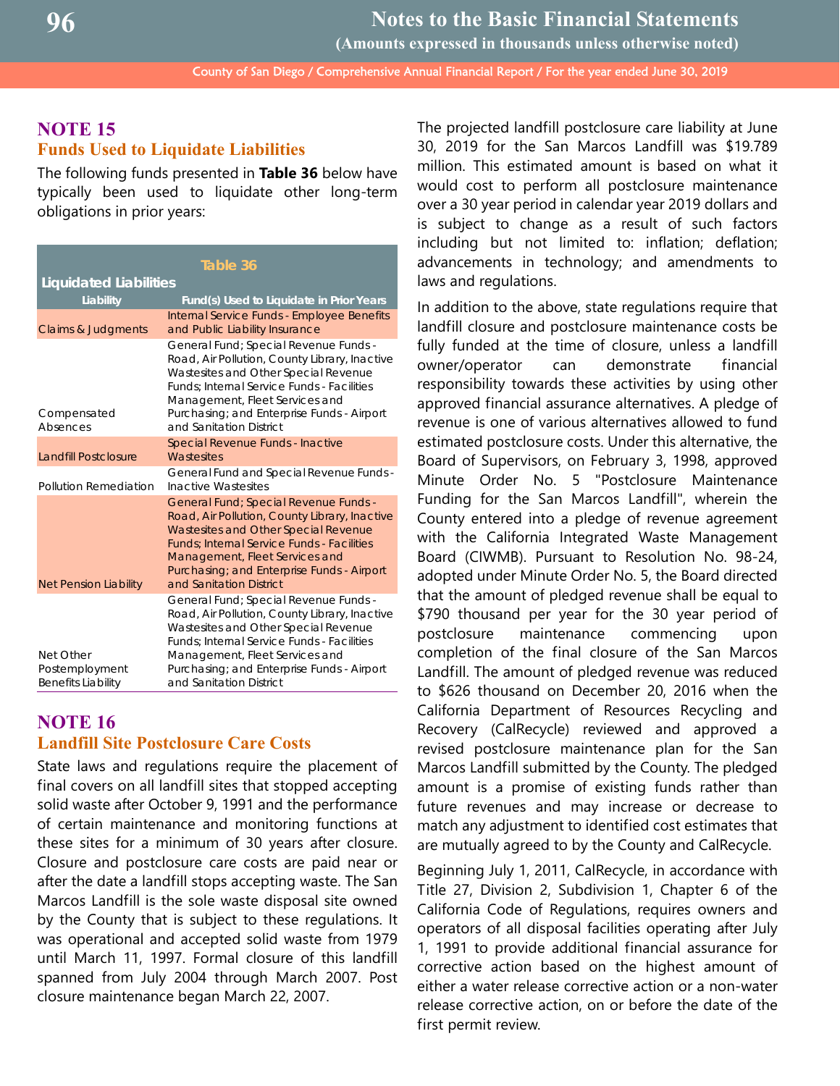**(Amounts expressed in thousands unless otherwise noted)**

County of San Diego / Comprehensive Annual Financial Report / For the year ended June 30, 2019

## **NOTE 15 Funds Used to Liquidate Liabilities**

The following funds presented in **Table 36** below have typically been used to liquidate other long-term obligations in prior years:

| Table 36                                                 |                                                                                                                                                                                                                                                                                                 |  |  |  |  |  |
|----------------------------------------------------------|-------------------------------------------------------------------------------------------------------------------------------------------------------------------------------------------------------------------------------------------------------------------------------------------------|--|--|--|--|--|
| <b>Liquidated Liabilities</b>                            |                                                                                                                                                                                                                                                                                                 |  |  |  |  |  |
| Liability                                                | Fund(s) Used to Liquidate in Prior Years                                                                                                                                                                                                                                                        |  |  |  |  |  |
| <b>Claims &amp; Judgments</b>                            | Internal Service Funds - Employee Benefits<br>and Public Liability Insurance                                                                                                                                                                                                                    |  |  |  |  |  |
| Compensated<br><b>Absences</b>                           | General Fund; Special Revenue Funds -<br>Road, Air Pollution, County Library, Inactive<br>Wastesites and Other Special Revenue<br><b>Funds: Internal Service Funds - Facilities</b><br>Management, Fleet Services and<br>Purchasing; and Enterprise Funds - Airport<br>and Sanitation District  |  |  |  |  |  |
| <b>Landfill Postclosure</b>                              | Special Revenue Funds - Inactive<br><b>Wastesites</b>                                                                                                                                                                                                                                           |  |  |  |  |  |
| Pollution Remediation                                    | General Fund and Special Revenue Funds -<br><b>Inactive Wastesites</b>                                                                                                                                                                                                                          |  |  |  |  |  |
| <b>Net Pension Liability</b>                             | General Fund; Special Revenue Funds -<br>Road, Air Pollution, County Library, Inactive<br>Wastesites and Other Special Revenue<br><b>Funds</b> ; Internal Service Funds - Facilities<br>Management, Fleet Services and<br>Purchasing; and Enterprise Funds - Airport<br>and Sanitation District |  |  |  |  |  |
| Net Other<br>Postemployment<br><b>Benefits Liability</b> | General Fund; Special Revenue Funds -<br>Road, Air Pollution, County Library, Inactive<br>Wastesites and Other Special Revenue<br><b>Funds: Internal Service Funds - Facilities</b><br>Management, Fleet Services and<br>Purchasing; and Enterprise Funds - Airport<br>and Sanitation District  |  |  |  |  |  |

## **NOTE 16 Landfill Site Postclosure Care Costs**

State laws and regulations require the placement of final covers on all landfill sites that stopped accepting solid waste after October 9, 1991 and the performance of certain maintenance and monitoring functions at these sites for a minimum of 30 years after closure. Closure and postclosure care costs are paid near or after the date a landfill stops accepting waste. The San Marcos Landfill is the sole waste disposal site owned by the County that is subject to these regulations. It was operational and accepted solid waste from 1979 until March 11, 1997. Formal closure of this landfill spanned from July 2004 through March 2007. Post closure maintenance began March 22, 2007.

The projected landfill postclosure care liability at June 30, 2019 for the San Marcos Landfill was \$19.789 million. This estimated amount is based on what it would cost to perform all postclosure maintenance over a 30 year period in calendar year 2019 dollars and is subject to change as a result of such factors including but not limited to: inflation; deflation; advancements in technology; and amendments to laws and regulations.

In addition to the above, state regulations require that landfill closure and postclosure maintenance costs be fully funded at the time of closure, unless a landfill owner/operator can demonstrate financial responsibility towards these activities by using other approved financial assurance alternatives. A pledge of revenue is one of various alternatives allowed to fund estimated postclosure costs. Under this alternative, the Board of Supervisors, on February 3, 1998, approved Minute Order No. 5 "Postclosure Maintenance Funding for the San Marcos Landfill", wherein the County entered into a pledge of revenue agreement with the California Integrated Waste Management Board (CIWMB). Pursuant to Resolution No. 98-24, adopted under Minute Order No. 5, the Board directed that the amount of pledged revenue shall be equal to \$790 thousand per year for the 30 year period of postclosure maintenance commencing upon completion of the final closure of the San Marcos Landfill. The amount of pledged revenue was reduced to \$626 thousand on December 20, 2016 when the California Department of Resources Recycling and Recovery (CalRecycle) reviewed and approved a revised postclosure maintenance plan for the San Marcos Landfill submitted by the County. The pledged amount is a promise of existing funds rather than future revenues and may increase or decrease to match any adjustment to identified cost estimates that are mutually agreed to by the County and CalRecycle.

Beginning July 1, 2011, CalRecycle, in accordance with Title 27, Division 2, Subdivision 1, Chapter 6 of the California Code of Regulations, requires owners and operators of all disposal facilities operating after July 1, 1991 to provide additional financial assurance for corrective action based on the highest amount of either a water release corrective action or a non-water release corrective action, on or before the date of the first permit review.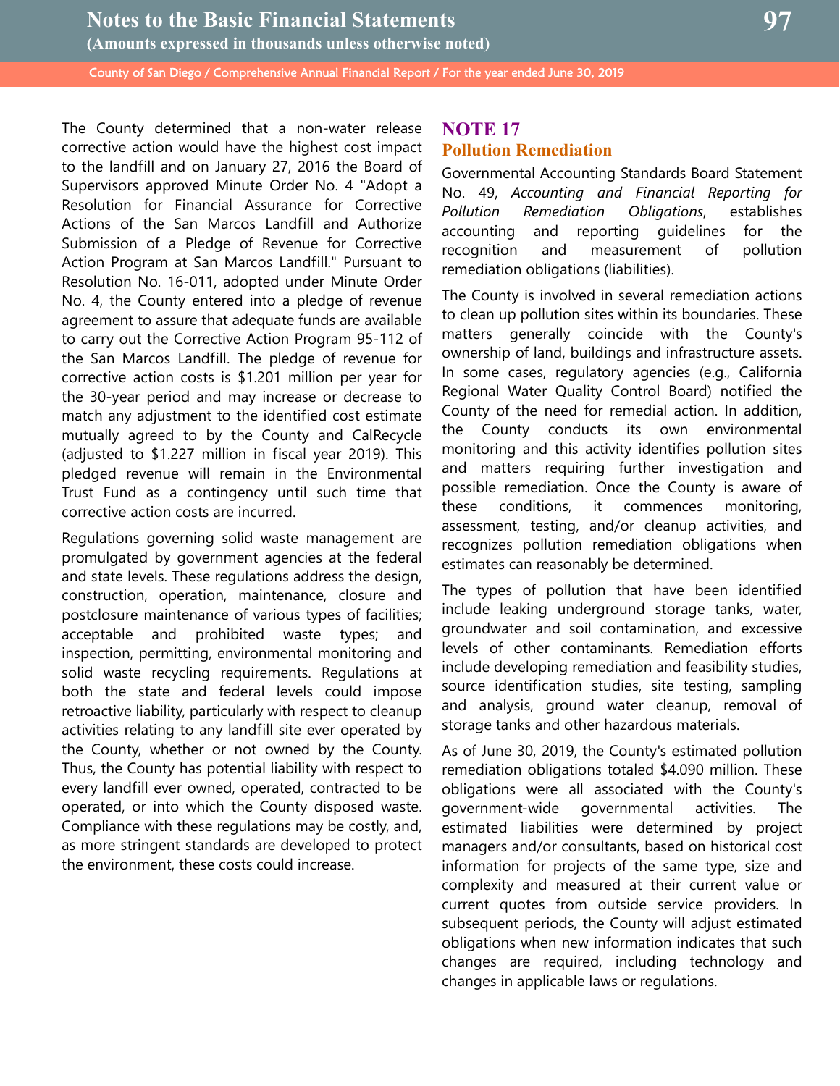The County determined that a non-water release corrective action would have the highest cost impact to the landfill and on January 27, 2016 the Board of Supervisors approved Minute Order No. 4 "Adopt a Resolution for Financial Assurance for Corrective Actions of the San Marcos Landfill and Authorize Submission of a Pledge of Revenue for Corrective Action Program at San Marcos Landfill." Pursuant to Resolution No. 16-011, adopted under Minute Order No. 4, the County entered into a pledge of revenue agreement to assure that adequate funds are available to carry out the Corrective Action Program 95-112 of the San Marcos Landfill. The pledge of revenue for corrective action costs is \$1.201 million per year for the 30-year period and may increase or decrease to match any adjustment to the identified cost estimate mutually agreed to by the County and CalRecycle (adjusted to \$1.227 million in fiscal year 2019). This pledged revenue will remain in the Environmental Trust Fund as a contingency until such time that corrective action costs are incurred.

Regulations governing solid waste management are promulgated by government agencies at the federal and state levels. These regulations address the design, construction, operation, maintenance, closure and postclosure maintenance of various types of facilities; acceptable and prohibited waste types; and inspection, permitting, environmental monitoring and solid waste recycling requirements. Regulations at both the state and federal levels could impose retroactive liability, particularly with respect to cleanup activities relating to any landfill site ever operated by the County, whether or not owned by the County. Thus, the County has potential liability with respect to every landfill ever owned, operated, contracted to be operated, or into which the County disposed waste. Compliance with these regulations may be costly, and, as more stringent standards are developed to protect the environment, these costs could increase.

## **NOTE 17 Pollution Remediation**

Governmental Accounting Standards Board Statement No. 49, *Accounting and Financial Reporting for Pollution Remediation Obligations*, establishes accounting and reporting guidelines for the recognition and measurement of pollution remediation obligations (liabilities).

The County is involved in several remediation actions to clean up pollution sites within its boundaries. These matters generally coincide with the County's ownership of land, buildings and infrastructure assets. In some cases, regulatory agencies (e.g., California Regional Water Quality Control Board) notified the County of the need for remedial action. In addition, the County conducts its own environmental monitoring and this activity identifies pollution sites and matters requiring further investigation and possible remediation. Once the County is aware of these conditions, it commences monitoring, assessment, testing, and/or cleanup activities, and recognizes pollution remediation obligations when estimates can reasonably be determined.

The types of pollution that have been identified include leaking underground storage tanks, water, groundwater and soil contamination, and excessive levels of other contaminants. Remediation efforts include developing remediation and feasibility studies, source identification studies, site testing, sampling and analysis, ground water cleanup, removal of storage tanks and other hazardous materials.

As of June 30, 2019, the County's estimated pollution remediation obligations totaled \$4.090 million. These obligations were all associated with the County's government-wide governmental activities. The estimated liabilities were determined by project managers and/or consultants, based on historical cost information for projects of the same type, size and complexity and measured at their current value or current quotes from outside service providers. In subsequent periods, the County will adjust estimated obligations when new information indicates that such changes are required, including technology and changes in applicable laws or regulations.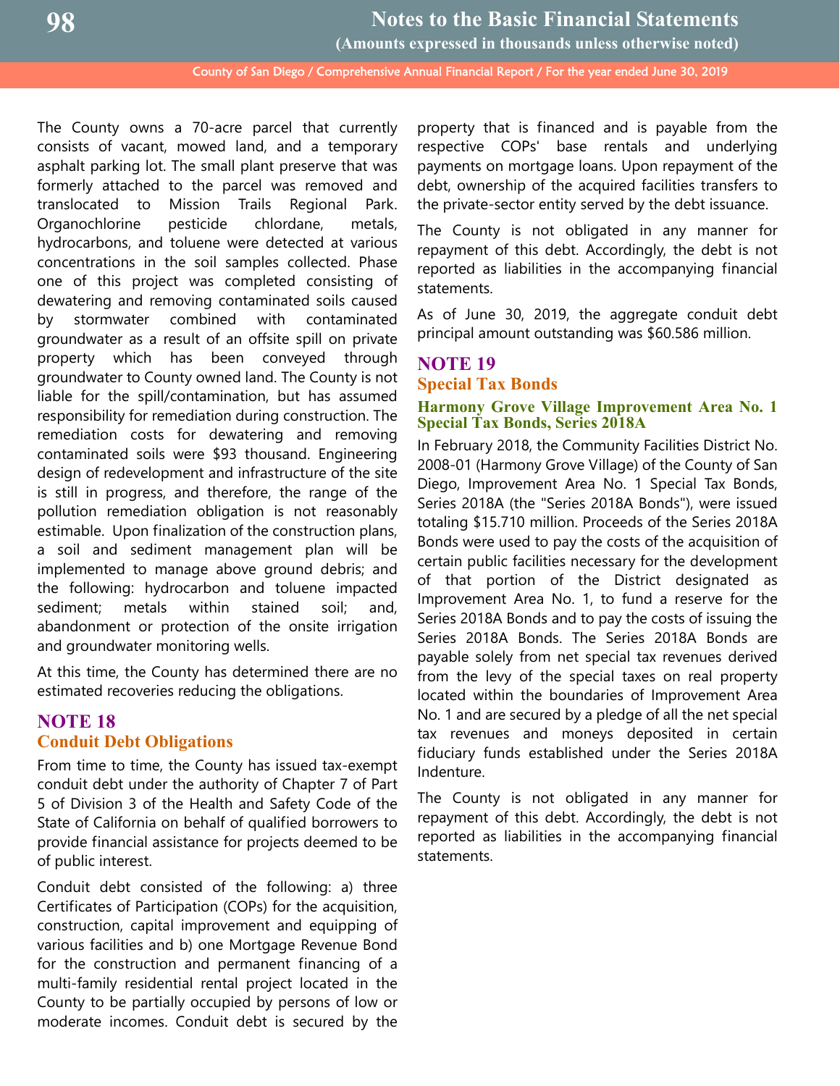**(Amounts expressed in thousands unless otherwise noted)**

County of San Diego / Comprehensive Annual Financial Report / For the year ended June 30, 2019

The County owns a 70-acre parcel that currently consists of vacant, mowed land, and a temporary asphalt parking lot. The small plant preserve that was formerly attached to the parcel was removed and translocated to Mission Trails Regional Park. Organochlorine pesticide chlordane, metals, hydrocarbons, and toluene were detected at various concentrations in the soil samples collected. Phase one of this project was completed consisting of dewatering and removing contaminated soils caused by stormwater combined with contaminated groundwater as a result of an offsite spill on private property which has been conveyed through groundwater to County owned land. The County is not liable for the spill/contamination, but has assumed responsibility for remediation during construction. The remediation costs for dewatering and removing contaminated soils were \$93 thousand. Engineering design of redevelopment and infrastructure of the site is still in progress, and therefore, the range of the pollution remediation obligation is not reasonably estimable. Upon finalization of the construction plans, a soil and sediment management plan will be implemented to manage above ground debris; and the following: hydrocarbon and toluene impacted sediment; metals within stained soil; and, abandonment or protection of the onsite irrigation and groundwater monitoring wells.

At this time, the County has determined there are no estimated recoveries reducing the obligations.

## **NOTE 18 Conduit Debt Obligations**

From time to time, the County has issued tax-exempt conduit debt under the authority of Chapter 7 of Part 5 of Division 3 of the Health and Safety Code of the State of California on behalf of qualified borrowers to provide financial assistance for projects deemed to be of public interest.

Conduit debt consisted of the following: a) three Certificates of Participation (COPs) for the acquisition, construction, capital improvement and equipping of various facilities and b) one Mortgage Revenue Bond for the construction and permanent financing of a multi-family residential rental project located in the County to be partially occupied by persons of low or moderate incomes. Conduit debt is secured by the

property that is financed and is payable from the respective COPs' base rentals and underlying payments on mortgage loans. Upon repayment of the debt, ownership of the acquired facilities transfers to the private-sector entity served by the debt issuance.

The County is not obligated in any manner for repayment of this debt. Accordingly, the debt is not reported as liabilities in the accompanying financial statements.

As of June 30, 2019, the aggregate conduit debt principal amount outstanding was \$60.586 million.

## **NOTE 19 Special Tax Bonds**

## **Harmony Grove Village Improvement Area No. 1 Special Tax Bonds, Series 2018A**

In February 2018, the Community Facilities District No. 2008-01 (Harmony Grove Village) of the County of San Diego, Improvement Area No. 1 Special Tax Bonds, Series 2018A (the "Series 2018A Bonds"), were issued totaling \$15.710 million. Proceeds of the Series 2018A Bonds were used to pay the costs of the acquisition of certain public facilities necessary for the development of that portion of the District designated as Improvement Area No. 1, to fund a reserve for the Series 2018A Bonds and to pay the costs of issuing the Series 2018A Bonds. The Series 2018A Bonds are payable solely from net special tax revenues derived from the levy of the special taxes on real property located within the boundaries of Improvement Area No. 1 and are secured by a pledge of all the net special tax revenues and moneys deposited in certain fiduciary funds established under the Series 2018A Indenture.

The County is not obligated in any manner for repayment of this debt. Accordingly, the debt is not reported as liabilities in the accompanying financial statements.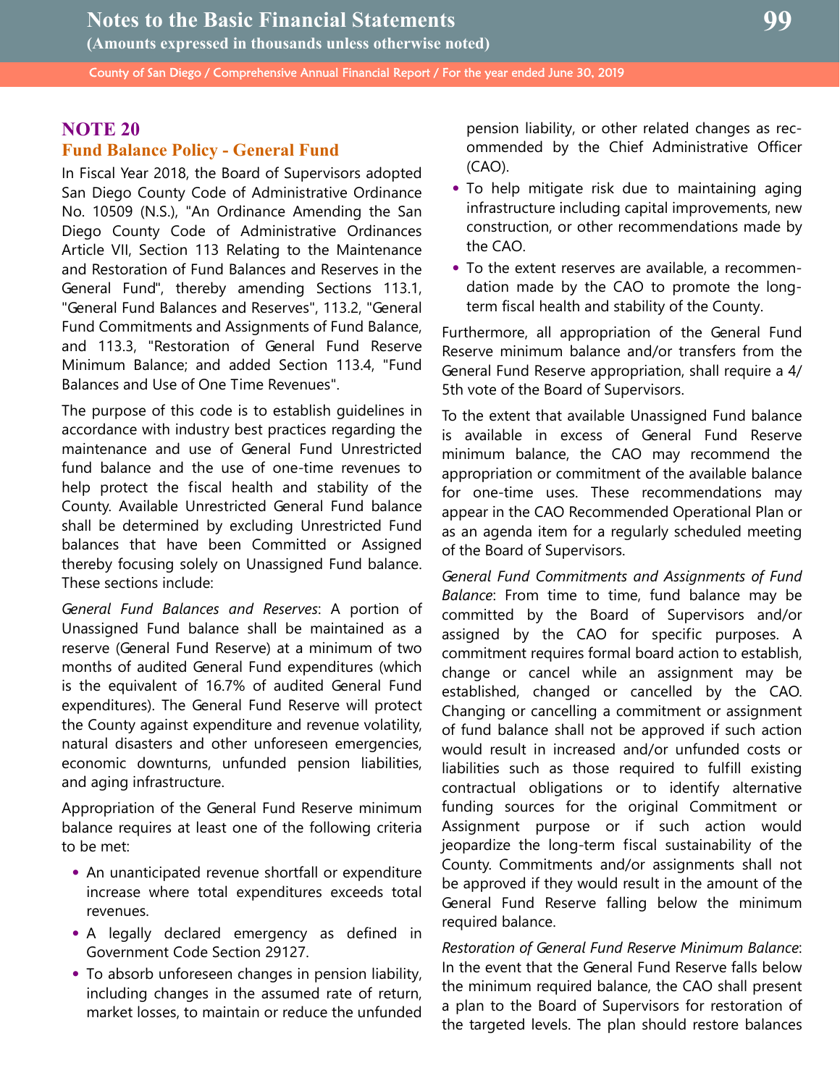## **NOTE 20 Fund Balance Policy - General Fund**

In Fiscal Year 2018, the Board of Supervisors adopted San Diego County Code of Administrative Ordinance No. 10509 (N.S.), "An Ordinance Amending the San Diego County Code of Administrative Ordinances Article VII, Section 113 Relating to the Maintenance and Restoration of Fund Balances and Reserves in the General Fund", thereby amending Sections 113.1, "General Fund Balances and Reserves", 113.2, "General Fund Commitments and Assignments of Fund Balance, and 113.3, "Restoration of General Fund Reserve Minimum Balance; and added Section 113.4, "Fund Balances and Use of One Time Revenues".

The purpose of this code is to establish guidelines in accordance with industry best practices regarding the maintenance and use of General Fund Unrestricted fund balance and the use of one-time revenues to help protect the fiscal health and stability of the County. Available Unrestricted General Fund balance shall be determined by excluding Unrestricted Fund balances that have been Committed or Assigned thereby focusing solely on Unassigned Fund balance. These sections include:

*General Fund Balances and Reserves*: A portion of Unassigned Fund balance shall be maintained as a reserve (General Fund Reserve) at a minimum of two months of audited General Fund expenditures (which is the equivalent of 16.7% of audited General Fund expenditures). The General Fund Reserve will protect the County against expenditure and revenue volatility, natural disasters and other unforeseen emergencies, economic downturns, unfunded pension liabilities, and aging infrastructure.

Appropriation of the General Fund Reserve minimum balance requires at least one of the following criteria to be met:

- **•** An unanticipated revenue shortfall or expenditure increase where total expenditures exceeds total revenues.
- **•** A legally declared emergency as defined in Government Code Section 29127.
- **•** To absorb unforeseen changes in pension liability, including changes in the assumed rate of return, market losses, to maintain or reduce the unfunded

pension liability, or other related changes as recommended by the Chief Administrative Officer (CAO).

- **•** To help mitigate risk due to maintaining aging infrastructure including capital improvements, new construction, or other recommendations made by the CAO.
- **•** To the extent reserves are available, a recommendation made by the CAO to promote the longterm fiscal health and stability of the County.

Furthermore, all appropriation of the General Fund Reserve minimum balance and/or transfers from the General Fund Reserve appropriation, shall require a 4/ 5th vote of the Board of Supervisors.

To the extent that available Unassigned Fund balance is available in excess of General Fund Reserve minimum balance, the CAO may recommend the appropriation or commitment of the available balance for one-time uses. These recommendations may appear in the CAO Recommended Operational Plan or as an agenda item for a regularly scheduled meeting of the Board of Supervisors.

*General Fund Commitments and Assignments of Fund Balance*: From time to time, fund balance may be committed by the Board of Supervisors and/or assigned by the CAO for specific purposes. A commitment requires formal board action to establish, change or cancel while an assignment may be established, changed or cancelled by the CAO. Changing or cancelling a commitment or assignment of fund balance shall not be approved if such action would result in increased and/or unfunded costs or liabilities such as those required to fulfill existing contractual obligations or to identify alternative funding sources for the original Commitment or Assignment purpose or if such action would jeopardize the long-term fiscal sustainability of the County. Commitments and/or assignments shall not be approved if they would result in the amount of the General Fund Reserve falling below the minimum required balance.

*Restoration of General Fund Reserve Minimum Balance*: In the event that the General Fund Reserve falls below the minimum required balance, the CAO shall present a plan to the Board of Supervisors for restoration of the targeted levels. The plan should restore balances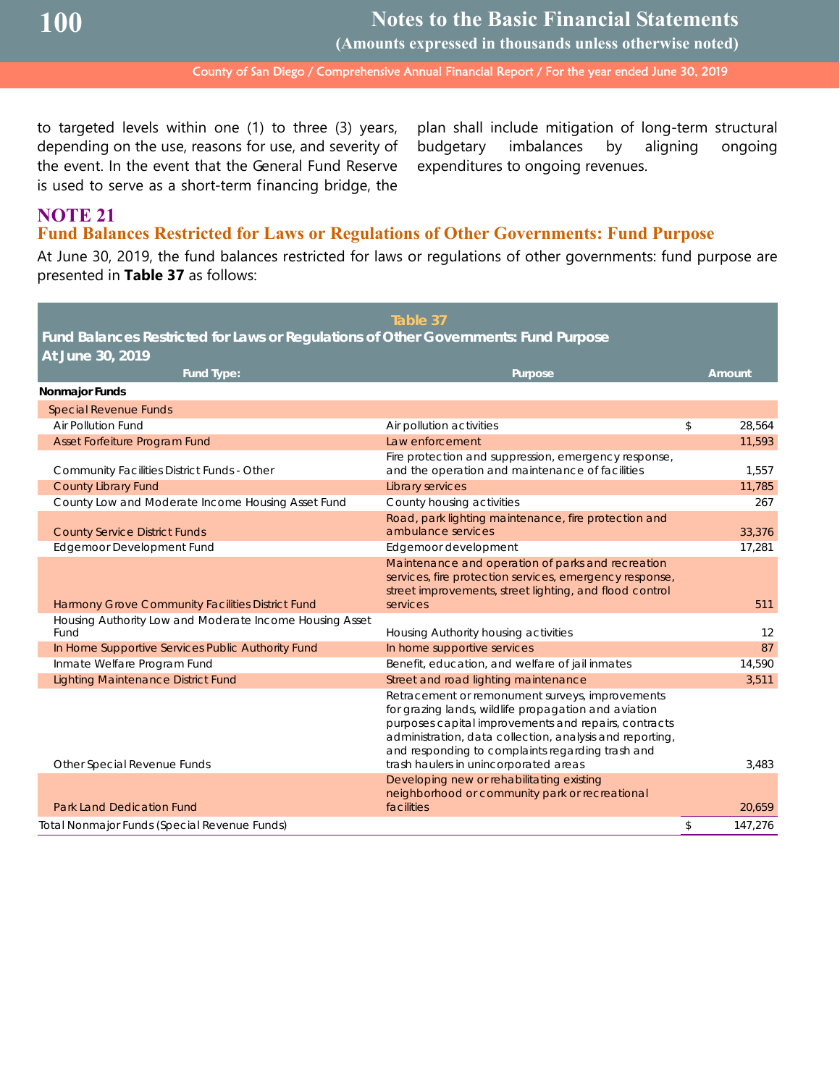**Notes to the Basic Financial Statements**

**(Amounts expressed in thousands unless otherwise noted)**

County of San Diego / Comprehensive Annual Financial Report / For the year ended June 30, 2019

to targeted levels within one (1) to three (3) years, depending on the use, reasons for use, and severity of the event. In the event that the General Fund Reserve is used to serve as a short-term financing bridge, the

plan shall include mitigation of long-term structural budgetary imbalances by aligning ongoing expenditures to ongoing revenues.

## **NOTE 21 Fund Balances Restricted for Laws or Regulations of Other Governments: Fund Purpose**

At June 30, 2019, the fund balances restricted for laws or regulations of other governments: fund purpose are presented in **Table 37** as follows:

|                                                                                     | Table 37                                                                                                                                                                                                                                                                        |                   |
|-------------------------------------------------------------------------------------|---------------------------------------------------------------------------------------------------------------------------------------------------------------------------------------------------------------------------------------------------------------------------------|-------------------|
| Fund Balances Restricted for Laws or Regulations of Other Governments: Fund Purpose |                                                                                                                                                                                                                                                                                 |                   |
| At June 30, 2019                                                                    |                                                                                                                                                                                                                                                                                 |                   |
| Fund Type:                                                                          | Purpose                                                                                                                                                                                                                                                                         | Amount            |
| Nonmajor Funds                                                                      |                                                                                                                                                                                                                                                                                 |                   |
| <b>Special Revenue Funds</b>                                                        |                                                                                                                                                                                                                                                                                 |                   |
| Air Pollution Fund                                                                  | Air pollution activities                                                                                                                                                                                                                                                        | \$<br>28,564      |
| Asset Forfeiture Program Fund                                                       | Law enforcement                                                                                                                                                                                                                                                                 | 11,593            |
| Community Facilities District Funds - Other                                         | Fire protection and suppression, emergency response,<br>and the operation and maintenance of facilities                                                                                                                                                                         | 1,557             |
| <b>County Library Fund</b>                                                          | Library services                                                                                                                                                                                                                                                                | 11,785            |
| County Low and Moderate Income Housing Asset Fund                                   | County housing activities                                                                                                                                                                                                                                                       | 267               |
| <b>County Service District Funds</b>                                                | Road, park lighting maintenance, fire protection and<br>ambulance services                                                                                                                                                                                                      | 33,376            |
| <b>Edgemoor Development Fund</b>                                                    | Edgemoor development                                                                                                                                                                                                                                                            | 17,281            |
| Harmony Grove Community Facilities District Fund                                    | Maintenance and operation of parks and recreation<br>services, fire protection services, emergency response,<br>street improvements, street lighting, and flood control<br>services                                                                                             | 511               |
| Housing Authority Low and Moderate Income Housing Asset                             |                                                                                                                                                                                                                                                                                 |                   |
| Fund                                                                                | Housing Authority housing activities                                                                                                                                                                                                                                            | $12 \overline{ }$ |
| In Home Supportive Services Public Authority Fund                                   | In home supportive services                                                                                                                                                                                                                                                     | 87                |
| Inmate Welfare Program Fund                                                         | Benefit, education, and welfare of jail inmates                                                                                                                                                                                                                                 | 14,590            |
| <b>Lighting Maintenance District Fund</b>                                           | Street and road lighting maintenance                                                                                                                                                                                                                                            | 3,511             |
|                                                                                     | Retracement or remonument surveys, improvements<br>for grazing lands, wildlife propagation and aviation<br>purposes capital improvements and repairs, contracts<br>administration, data collection, analysis and reporting,<br>and responding to complaints regarding trash and |                   |
| Other Special Revenue Funds                                                         | trash haulers in unincorporated areas                                                                                                                                                                                                                                           | 3,483             |
| <b>Park Land Dedication Fund</b>                                                    | Developing new or rehabilitating existing<br>neighborhood or community park or recreational<br>facilities                                                                                                                                                                       | 20,659            |
| Total Nonmajor Funds (Special Revenue Funds)                                        |                                                                                                                                                                                                                                                                                 | \$<br>147,276     |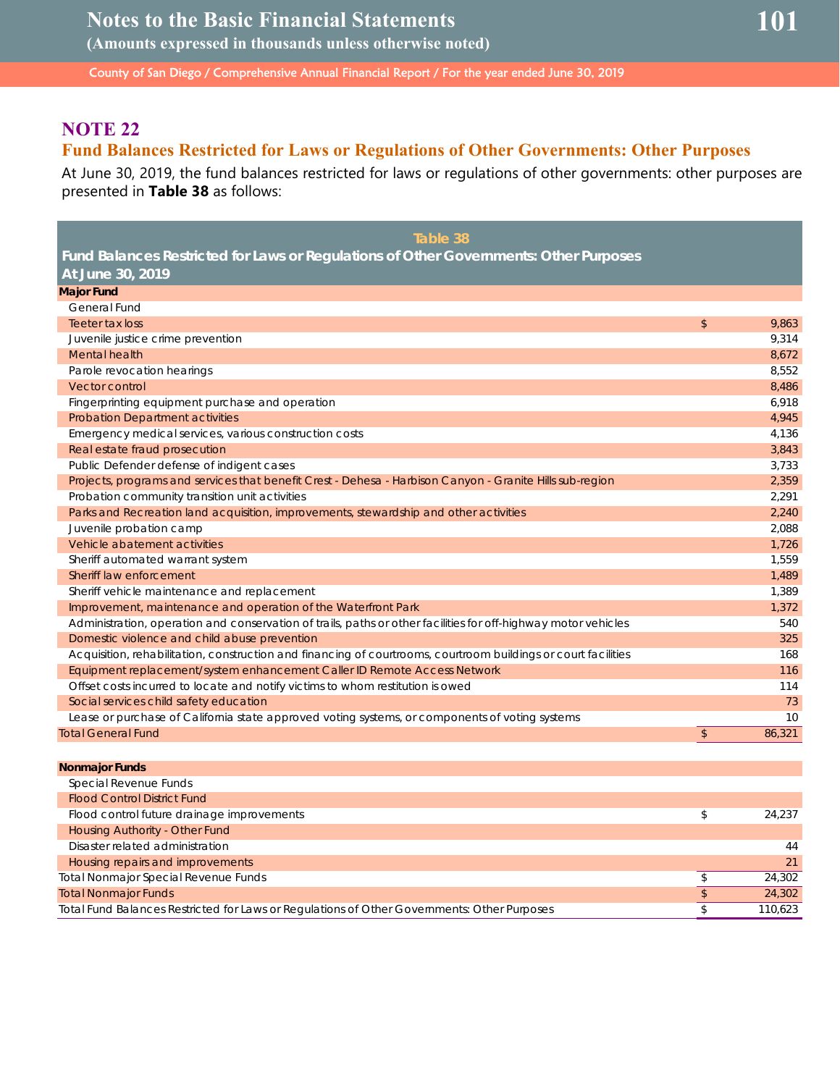## **NOTE 22**

## **Fund Balances Restricted for Laws or Regulations of Other Governments: Other Purposes**

At June 30, 2019, the fund balances restricted for laws or regulations of other governments: other purposes are presented in **Table 38** as follows:

| Table 38                                                                                                       |               |        |
|----------------------------------------------------------------------------------------------------------------|---------------|--------|
| Fund Balances Restricted for Laws or Regulations of Other Governments: Other Purposes                          |               |        |
| At June 30, 2019                                                                                               |               |        |
| <b>Major Fund</b>                                                                                              |               |        |
| General Fund                                                                                                   |               |        |
| Teeter tax loss                                                                                                | \$            | 9,863  |
| Juvenile justice crime prevention                                                                              |               | 9,314  |
| Mental health                                                                                                  |               | 8,672  |
| Parole revocation hearings                                                                                     |               | 8,552  |
| Vector control                                                                                                 |               | 8,486  |
| Fingerprinting equipment purchase and operation                                                                |               | 6,918  |
| <b>Probation Department activities</b>                                                                         |               | 4,945  |
| Emergency medical services, various construction costs                                                         |               | 4,136  |
| Real estate fraud prosecution                                                                                  |               | 3,843  |
| Public Defender defense of indigent cases                                                                      |               | 3.733  |
| Projects, programs and services that benefit Crest - Dehesa - Harbison Canyon - Granite Hills sub-region       |               | 2,359  |
| Probation community transition unit activities                                                                 |               | 2,291  |
| Parks and Recreation land acquisition, improvements, stewardship and other activities                          |               | 2,240  |
| Juvenile probation camp                                                                                        |               | 2,088  |
| Vehicle abatement activities                                                                                   |               | 1,726  |
| Sheriff automated warrant system                                                                               |               | 1,559  |
| Sheriff law enforcement                                                                                        |               | 1,489  |
| Sheriff vehicle maintenance and replacement                                                                    |               | 1,389  |
| Improvement, maintenance and operation of the Waterfront Park                                                  |               | 1,372  |
| Administration, operation and conservation of trails, paths or other facilities for off-highway motor vehicles |               | 540    |
| Domestic violence and child abuse prevention                                                                   |               | 325    |
| Acquisition, rehabilitation, construction and financing of courtrooms, courtroom buildings or court facilities |               | 168    |
| Equipment replacement/system enhancement Caller ID Remote Access Network                                       |               | 116    |
| Offset costs incurred to locate and notify victims to whom restitution is owed                                 |               | 114    |
| Social services child safety education                                                                         |               | 73     |
| Lease or purchase of California state approved voting systems, or components of voting systems                 |               | 10     |
| <b>Total General Fund</b>                                                                                      | $\mathsf{\$}$ | 86,321 |
|                                                                                                                |               |        |
| <b>Nonmaior Funds</b>                                                                                          |               |        |

| Special Revenue Funds                                                                       |         |
|---------------------------------------------------------------------------------------------|---------|
| <b>Flood Control District Fund</b>                                                          |         |
| Flood control future drainage improvements                                                  | 24.237  |
| Housing Authority - Other Fund                                                              |         |
| Disaster related administration                                                             | 44      |
| Housing repairs and improvements                                                            | 21      |
| <b>Total Nonmajor Special Revenue Funds</b>                                                 | 24.302  |
| <b>Total Nonmajor Funds</b>                                                                 | 24,302  |
| Total Fund Balances Restricted for Laws or Regulations of Other Governments: Other Purposes | 110.623 |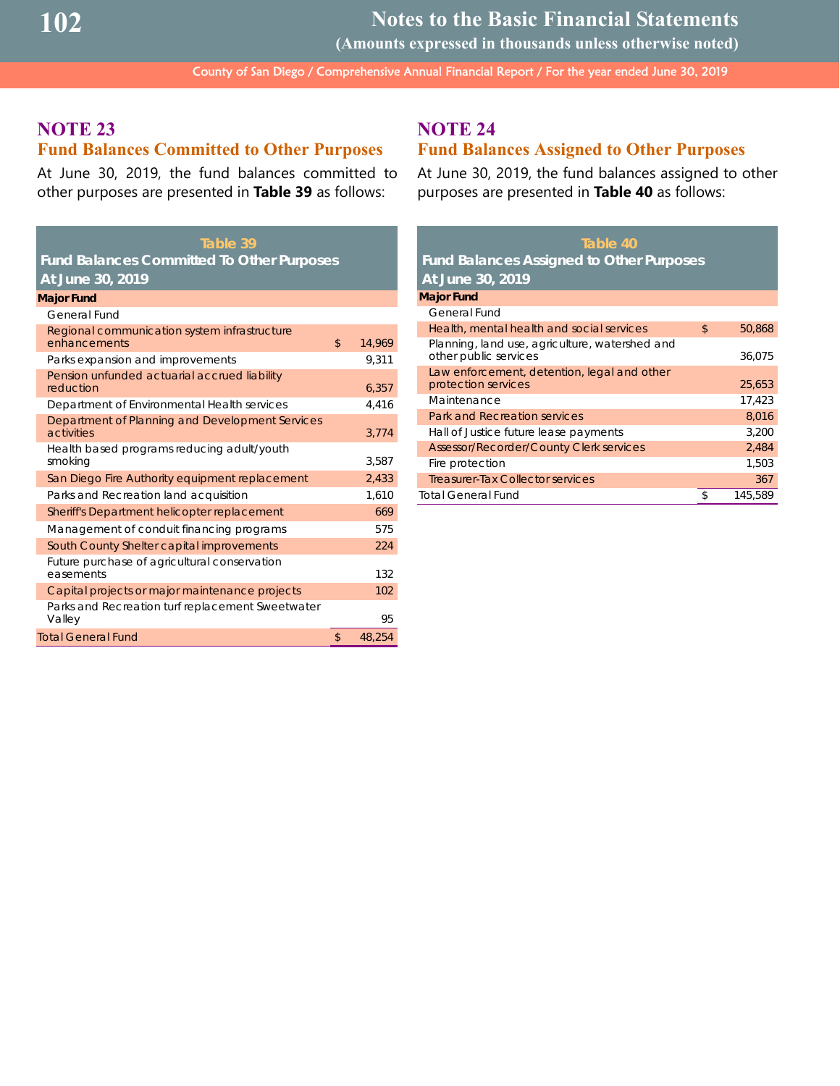**Notes to the Basic Financial Statements**

**(Amounts expressed in thousands unless otherwise noted)**

County of San Diego / Comprehensive Annual Financial Report / For the year ended June 30, 2019

## **NOTE 23 Fund Balances Committed to Other Purposes**

At June 30, 2019, the fund balances committed to other purposes are presented in **Table 39** as follows:

| Table 39                                                      |              |
|---------------------------------------------------------------|--------------|
| <b>Fund Balances Committed To Other Purposes</b>              |              |
| At June 30, 2019                                              |              |
| <b>Major Fund</b>                                             |              |
| General Fund                                                  |              |
| Regional communication system infrastructure<br>enhancements  | \$<br>14,969 |
| Parks expansion and improvements                              | 9.311        |
| Pension unfunded actuarial accrued liability<br>reduction     | 6,357        |
| Department of Environmental Health services                   | 4.416        |
| Department of Planning and Development Services<br>activities | 3.774        |
| Health based programs reducing adult/youth<br>smoking         | 3.587        |
| San Diego Fire Authority equipment replacement                | 2,433        |
| Parks and Recreation land acquisition                         | 1.610        |
| Sheriff's Department helicopter replacement                   | 669          |
| Management of conduit financing programs                      | 575          |
| South County Shelter capital improvements                     | 224          |
| Future purchase of agricultural conservation<br>easements     | 132          |
| Capital projects or major maintenance projects                | 102          |
| Parks and Recreation turf replacement Sweetwater<br>Valley    | 95           |
| <b>Total General Fund</b>                                     | \$<br>48,254 |
|                                                               |              |

## **NOTE 24**

## **Fund Balances Assigned to Other Purposes**

At June 30, 2019, the fund balances assigned to other purposes are presented in **Table 40** as follows:

| Table 40                                                                |              |
|-------------------------------------------------------------------------|--------------|
| <b>Fund Balances Assigned to Other Purposes</b>                         |              |
| At June 30, 2019                                                        |              |
| <b>Major Fund</b>                                                       |              |
| General Fund                                                            |              |
| Health, mental health and social services                               | \$<br>50,868 |
| Planning, land use, agriculture, watershed and<br>other public services | 36,075       |
| Law enforcement, detention, legal and other<br>protection services      | 25,653       |
| Maintenance                                                             | 17,423       |
| Park and Recreation services                                            | 8,016        |
| Hall of Justice future lease payments                                   | 3,200        |
| <b>Assessor/Recorder/County Clerk services</b>                          | 2,484        |
| Fire protection                                                         | 1,503        |
| Treasurer-Tax Collector services                                        | 367          |
| Total General Fund                                                      | 145,589      |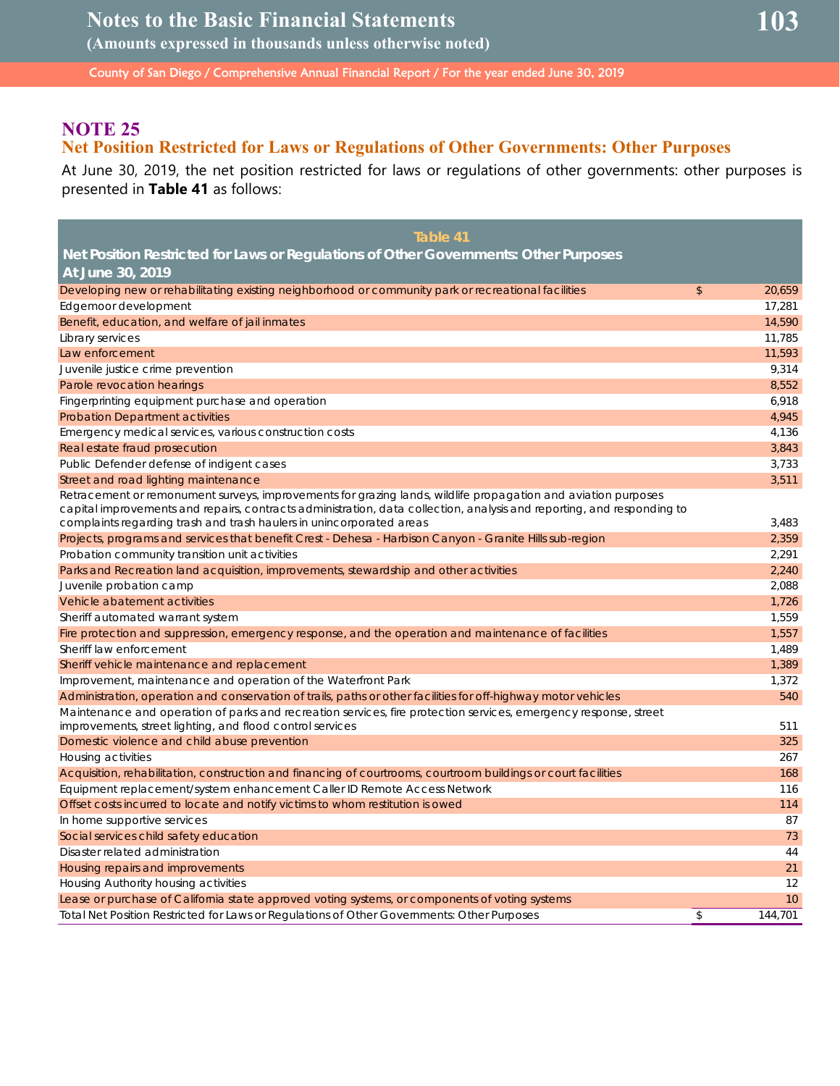## **NOTE 25**

## **Net Position Restricted for Laws or Regulations of Other Governments: Other Purposes**

At June 30, 2019, the net position restricted for laws or regulations of other governments: other purposes is presented in **Table 41** as follows:

| Table 41                                                                                                                                                                                                                                |                |         |
|-----------------------------------------------------------------------------------------------------------------------------------------------------------------------------------------------------------------------------------------|----------------|---------|
| Net Position Restricted for Laws or Regulations of Other Governments: Other Purposes                                                                                                                                                    |                |         |
| At June 30, 2019                                                                                                                                                                                                                        |                |         |
| Developing new or rehabilitating existing neighborhood or community park or recreational facilities                                                                                                                                     | $\mathfrak{S}$ | 20,659  |
| Edgemoor development                                                                                                                                                                                                                    |                | 17,281  |
| Benefit, education, and welfare of jail inmates                                                                                                                                                                                         |                | 14,590  |
| Library services                                                                                                                                                                                                                        |                | 11,785  |
| Law enforcement                                                                                                                                                                                                                         |                | 11,593  |
| Juvenile justice crime prevention                                                                                                                                                                                                       |                | 9,314   |
| Parole revocation hearings                                                                                                                                                                                                              |                | 8,552   |
| Fingerprinting equipment purchase and operation                                                                                                                                                                                         |                | 6,918   |
| <b>Probation Department activities</b>                                                                                                                                                                                                  |                | 4,945   |
| Emergency medical services, various construction costs                                                                                                                                                                                  |                | 4,136   |
| Real estate fraud prosecution                                                                                                                                                                                                           |                | 3,843   |
| Public Defender defense of indigent cases                                                                                                                                                                                               |                | 3,733   |
| Street and road lighting maintenance                                                                                                                                                                                                    |                | 3,511   |
| Retracement or remonument surveys, improvements for grazing lands, wildlife propagation and aviation purposes<br>capital improvements and repairs, contracts administration, data collection, analysis and reporting, and responding to |                |         |
| complaints regarding trash and trash haulers in unincorporated areas                                                                                                                                                                    |                | 3,483   |
| Projects, programs and services that benefit Crest - Dehesa - Harbison Canyon - Granite Hills sub-region                                                                                                                                |                | 2,359   |
| Probation community transition unit activities                                                                                                                                                                                          |                | 2,291   |
| Parks and Recreation land acquisition, improvements, stewardship and other activities                                                                                                                                                   |                | 2,240   |
| Juvenile probation camp                                                                                                                                                                                                                 |                | 2,088   |
| Vehicle abatement activities                                                                                                                                                                                                            |                | 1,726   |
| Sheriff automated warrant system                                                                                                                                                                                                        |                | 1,559   |
| Fire protection and suppression, emergency response, and the operation and maintenance of facilities                                                                                                                                    |                | 1,557   |
| Sheriff law enforcement                                                                                                                                                                                                                 |                | 1,489   |
| Sheriff vehicle maintenance and replacement                                                                                                                                                                                             |                | 1,389   |
| Improvement, maintenance and operation of the Waterfront Park                                                                                                                                                                           |                | 1,372   |
| Administration, operation and conservation of trails, paths or other facilities for off-highway motor vehicles                                                                                                                          |                | 540     |
| Maintenance and operation of parks and recreation services, fire protection services, emergency response, street                                                                                                                        |                |         |
| improvements, street lighting, and flood control services                                                                                                                                                                               |                | 511     |
| Domestic violence and child abuse prevention                                                                                                                                                                                            |                | 325     |
| Housing activities                                                                                                                                                                                                                      |                | 267     |
| Acquisition, rehabilitation, construction and financing of courtrooms, courtroom buildings or court facilities                                                                                                                          |                | 168     |
| Equipment replacement/system enhancement Caller ID Remote Access Network                                                                                                                                                                |                | 116     |
| Offset costs incurred to locate and notify victims to whom restitution is owed                                                                                                                                                          |                | 114     |
| In home supportive services                                                                                                                                                                                                             |                | 87      |
| Social services child safety education                                                                                                                                                                                                  |                | 73      |
| Disaster related administration                                                                                                                                                                                                         |                | 44      |
| Housing repairs and improvements                                                                                                                                                                                                        |                | 21      |
| Housing Authority housing activities                                                                                                                                                                                                    |                | 12      |
| Lease or purchase of California state approved voting systems, or components of voting systems                                                                                                                                          |                | 10      |
| Total Net Position Restricted for Laws or Regulations of Other Governments: Other Purposes                                                                                                                                              | \$             | 144.701 |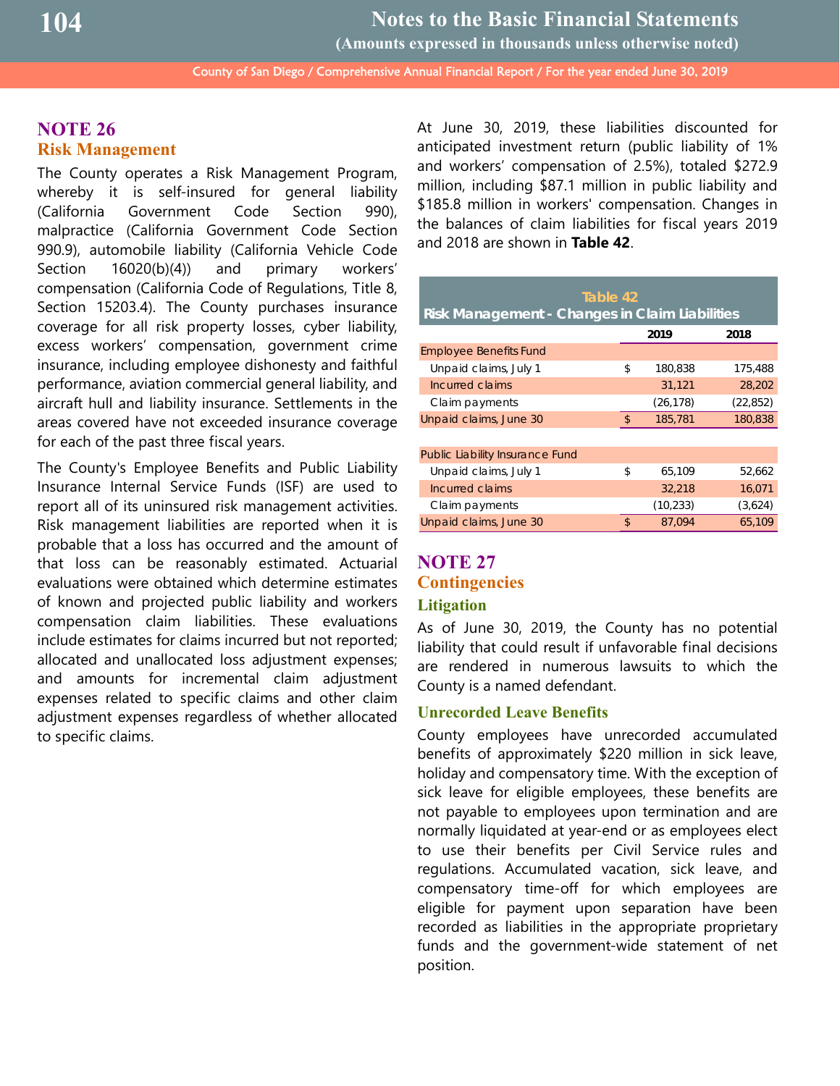**Notes to the Basic Financial Statements**

**(Amounts expressed in thousands unless otherwise noted)**

County of San Diego / Comprehensive Annual Financial Report / For the year ended June 30, 2019

## **NOTE 26 Risk Management**

The County operates a Risk Management Program, whereby it is self-insured for general liability (California Government Code Section 990), malpractice (California Government Code Section 990.9), automobile liability (California Vehicle Code Section 16020(b)(4)) and primary workers' compensation (California Code of Regulations, Title 8, Section 15203.4). The County purchases insurance coverage for all risk property losses, cyber liability, excess workers' compensation, government crime insurance, including employee dishonesty and faithful performance, aviation commercial general liability, and aircraft hull and liability insurance. Settlements in the areas covered have not exceeded insurance coverage for each of the past three fiscal years.

The County's Employee Benefits and Public Liability Insurance Internal Service Funds (ISF) are used to report all of its uninsured risk management activities. Risk management liabilities are reported when it is probable that a loss has occurred and the amount of that loss can be reasonably estimated. Actuarial evaluations were obtained which determine estimates of known and projected public liability and workers compensation claim liabilities. These evaluations include estimates for claims incurred but not reported; allocated and unallocated loss adjustment expenses; and amounts for incremental claim adjustment expenses related to specific claims and other claim adjustment expenses regardless of whether allocated to specific claims.

At June 30, 2019, these liabilities discounted for anticipated investment return (public liability of 1% and workers' compensation of 2.5%), totaled \$272.9 million, including \$87.1 million in public liability and \$185.8 million in workers' compensation. Changes in the balances of claim liabilities for fiscal years 2019 and 2018 are shown in **Table 42**.

| Table 42                                       |                |           |           |  |  |  |
|------------------------------------------------|----------------|-----------|-----------|--|--|--|
| Risk Management - Changes in Claim Liabilities |                |           |           |  |  |  |
|                                                |                | 2019      | 2018      |  |  |  |
| <b>Employee Benefits Fund</b>                  |                |           |           |  |  |  |
| Unpaid claims, July 1                          | \$             | 180,838   | 175,488   |  |  |  |
| Incurred claims                                |                | 31,121    | 28,202    |  |  |  |
| Claim payments                                 |                | (26, 178) | (22, 852) |  |  |  |
| Unpaid claims, June 30                         | $\mathfrak{L}$ | 185,781   | 180,838   |  |  |  |
|                                                |                |           |           |  |  |  |
| Public Liability Insurance Fund                |                |           |           |  |  |  |
| Unpaid claims, July 1                          | \$             | 65,109    | 52,662    |  |  |  |
| Incurred claims                                |                | 32,218    | 16,071    |  |  |  |
| Claim payments                                 |                | (10, 233) | (3,624)   |  |  |  |
| Unpaid claims, June 30                         | \$             | 87.094    | 65,109    |  |  |  |

## **NOTE 27 Contingencies Litigation**

## As of June 30, 2019, the County has no potential liability that could result if unfavorable final decisions are rendered in numerous lawsuits to which the County is a named defendant.

#### **Unrecorded Leave Benefits**

County employees have unrecorded accumulated benefits of approximately \$220 million in sick leave, holiday and compensatory time. With the exception of sick leave for eligible employees, these benefits are not payable to employees upon termination and are normally liquidated at year-end or as employees elect to use their benefits per Civil Service rules and regulations. Accumulated vacation, sick leave, and compensatory time-off for which employees are eligible for payment upon separation have been recorded as liabilities in the appropriate proprietary funds and the government-wide statement of net position.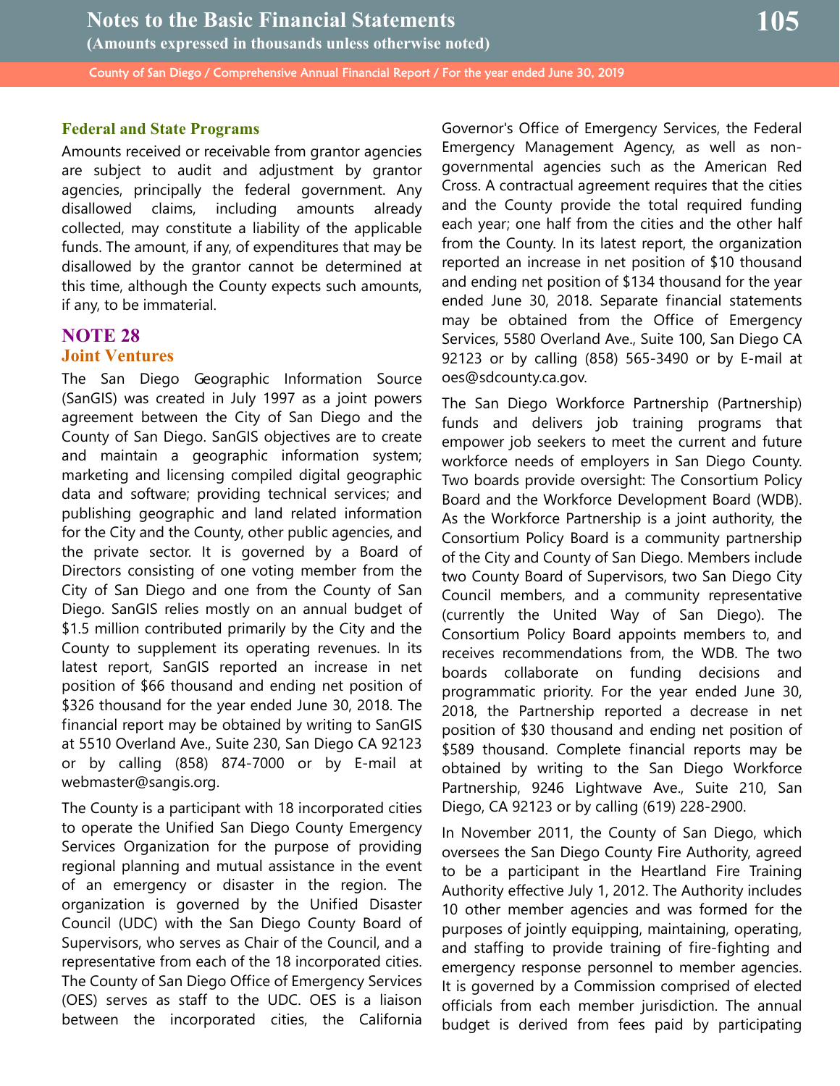## **Federal and State Programs**

Amounts received or receivable from grantor agencies are subject to audit and adjustment by grantor agencies, principally the federal government. Any disallowed claims, including amounts already collected, may constitute a liability of the applicable funds. The amount, if any, of expenditures that may be disallowed by the grantor cannot be determined at this time, although the County expects such amounts, if any, to be immaterial.

## **NOTE 28 Joint Ventures**

The San Diego Geographic Information Source (SanGIS) was created in July 1997 as a joint powers agreement between the City of San Diego and the County of San Diego. SanGIS objectives are to create and maintain a geographic information system; marketing and licensing compiled digital geographic data and software; providing technical services; and publishing geographic and land related information for the City and the County, other public agencies, and the private sector. It is governed by a Board of Directors consisting of one voting member from the City of San Diego and one from the County of San Diego. SanGIS relies mostly on an annual budget of \$1.5 million contributed primarily by the City and the County to supplement its operating revenues. In its latest report, SanGIS reported an increase in net position of \$66 thousand and ending net position of \$326 thousand for the year ended June 30, 2018. The financial report may be obtained by writing to SanGIS at 5510 Overland Ave., Suite 230, San Diego CA 92123 or by calling (858) 874-7000 or by E-mail at webmaster@sangis.org.

The County is a participant with 18 incorporated cities to operate the Unified San Diego County Emergency Services Organization for the purpose of providing regional planning and mutual assistance in the event of an emergency or disaster in the region. The organization is governed by the Unified Disaster Council (UDC) with the San Diego County Board of Supervisors, who serves as Chair of the Council, and a representative from each of the 18 incorporated cities. The County of San Diego Office of Emergency Services (OES) serves as staff to the UDC. OES is a liaison between the incorporated cities, the California Governor's Office of Emergency Services, the Federal Emergency Management Agency, as well as nongovernmental agencies such as the American Red Cross. A contractual agreement requires that the cities and the County provide the total required funding each year; one half from the cities and the other half from the County. In its latest report, the organization reported an increase in net position of \$10 thousand and ending net position of \$134 thousand for the year ended June 30, 2018. Separate financial statements may be obtained from the Office of Emergency Services, 5580 Overland Ave., Suite 100, San Diego CA 92123 or by calling (858) 565-3490 or by E-mail at oes@sdcounty.ca.gov.

The San Diego Workforce Partnership (Partnership) funds and delivers job training programs that empower job seekers to meet the current and future workforce needs of employers in San Diego County. Two boards provide oversight: The Consortium Policy Board and the Workforce Development Board (WDB). As the Workforce Partnership is a joint authority, the Consortium Policy Board is a community partnership of the City and County of San Diego. Members include two County Board of Supervisors, two San Diego City Council members, and a community representative (currently the United Way of San Diego). The Consortium Policy Board appoints members to, and receives recommendations from, the WDB. The two boards collaborate on funding decisions and programmatic priority. For the year ended June 30, 2018, the Partnership reported a decrease in net position of \$30 thousand and ending net position of \$589 thousand. Complete financial reports may be obtained by writing to the San Diego Workforce Partnership, 9246 Lightwave Ave., Suite 210, San Diego, CA 92123 or by calling (619) 228-2900.

In November 2011, the County of San Diego, which oversees the San Diego County Fire Authority, agreed to be a participant in the Heartland Fire Training Authority effective July 1, 2012. The Authority includes 10 other member agencies and was formed for the purposes of jointly equipping, maintaining, operating, and staffing to provide training of fire-fighting and emergency response personnel to member agencies. It is governed by a Commission comprised of elected officials from each member jurisdiction. The annual budget is derived from fees paid by participating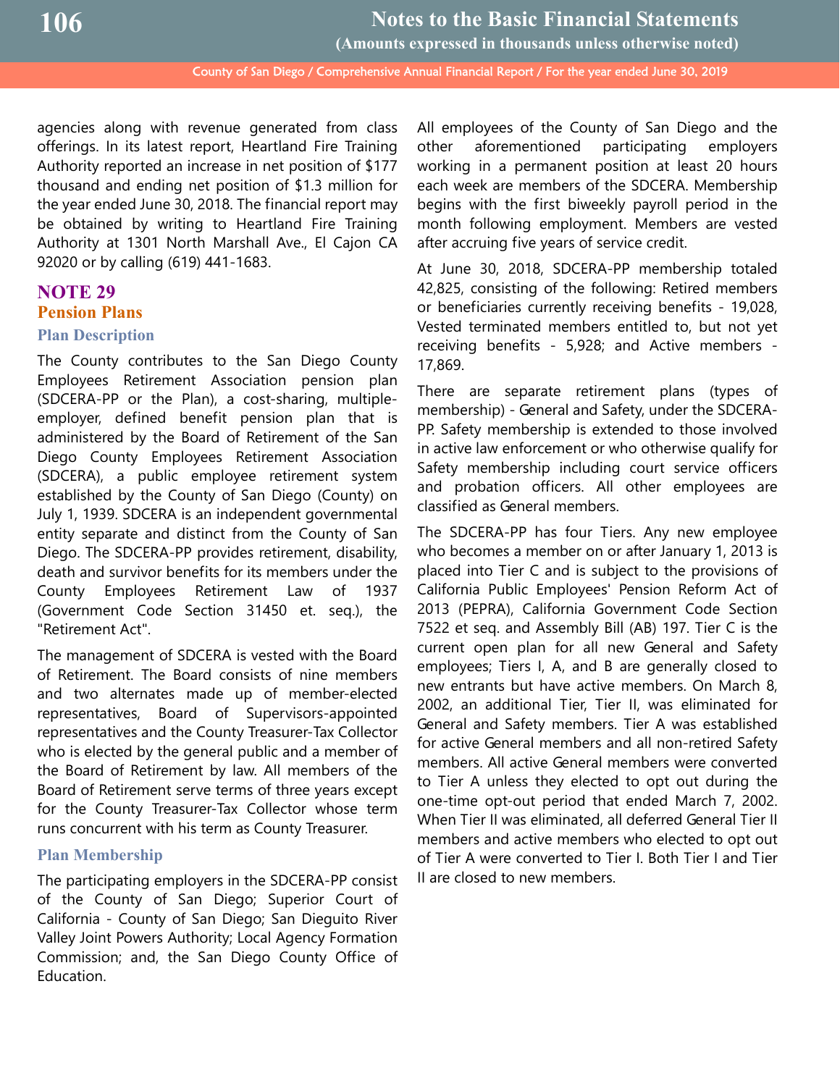agencies along with revenue generated from class offerings. In its latest report, Heartland Fire Training Authority reported an increase in net position of \$177 thousand and ending net position of \$1.3 million for the year ended June 30, 2018. The financial report may be obtained by writing to Heartland Fire Training Authority at 1301 North Marshall Ave., El Cajon CA 92020 or by calling (619) 441-1683.

## **NOTE 29 Pension Plans Plan Description**

The County contributes to the San Diego County Employees Retirement Association pension plan (SDCERA-PP or the Plan), a cost-sharing, multipleemployer, defined benefit pension plan that is administered by the Board of Retirement of the San Diego County Employees Retirement Association (SDCERA), a public employee retirement system established by the County of San Diego (County) on July 1, 1939. SDCERA is an independent governmental entity separate and distinct from the County of San Diego. The SDCERA-PP provides retirement, disability, death and survivor benefits for its members under the County Employees Retirement Law of 1937 (Government Code Section 31450 et. seq.), the "Retirement Act".

The management of SDCERA is vested with the Board of Retirement. The Board consists of nine members and two alternates made up of member-elected representatives, Board of Supervisors-appointed representatives and the County Treasurer-Tax Collector who is elected by the general public and a member of the Board of Retirement by law. All members of the Board of Retirement serve terms of three years except for the County Treasurer-Tax Collector whose term runs concurrent with his term as County Treasurer.

## **Plan Membership**

The participating employers in the SDCERA-PP consist of the County of San Diego; Superior Court of California - County of San Diego; San Dieguito River Valley Joint Powers Authority; Local Agency Formation Commission; and, the San Diego County Office of Education.

All employees of the County of San Diego and the other aforementioned participating employers working in a permanent position at least 20 hours each week are members of the SDCERA. Membership begins with the first biweekly payroll period in the month following employment. Members are vested after accruing five years of service credit.

At June 30, 2018, SDCERA-PP membership totaled 42,825, consisting of the following: Retired members or beneficiaries currently receiving benefits - 19,028, Vested terminated members entitled to, but not yet receiving benefits - 5,928; and Active members - 17,869.

There are separate retirement plans (types of membership) - General and Safety, under the SDCERA-PP. Safety membership is extended to those involved in active law enforcement or who otherwise qualify for Safety membership including court service officers and probation officers. All other employees are classified as General members.

The SDCERA-PP has four Tiers. Any new employee who becomes a member on or after January 1, 2013 is placed into Tier C and is subject to the provisions of California Public Employees' Pension Reform Act of 2013 (PEPRA), California Government Code Section 7522 et seq. and Assembly Bill (AB) 197. Tier C is the current open plan for all new General and Safety employees; Tiers I, A, and B are generally closed to new entrants but have active members. On March 8, 2002, an additional Tier, Tier II, was eliminated for General and Safety members. Tier A was established for active General members and all non-retired Safety members. All active General members were converted to Tier A unless they elected to opt out during the one-time opt-out period that ended March 7, 2002. When Tier II was eliminated, all deferred General Tier II members and active members who elected to opt out of Tier A were converted to Tier I. Both Tier I and Tier II are closed to new members.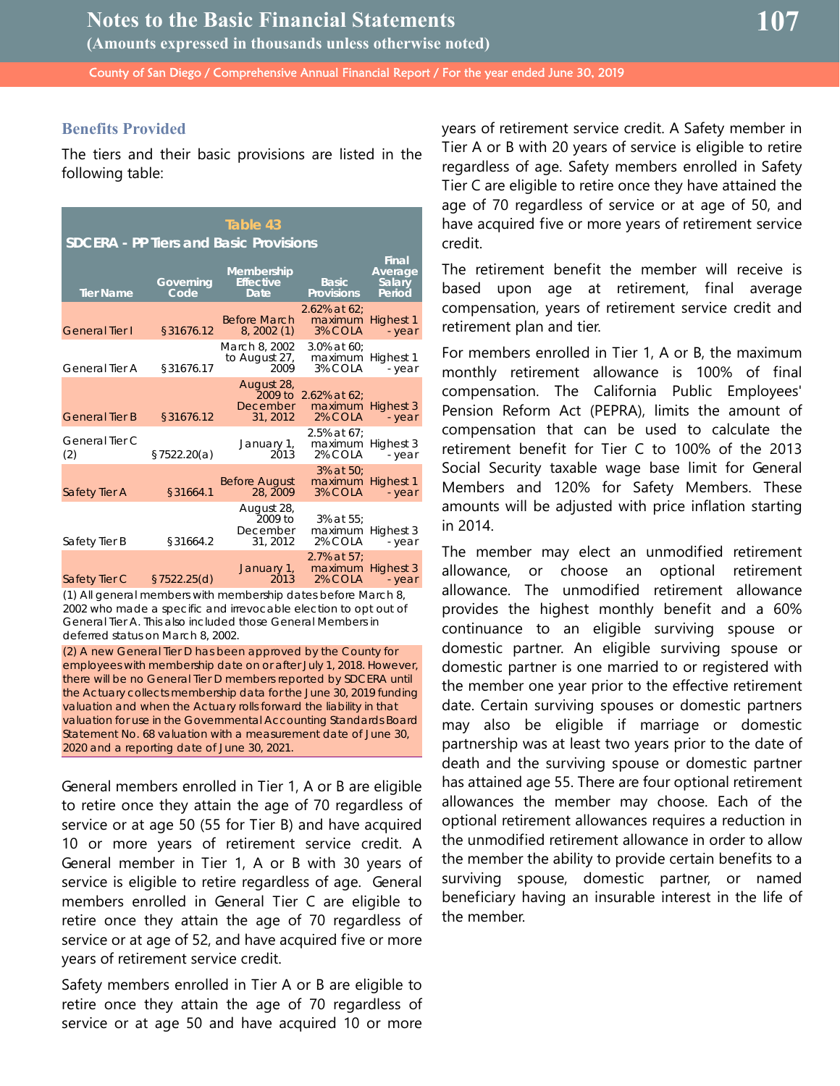#### **Benefits Provided**

The tiers and their basic provisions are listed in the following table:

| Table 43<br><b>SDCERA - PP Tiers and Basic Provisions</b> |                   |                                               |                                                      |                                             |  |  |  |
|-----------------------------------------------------------|-------------------|-----------------------------------------------|------------------------------------------------------|---------------------------------------------|--|--|--|
| <b>Tier Name</b>                                          | Governing<br>Code | Membership<br><b>Effective</b><br><b>Date</b> | <b>Basic</b><br><b>Provisions</b>                    | <b>Final</b><br>Average<br>Salary<br>Period |  |  |  |
| <b>General Tier I</b>                                     | §31676.12         | <b>Before March</b><br>8, 2002(1)             | $2.62\%$ at 62:<br>maximum Highest 1<br>3% COLA      | - year                                      |  |  |  |
| General Tier A                                            | §31676.17         | March 8, 2002<br>to August 27,<br>2009        | $3.0\%$ at 60:<br>maximum Highest 1<br>3% COLA       | - year                                      |  |  |  |
| <b>General Tier B</b>                                     | §31676.12         | August 28,<br>December<br>31, 2012            | 2009 to 2.62% at 62:<br>maximum Highest 3<br>2% COLA | - year                                      |  |  |  |
| General Tier C<br>(2)                                     | \$7522.20(a)      | January 1,<br>2013                            | $2.5\%$ at 67:<br>maximum Highest 3<br>2% COLA       | - year                                      |  |  |  |
| Safety Tier A                                             | §31664.1          | <b>Before August</b><br>28, 2009              | 3% at 50;<br>maximum Highest 1<br>3% COLA            | - year                                      |  |  |  |
| Safety Tier B                                             | §31664.2          | August 28,<br>2009 to<br>December<br>31, 2012 | 3% at 55;<br>maximum Highest 3<br>2% COLA            | - year                                      |  |  |  |
| Safety Tier C                                             | §7522.25(d)       | January 1,<br>2013                            | 2.7% at 57:<br>maximum Highest 3<br>2% COLA          | - year                                      |  |  |  |

(1) All general members with membership dates before March 8, 2002 who made a specific and irrevocable election to opt out of General Tier A. This also included those General Members in deferred status on March 8, 2002.

(2) A new General Tier D has been approved by the County for employees with membership date on or after July 1, 2018. However, there will be no General Tier D members reported by SDCERA until the Actuary collects membership data for the June 30, 2019 funding valuation and when the Actuary rolls forward the liability in that valuation for use in the Governmental Accounting Standards Board Statement No. 68 valuation with a measurement date of June 30, 2020 and a reporting date of June 30, 2021.

General members enrolled in Tier 1, A or B are eligible to retire once they attain the age of 70 regardless of service or at age 50 (55 for Tier B) and have acquired 10 or more years of retirement service credit. A General member in Tier 1, A or B with 30 years of service is eligible to retire regardless of age. General members enrolled in General Tier C are eligible to retire once they attain the age of 70 regardless of service or at age of 52, and have acquired five or more years of retirement service credit.

Safety members enrolled in Tier A or B are eligible to retire once they attain the age of 70 regardless of service or at age 50 and have acquired 10 or more

years of retirement service credit. A Safety member in Tier A or B with 20 years of service is eligible to retire regardless of age. Safety members enrolled in Safety Tier C are eligible to retire once they have attained the age of 70 regardless of service or at age of 50, and have acquired five or more years of retirement service credit.

The retirement benefit the member will receive is based upon age at retirement, final average compensation, years of retirement service credit and retirement plan and tier.

For members enrolled in Tier 1, A or B, the maximum monthly retirement allowance is 100% of final compensation. The California Public Employees' Pension Reform Act (PEPRA), limits the amount of compensation that can be used to calculate the retirement benefit for Tier C to 100% of the 2013 Social Security taxable wage base limit for General Members and 120% for Safety Members. These amounts will be adjusted with price inflation starting in 2014.

The member may elect an unmodified retirement allowance, or choose an optional retirement allowance. The unmodified retirement allowance provides the highest monthly benefit and a 60% continuance to an eligible surviving spouse or domestic partner. An eligible surviving spouse or domestic partner is one married to or registered with the member one year prior to the effective retirement date. Certain surviving spouses or domestic partners may also be eligible if marriage or domestic partnership was at least two years prior to the date of death and the surviving spouse or domestic partner has attained age 55. There are four optional retirement allowances the member may choose. Each of the optional retirement allowances requires a reduction in the unmodified retirement allowance in order to allow the member the ability to provide certain benefits to a surviving spouse, domestic partner, or named beneficiary having an insurable interest in the life of the member.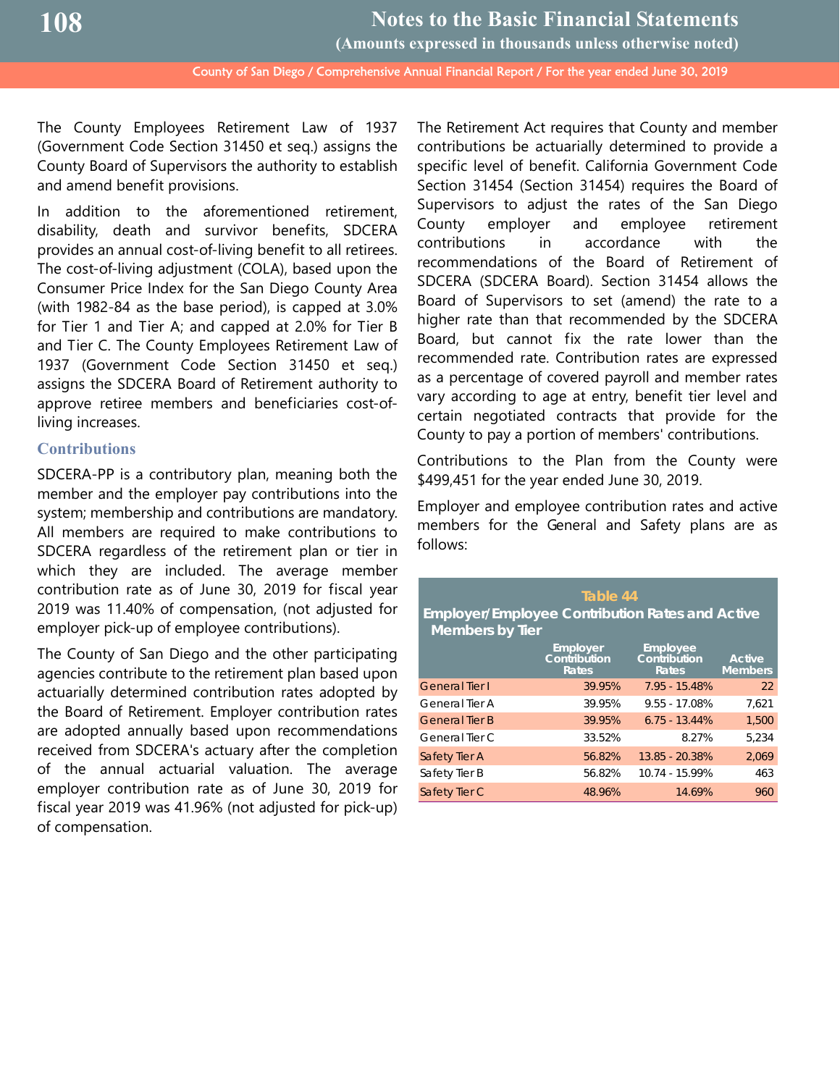The County Employees Retirement Law of 1937 (Government Code Section 31450 et seq.) assigns the County Board of Supervisors the authority to establish and amend benefit provisions.

In addition to the aforementioned retirement, disability, death and survivor benefits, SDCERA provides an annual cost-of-living benefit to all retirees. The cost-of-living adjustment (COLA), based upon the Consumer Price Index for the San Diego County Area (with 1982-84 as the base period), is capped at 3.0% for Tier 1 and Tier A; and capped at 2.0% for Tier B and Tier C. The County Employees Retirement Law of 1937 (Government Code Section 31450 et seq.) assigns the SDCERA Board of Retirement authority to approve retiree members and beneficiaries cost-ofliving increases.

## **Contributions**

SDCERA-PP is a contributory plan, meaning both the member and the employer pay contributions into the system; membership and contributions are mandatory. All members are required to make contributions to SDCERA regardless of the retirement plan or tier in which they are included. The average member contribution rate as of June 30, 2019 for fiscal year 2019 was 11.40% of compensation, (not adjusted for employer pick-up of employee contributions).

The County of San Diego and the other participating agencies contribute to the retirement plan based upon actuarially determined contribution rates adopted by the Board of Retirement. Employer contribution rates are adopted annually based upon recommendations received from SDCERA's actuary after the completion of the annual actuarial valuation. The average employer contribution rate as of June 30, 2019 for fiscal year 2019 was 41.96% (not adjusted for pick-up) of compensation.

The Retirement Act requires that County and member contributions be actuarially determined to provide a specific level of benefit. California Government Code Section 31454 (Section 31454) requires the Board of Supervisors to adjust the rates of the San Diego County employer and employee retirement contributions in accordance with the recommendations of the Board of Retirement of SDCERA (SDCERA Board). Section 31454 allows the Board of Supervisors to set (amend) the rate to a higher rate than that recommended by the SDCERA Board, but cannot fix the rate lower than the recommended rate. Contribution rates are expressed as a percentage of covered payroll and member rates vary according to age at entry, benefit tier level and certain negotiated contracts that provide for the County to pay a portion of members' contributions.

Contributions to the Plan from the County were \$499,451 for the year ended June 30, 2019.

Employer and employee contribution rates and active members for the General and Safety plans are as follows:

| Table 44<br><b>Employer/Employee Contribution Rates and Active</b><br><b>Members by Tier</b> |                                   |                                                 |                                 |  |  |  |
|----------------------------------------------------------------------------------------------|-----------------------------------|-------------------------------------------------|---------------------------------|--|--|--|
|                                                                                              | Employer<br>Contribution<br>Rates | <b>Employee</b><br>Contribution<br><b>Rates</b> | <b>Active</b><br><b>Members</b> |  |  |  |
| <b>General Tier I</b>                                                                        | 39.95%                            | $7.95 - 15.48%$                                 | 22                              |  |  |  |
| General Tier A                                                                               | 39.95%                            | $9.55 - 17.08%$                                 | 7.621                           |  |  |  |
| <b>General Tier B</b>                                                                        | 39.95%                            | $6.75 - 13.44%$                                 | 1.500                           |  |  |  |
| General Tier C                                                                               | 33.52%                            | 8.27%                                           | 5.234                           |  |  |  |
| Safety Tier A                                                                                | 56.82%                            | 13.85 - 20.38%                                  | 2.069                           |  |  |  |
| Safety Tier B                                                                                | 56.82%                            | 10.74 - 15.99%                                  | 463                             |  |  |  |
| Safety Tier C                                                                                | 48.96%                            | 14.69%                                          | 960                             |  |  |  |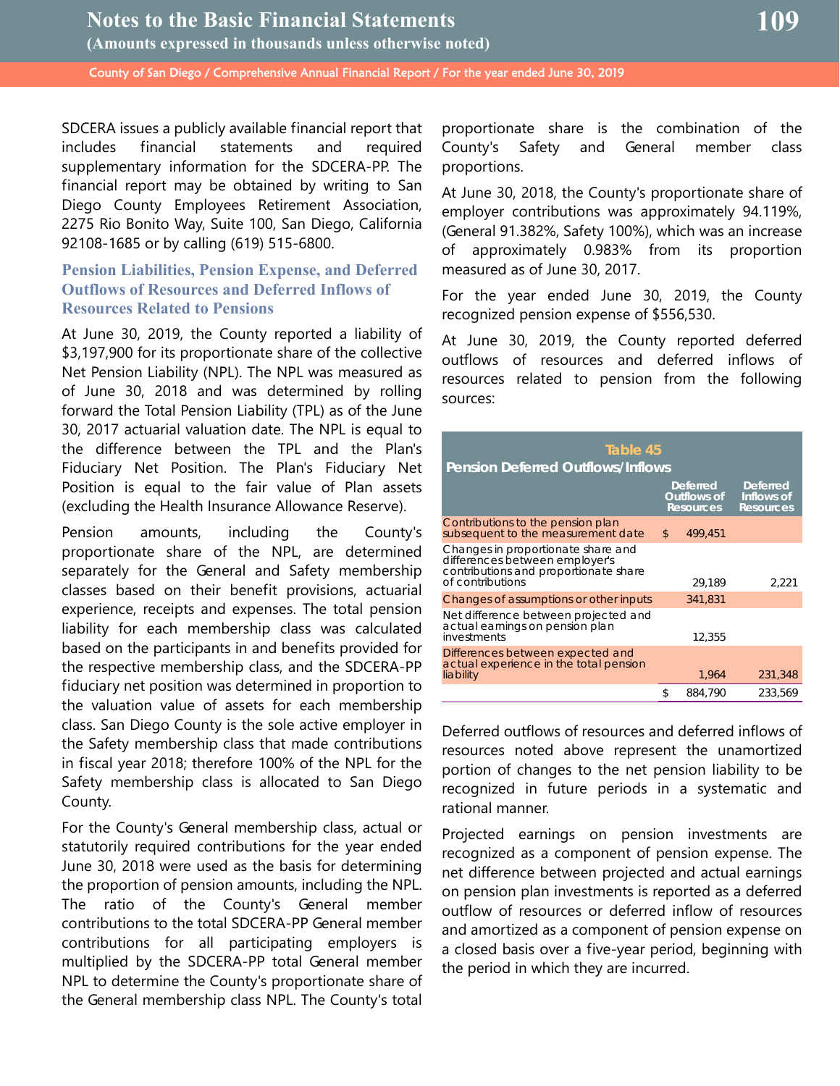SDCERA issues a publicly available financial report that includes financial statements and required supplementary information for the SDCERA-PP. The financial report may be obtained by writing to San Diego County Employees Retirement Association, 2275 Rio Bonito Way, Suite 100, San Diego, California 92108-1685 or by calling (619) 515-6800.

## **Pension Liabilities, Pension Expense, and Deferred Outflows of Resources and Deferred Inflows of Resources Related to Pensions**

At June 30, 2019, the County reported a liability of \$3,197,900 for its proportionate share of the collective Net Pension Liability (NPL). The NPL was measured as of June 30, 2018 and was determined by rolling forward the Total Pension Liability (TPL) as of the June 30, 2017 actuarial valuation date. The NPL is equal to the difference between the TPL and the Plan's Fiduciary Net Position. The Plan's Fiduciary Net Position is equal to the fair value of Plan assets (excluding the Health Insurance Allowance Reserve).

Pension amounts, including the County's proportionate share of the NPL, are determined separately for the General and Safety membership classes based on their benefit provisions, actuarial experience, receipts and expenses. The total pension liability for each membership class was calculated based on the participants in and benefits provided for the respective membership class, and the SDCERA-PP fiduciary net position was determined in proportion to the valuation value of assets for each membership class. San Diego County is the sole active employer in the Safety membership class that made contributions in fiscal year 2018; therefore 100% of the NPL for the Safety membership class is allocated to San Diego County.

For the County's General membership class, actual or statutorily required contributions for the year ended June 30, 2018 were used as the basis for determining the proportion of pension amounts, including the NPL. The ratio of the County's General member contributions to the total SDCERA-PP General member contributions for all participating employers is multiplied by the SDCERA-PP total General member NPL to determine the County's proportionate share of the General membership class NPL. The County's total

proportionate share is the combination of the County's Safety and General member class proportions.

At June 30, 2018, the County's proportionate share of employer contributions was approximately 94.119%, (General 91.382%, Safety 100%), which was an increase of approximately 0.983% from its proportion measured as of June 30, 2017.

For the year ended June 30, 2019, the County recognized pension expense of \$556,530.

At June 30, 2019, the County reported deferred outflows of resources and deferred inflows of resources related to pension from the following sources:

| Table 45<br><b>Pension Deferred Outflows/Inflows</b>                                                                              |    |                                                    |                                                   |  |  |
|-----------------------------------------------------------------------------------------------------------------------------------|----|----------------------------------------------------|---------------------------------------------------|--|--|
|                                                                                                                                   |    | <b>Deferred</b><br>Outflows of<br><b>Resources</b> | <b>Deferred</b><br>Inflows of<br><b>Resources</b> |  |  |
| Contributions to the pension plan<br>subsequent to the measurement date                                                           | \$ | 499.451                                            |                                                   |  |  |
| Changes in proportionate share and<br>differences between employer's<br>contributions and proportionate share<br>of contributions |    | 29.189                                             | 2.221                                             |  |  |
| Changes of assumptions or other inputs                                                                                            |    | 341,831                                            |                                                   |  |  |
| Net difference between projected and<br>actual earnings on pension plan<br>investments                                            |    | 12,355                                             |                                                   |  |  |
| Differences between expected and<br>actual experience in the total pension<br>liability                                           |    | 1,964                                              | 231,348                                           |  |  |
|                                                                                                                                   | \$ | 884,790                                            | 233,569                                           |  |  |

Deferred outflows of resources and deferred inflows of resources noted above represent the unamortized portion of changes to the net pension liability to be recognized in future periods in a systematic and rational manner.

Projected earnings on pension investments are recognized as a component of pension expense. The net difference between projected and actual earnings on pension plan investments is reported as a deferred outflow of resources or deferred inflow of resources and amortized as a component of pension expense on a closed basis over a five-year period, beginning with the period in which they are incurred.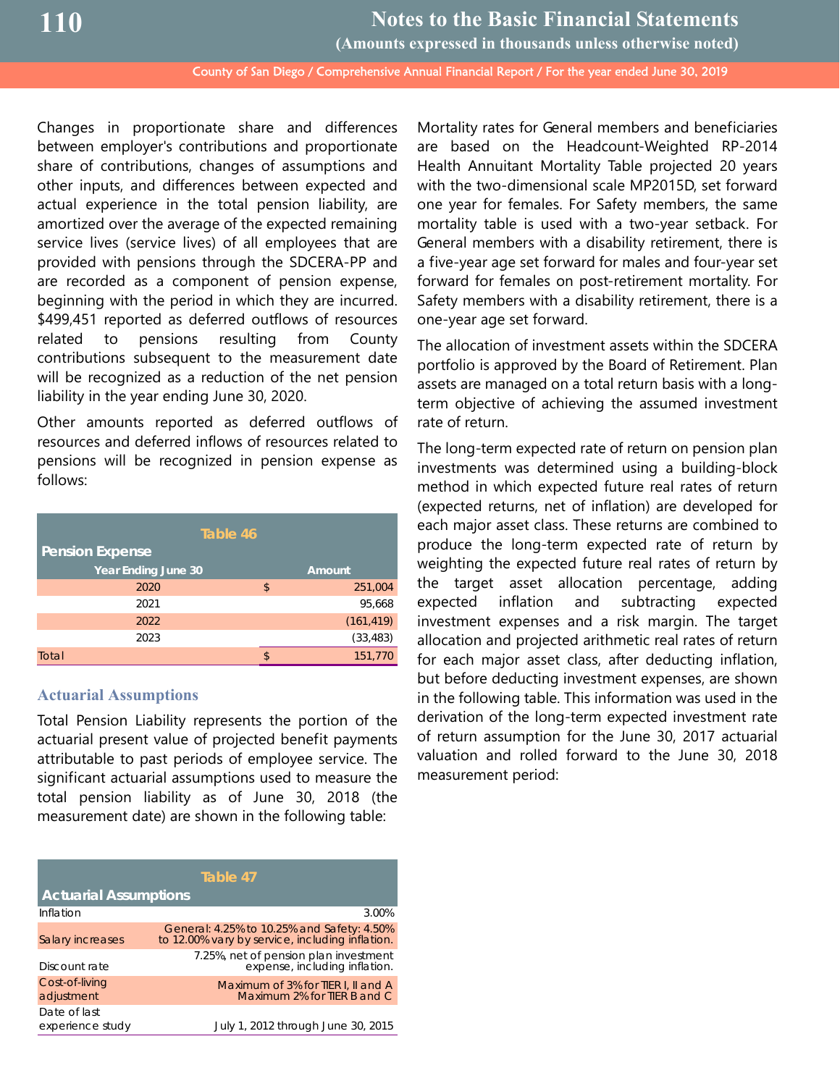County of San Diego / Comprehensive Annual Financial Report / For the year ended June 30, 2019 **Notes to the Basic Financial Statements (Amounts expressed in thousands unless otherwise noted)**

Changes in proportionate share and differences between employer's contributions and proportionate share of contributions, changes of assumptions and other inputs, and differences between expected and actual experience in the total pension liability, are amortized over the average of the expected remaining service lives (service lives) of all employees that are provided with pensions through the SDCERA-PP and are recorded as a component of pension expense, beginning with the period in which they are incurred. \$499,451 reported as deferred outflows of resources related to pensions resulting from County contributions subsequent to the measurement date will be recognized as a reduction of the net pension liability in the year ending June 30, 2020.

Other amounts reported as deferred outflows of resources and deferred inflows of resources related to pensions will be recognized in pension expense as follows:

| Table 46                   |    |            |  |  |
|----------------------------|----|------------|--|--|
| <b>Pension Expense</b>     |    |            |  |  |
| <b>Year Ending June 30</b> |    | Amount     |  |  |
| 2020                       | \$ | 251,004    |  |  |
| 2021                       |    | 95,668     |  |  |
| 2022                       |    | (161, 419) |  |  |
| 2023                       |    | (33, 483)  |  |  |
| Total                      | ¢  | 151,770    |  |  |

## **Actuarial Assumptions**

Total Pension Liability represents the portion of the actuarial present value of projected benefit payments attributable to past periods of employee service. The significant actuarial assumptions used to measure the total pension liability as of June 30, 2018 (the measurement date) are shown in the following table:

| Table 47                         |                                                                                               |  |  |  |
|----------------------------------|-----------------------------------------------------------------------------------------------|--|--|--|
| <b>Actuarial Assumptions</b>     |                                                                                               |  |  |  |
| Inflation                        | 3.00%                                                                                         |  |  |  |
| <b>Salary increases</b>          | General: 4.25% to 10.25% and Safety: 4.50%<br>to 12.00% vary by service, including inflation. |  |  |  |
| Discount rate                    | 7.25%, net of pension plan investment<br>expense, including inflation.                        |  |  |  |
| Cost-of-living<br>adjustment     | Maximum of 3% for TIER I, II and A<br>Maximum 2% for TIER B and C                             |  |  |  |
| Date of last<br>experience study | July 1, 2012 through June 30, 2015                                                            |  |  |  |

Mortality rates for General members and beneficiaries are based on the Headcount-Weighted RP-2014 Health Annuitant Mortality Table projected 20 years with the two-dimensional scale MP2015D, set forward one year for females. For Safety members, the same mortality table is used with a two-year setback. For General members with a disability retirement, there is a five-year age set forward for males and four-year set forward for females on post-retirement mortality. For Safety members with a disability retirement, there is a one-year age set forward.

The allocation of investment assets within the SDCERA portfolio is approved by the Board of Retirement. Plan assets are managed on a total return basis with a longterm objective of achieving the assumed investment rate of return.

The long-term expected rate of return on pension plan investments was determined using a building-block method in which expected future real rates of return (expected returns, net of inflation) are developed for each major asset class. These returns are combined to produce the long-term expected rate of return by weighting the expected future real rates of return by the target asset allocation percentage, adding expected inflation and subtracting expected investment expenses and a risk margin. The target allocation and projected arithmetic real rates of return for each major asset class, after deducting inflation, but before deducting investment expenses, are shown in the following table. This information was used in the derivation of the long-term expected investment rate of return assumption for the June 30, 2017 actuarial valuation and rolled forward to the June 30, 2018 measurement period: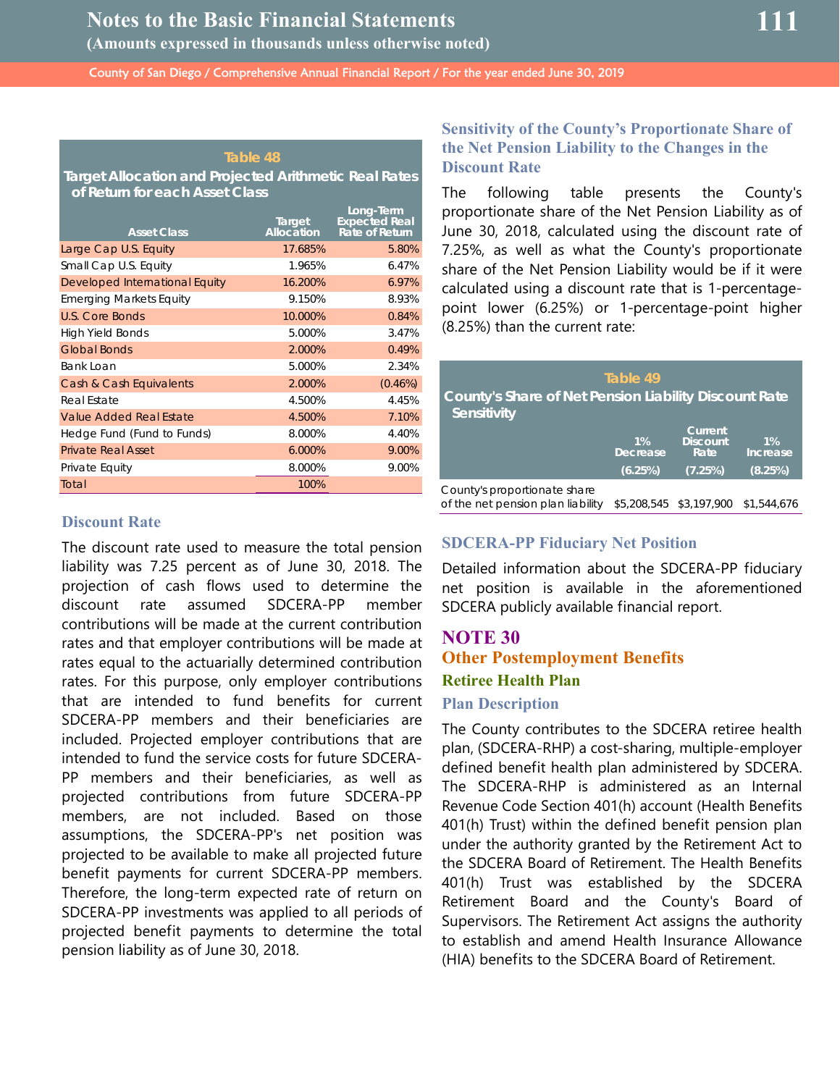#### **Table 48**

**Target Allocation and Projected Arithmetic Real Rates of Return for each Asset Class**

| <b>Asset Class</b>             | Target<br>Allocation | Long-Term<br><b>Expected Real</b><br>Rate of Return |
|--------------------------------|----------------------|-----------------------------------------------------|
| Large Cap U.S. Equity          | 17.685%              | 5.80%                                               |
| Small Cap U.S. Equity          | 1.965%               | 6.47%                                               |
| Developed International Equity | 16.200%              | 6.97%                                               |
| <b>Emerging Markets Equity</b> | 9.150%               | 8.93%                                               |
| U.S. Core Bonds                | 10.000%              | 0.84%                                               |
| High Yield Bonds               | 5.000%               | 3.47%                                               |
| <b>Global Bonds</b>            | 2.000%               | 0.49%                                               |
| Bank Loan                      | 5.000%               | 2.34%                                               |
| Cash & Cash Equivalents        | 2.000%               | $(0.46\%)$                                          |
| Real Estate                    | 4.500%               | 4.45%                                               |
| Value Added Real Estate        | 4.500%               | 7.10%                                               |
| Hedge Fund (Fund to Funds)     | 8.000%               | 4.40%                                               |
| <b>Private Real Asset</b>      | 6.000%               | 9.00%                                               |
| Private Equity                 | 8.000%               | 9.00%                                               |
| Total                          | 100%                 |                                                     |

# **111**

## **Sensitivity of the County's Proportionate Share of the Net Pension Liability to the Changes in the Discount Rate**

The following table presents the County's proportionate share of the Net Pension Liability as of June 30, 2018, calculated using the discount rate of 7.25%, as well as what the County's proportionate share of the Net Pension Liability would be if it were calculated using a discount rate that is 1-percentagepoint lower (6.25%) or 1-percentage-point higher (8.25%) than the current rate:

| County's Share of Net Pension Liability Discount Rate<br>Sensitivity | Table 49                            |                                                |                              |
|----------------------------------------------------------------------|-------------------------------------|------------------------------------------------|------------------------------|
|                                                                      | $1\%$<br><b>Decrease</b><br>(6.25%) | Current.<br><b>Discount</b><br>Rate<br>(7.25%) | $1\%$<br>Increase<br>(8.25%) |
| County's proportionate share                                         |                                     |                                                |                              |

of the net pension plan liability \$5,208,545 \$3,197,900 \$1,544,676

#### **Discount Rate**

The discount rate used to measure the total pension liability was 7.25 percent as of June 30, 2018. The projection of cash flows used to determine the discount rate assumed SDCERA-PP member contributions will be made at the current contribution rates and that employer contributions will be made at rates equal to the actuarially determined contribution rates. For this purpose, only employer contributions that are intended to fund benefits for current SDCERA-PP members and their beneficiaries are included. Projected employer contributions that are intended to fund the service costs for future SDCERA-PP members and their beneficiaries, as well as projected contributions from future SDCERA-PP members, are not included. Based on those assumptions, the SDCERA-PP's net position was projected to be available to make all projected future benefit payments for current SDCERA-PP members. Therefore, the long-term expected rate of return on SDCERA-PP investments was applied to all periods of projected benefit payments to determine the total pension liability as of June 30, 2018.

#### **SDCERA-PP Fiduciary Net Position**

Detailed information about the SDCERA-PP fiduciary net position is available in the aforementioned SDCERA publicly available financial report.

## **NOTE 30 Other Postemployment Benefits Retiree Health Plan**

#### **Plan Description**

The County contributes to the SDCERA retiree health plan, (SDCERA-RHP) a cost-sharing, multiple-employer defined benefit health plan administered by SDCERA. The SDCERA-RHP is administered as an Internal Revenue Code Section 401(h) account (Health Benefits 401(h) Trust) within the defined benefit pension plan under the authority granted by the Retirement Act to the SDCERA Board of Retirement. The Health Benefits 401(h) Trust was established by the SDCERA Retirement Board and the County's Board of Supervisors. The Retirement Act assigns the authority to establish and amend Health Insurance Allowance (HIA) benefits to the SDCERA Board of Retirement.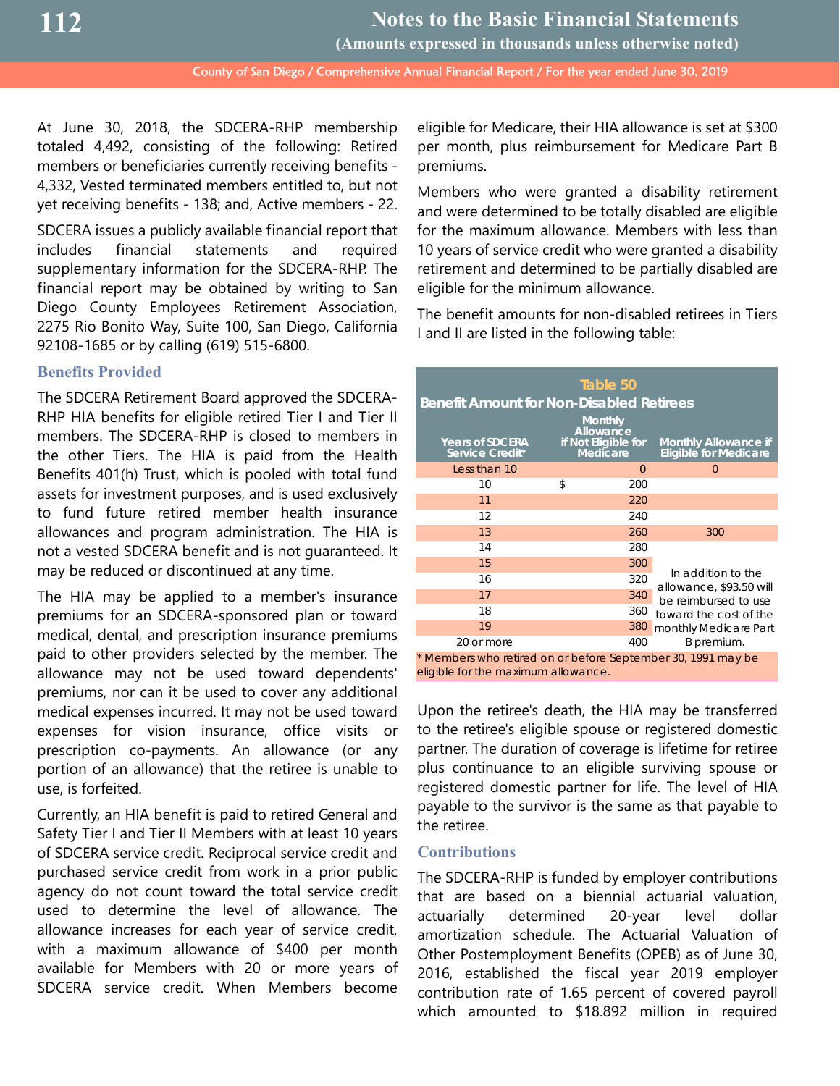**Notes to the Basic Financial Statements**

**(Amounts expressed in thousands unless otherwise noted)**

County of San Diego / Comprehensive Annual Financial Report / For the year ended June 30, 2019

At June 30, 2018, the SDCERA-RHP membership totaled 4,492, consisting of the following: Retired members or beneficiaries currently receiving benefits - 4,332, Vested terminated members entitled to, but not yet receiving benefits - 138; and, Active members - 22.

SDCERA issues a publicly available financial report that includes financial statements and required supplementary information for the SDCERA-RHP. The financial report may be obtained by writing to San Diego County Employees Retirement Association, 2275 Rio Bonito Way, Suite 100, San Diego, California 92108-1685 or by calling (619) 515-6800.

## **Benefits Provided**

The SDCERA Retirement Board approved the SDCERA-RHP HIA benefits for eligible retired Tier I and Tier II members. The SDCERA-RHP is closed to members in the other Tiers. The HIA is paid from the Health Benefits 401(h) Trust, which is pooled with total fund assets for investment purposes, and is used exclusively to fund future retired member health insurance allowances and program administration. The HIA is not a vested SDCERA benefit and is not guaranteed. It may be reduced or discontinued at any time.

The HIA may be applied to a member's insurance premiums for an SDCERA-sponsored plan or toward medical, dental, and prescription insurance premiums paid to other providers selected by the member. The allowance may not be used toward dependents' premiums, nor can it be used to cover any additional medical expenses incurred. It may not be used toward expenses for vision insurance, office visits or prescription co-payments. An allowance (or any portion of an allowance) that the retiree is unable to use, is forfeited.

Currently, an HIA benefit is paid to retired General and Safety Tier I and Tier II Members with at least 10 years of SDCERA service credit. Reciprocal service credit and purchased service credit from work in a prior public agency do not count toward the total service credit used to determine the level of allowance. The allowance increases for each year of service credit, with a maximum allowance of \$400 per month available for Members with 20 or more years of SDCERA service credit. When Members become eligible for Medicare, their HIA allowance is set at \$300 per month, plus reimbursement for Medicare Part B premiums.

Members who were granted a disability retirement and were determined to be totally disabled are eligible for the maximum allowance. Members with less than 10 years of service credit who were granted a disability retirement and determined to be partially disabled are eligible for the minimum allowance.

The benefit amounts for non-disabled retirees in Tiers I and II are listed in the following table:

| Table 50<br><b>Benefit Amount for Non-Disabled Retirees</b><br><b>Monthly</b><br><b>Allowance</b>   |    |                                 |                                                             |  |  |
|-----------------------------------------------------------------------------------------------------|----|---------------------------------|-------------------------------------------------------------|--|--|
| <b>Years of SDCERA</b><br>Service Credit*                                                           |    | if Not Eligible for<br>Medicare | <b>Monthly Allowance if</b><br><b>Eligible for Medicare</b> |  |  |
| Less than 10                                                                                        |    | $\Omega$                        | $\Omega$                                                    |  |  |
| 10                                                                                                  | \$ | 200                             |                                                             |  |  |
| 11                                                                                                  |    | 220                             |                                                             |  |  |
| 12                                                                                                  |    | 240                             |                                                             |  |  |
| 13                                                                                                  |    | 260                             | 300                                                         |  |  |
| 14                                                                                                  |    | 280                             |                                                             |  |  |
| 15                                                                                                  |    | 300                             |                                                             |  |  |
| 16                                                                                                  |    | 320                             | In addition to the                                          |  |  |
| 17                                                                                                  |    | 340                             | allowance, \$93.50 will<br>be reimbursed to use             |  |  |
| 18                                                                                                  |    | 360                             | toward the cost of the                                      |  |  |
| 19                                                                                                  |    | 380                             | monthly Medicare Part                                       |  |  |
| 20 or more                                                                                          |    | 400                             | B premium.                                                  |  |  |
| * Members who retired on or before September 30, 1991 may be<br>eligible for the maximum allowance. |    |                                 |                                                             |  |  |

Upon the retiree's death, the HIA may be transferred to the retiree's eligible spouse or registered domestic partner. The duration of coverage is lifetime for retiree plus continuance to an eligible surviving spouse or registered domestic partner for life. The level of HIA payable to the survivor is the same as that payable to the retiree.

#### **Contributions**

The SDCERA-RHP is funded by employer contributions that are based on a biennial actuarial valuation, actuarially determined 20-year level dollar amortization schedule. The Actuarial Valuation of Other Postemployment Benefits (OPEB) as of June 30, 2016, established the fiscal year 2019 employer contribution rate of 1.65 percent of covered payroll which amounted to \$18.892 million in required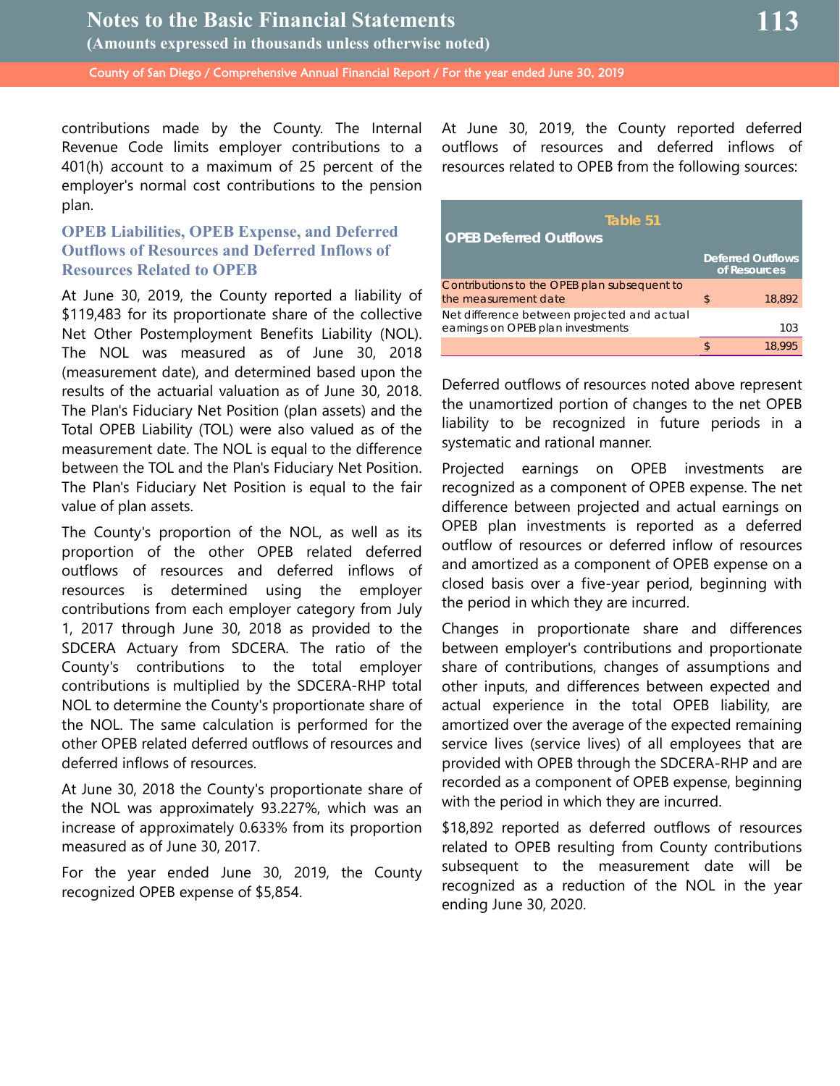contributions made by the County. The Internal Revenue Code limits employer contributions to a 401(h) account to a maximum of 25 percent of the employer's normal cost contributions to the pension plan.

## **OPEB Liabilities, OPEB Expense, and Deferred Outflows of Resources and Deferred Inflows of Resources Related to OPEB**

At June 30, 2019, the County reported a liability of \$119,483 for its proportionate share of the collective Net Other Postemployment Benefits Liability (NOL). The NOL was measured as of June 30, 2018 (measurement date), and determined based upon the results of the actuarial valuation as of June 30, 2018. The Plan's Fiduciary Net Position (plan assets) and the Total OPEB Liability (TOL) were also valued as of the measurement date. The NOL is equal to the difference between the TOL and the Plan's Fiduciary Net Position. The Plan's Fiduciary Net Position is equal to the fair value of plan assets.

The County's proportion of the NOL, as well as its proportion of the other OPEB related deferred outflows of resources and deferred inflows of resources is determined using the employer contributions from each employer category from July 1, 2017 through June 30, 2018 as provided to the SDCERA Actuary from SDCERA. The ratio of the County's contributions to the total employer contributions is multiplied by the SDCERA-RHP total NOL to determine the County's proportionate share of the NOL. The same calculation is performed for the other OPEB related deferred outflows of resources and deferred inflows of resources.

At June 30, 2018 the County's proportionate share of the NOL was approximately 93.227%, which was an increase of approximately 0.633% from its proportion measured as of June 30, 2017.

For the year ended June 30, 2019, the County recognized OPEB expense of \$5,854.

At June 30, 2019, the County reported deferred outflows of resources and deferred inflows of resources related to OPEB from the following sources:

| Table 51<br><b>OPEB Deferred Outflows</b>    |    |                                          |  |  |
|----------------------------------------------|----|------------------------------------------|--|--|
|                                              |    | <b>Deferred Outflows</b><br>of Resources |  |  |
| Contributions to the OPEB plan subsequent to |    |                                          |  |  |
| the measurement date                         | \$ | 18.892                                   |  |  |
| Net difference between projected and actual  |    |                                          |  |  |
| earnings on OPEB plan investments            |    | 103                                      |  |  |
|                                              |    | 18.995                                   |  |  |

Deferred outflows of resources noted above represent the unamortized portion of changes to the net OPEB liability to be recognized in future periods in a systematic and rational manner.

Projected earnings on OPEB investments are recognized as a component of OPEB expense. The net difference between projected and actual earnings on OPEB plan investments is reported as a deferred outflow of resources or deferred inflow of resources and amortized as a component of OPEB expense on a closed basis over a five-year period, beginning with the period in which they are incurred.

Changes in proportionate share and differences between employer's contributions and proportionate share of contributions, changes of assumptions and other inputs, and differences between expected and actual experience in the total OPEB liability, are amortized over the average of the expected remaining service lives (service lives) of all employees that are provided with OPEB through the SDCERA-RHP and are recorded as a component of OPEB expense, beginning with the period in which they are incurred.

\$18,892 reported as deferred outflows of resources related to OPEB resulting from County contributions subsequent to the measurement date will be recognized as a reduction of the NOL in the year ending June 30, 2020.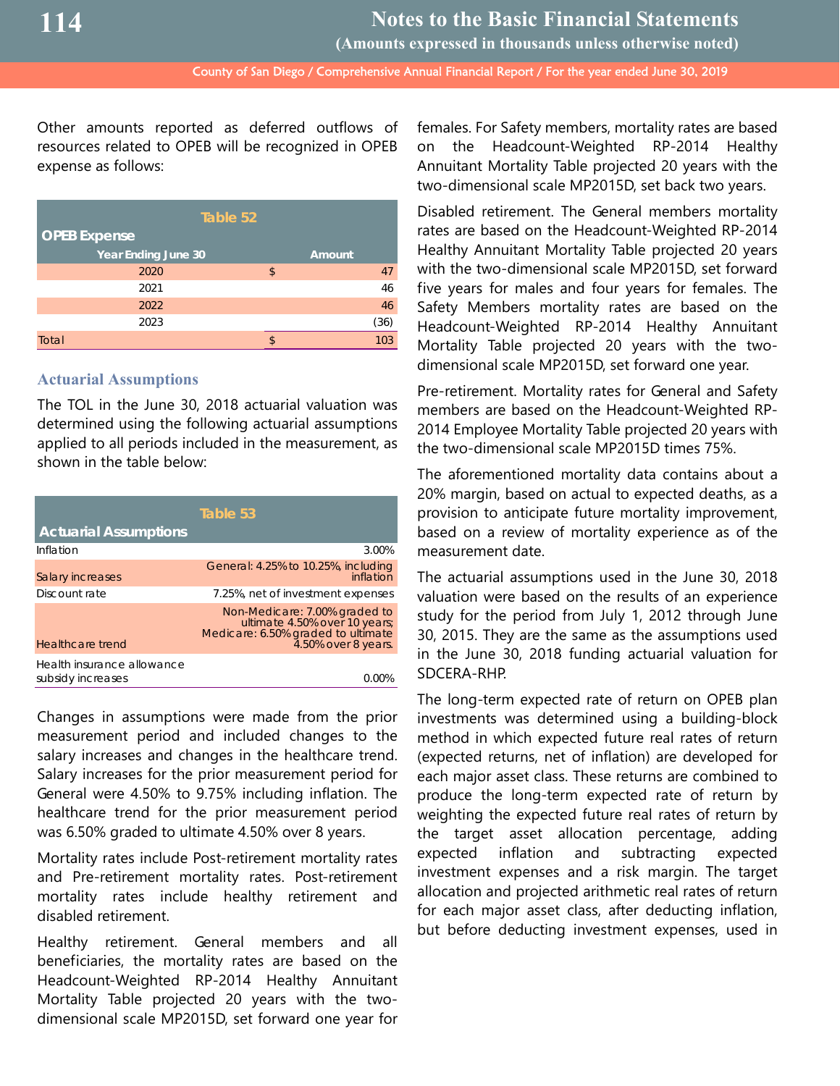**(Amounts expressed in thousands unless otherwise noted)**

County of San Diego / Comprehensive Annual Financial Report / For the year ended June 30, 2019

Other amounts reported as deferred outflows of resources related to OPEB will be recognized in OPEB expense as follows:

| Table 52                   |    |        |  |  |
|----------------------------|----|--------|--|--|
| <b>OPEB Expense</b>        |    |        |  |  |
| <b>Year Ending June 30</b> |    | Amount |  |  |
| 2020                       | \$ | 47     |  |  |
| 2021                       |    | 46     |  |  |
| 2022                       |    | 46     |  |  |
| 2023                       |    | (36)   |  |  |
| Total                      | ፍ  | 103    |  |  |

#### **Actuarial Assumptions**

The TOL in the June 30, 2018 actuarial valuation was determined using the following actuarial assumptions applied to all periods included in the measurement, as shown in the table below:

|                                                 | Table 53                                                                                                                    |
|-------------------------------------------------|-----------------------------------------------------------------------------------------------------------------------------|
| <b>Actuarial Assumptions</b>                    |                                                                                                                             |
| Inflation                                       | 3.00%                                                                                                                       |
| Salary increases                                | General: 4.25% to 10.25%, including<br>inflation                                                                            |
| Discount rate                                   | 7.25%, net of investment expenses                                                                                           |
| Healthcare trend                                | Non-Medicare: 7.00% graded to<br>ultimate 4.50% over 10 years;<br>Medicare: 6.50% graded to ultimate<br>4.50% over 8 years. |
| Health insurance allowance<br>subsidy increases |                                                                                                                             |

Changes in assumptions were made from the prior measurement period and included changes to the salary increases and changes in the healthcare trend. Salary increases for the prior measurement period for General were 4.50% to 9.75% including inflation. The healthcare trend for the prior measurement period was 6.50% graded to ultimate 4.50% over 8 years.

Mortality rates include Post-retirement mortality rates and Pre-retirement mortality rates. Post-retirement mortality rates include healthy retirement and disabled retirement.

Healthy retirement. General members and all beneficiaries, the mortality rates are based on the Headcount-Weighted RP-2014 Healthy Annuitant Mortality Table projected 20 years with the twodimensional scale MP2015D, set forward one year for

females. For Safety members, mortality rates are based on the Headcount-Weighted RP-2014 Healthy Annuitant Mortality Table projected 20 years with the two-dimensional scale MP2015D, set back two years.

Disabled retirement. The General members mortality rates are based on the Headcount-Weighted RP-2014 Healthy Annuitant Mortality Table projected 20 years with the two-dimensional scale MP2015D, set forward five years for males and four years for females. The Safety Members mortality rates are based on the Headcount-Weighted RP-2014 Healthy Annuitant Mortality Table projected 20 years with the twodimensional scale MP2015D, set forward one year.

Pre-retirement. Mortality rates for General and Safety members are based on the Headcount-Weighted RP-2014 Employee Mortality Table projected 20 years with the two-dimensional scale MP2015D times 75%.

The aforementioned mortality data contains about a 20% margin, based on actual to expected deaths, as a provision to anticipate future mortality improvement, based on a review of mortality experience as of the measurement date.

The actuarial assumptions used in the June 30, 2018 valuation were based on the results of an experience study for the period from July 1, 2012 through June 30, 2015. They are the same as the assumptions used in the June 30, 2018 funding actuarial valuation for SDCERA-RHP.

The long-term expected rate of return on OPEB plan investments was determined using a building-block method in which expected future real rates of return (expected returns, net of inflation) are developed for each major asset class. These returns are combined to produce the long-term expected rate of return by weighting the expected future real rates of return by the target asset allocation percentage, adding expected inflation and subtracting expected investment expenses and a risk margin. The target allocation and projected arithmetic real rates of return for each major asset class, after deducting inflation, but before deducting investment expenses, used in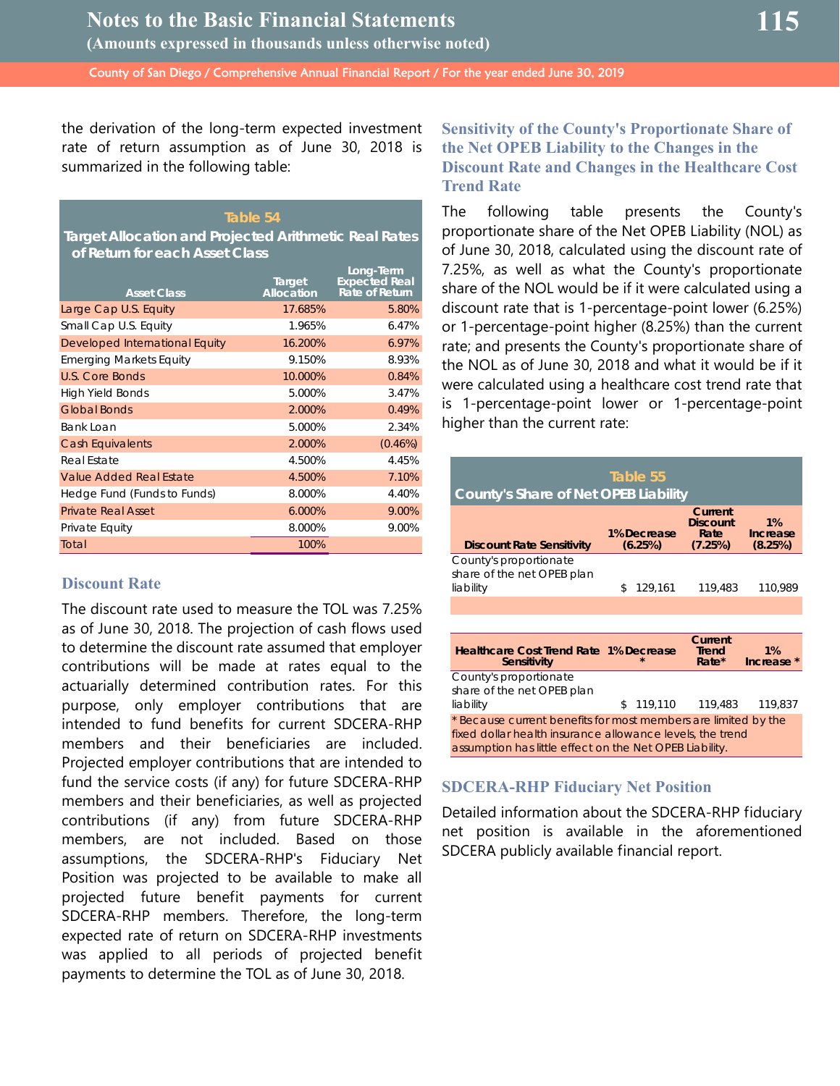the derivation of the long-term expected investment rate of return assumption as of June 30, 2018 is summarized in the following table:

#### **Table 54**

**Target Allocation and Projected Arithmetic Real Rates of Return for each Asset Class**

| <b>Asset Class</b>             | Target<br>Allocation | Long-Term<br><b>Expected Real</b><br>Rate of Return |
|--------------------------------|----------------------|-----------------------------------------------------|
| Large Cap U.S. Equity          | 17.685%              | 5.80%                                               |
| Small Cap U.S. Equity          | 1.965%               | 6.47%                                               |
| Developed International Equity | 16.200%              | 6.97%                                               |
| <b>Emerging Markets Equity</b> | 9.150%               | 8.93%                                               |
| <b>U.S. Core Bonds</b>         | 10.000%              | 0.84%                                               |
| <b>High Yield Bonds</b>        | 5.000%               | 3.47%                                               |
| <b>Global Bonds</b>            | 2.000%               | 0.49%                                               |
| Bank Loan                      | 5.000%               | 2.34%                                               |
| <b>Cash Equivalents</b>        | 2.000%               | $(0.46\%)$                                          |
| Real Estate                    | 4.500%               | 4.45%                                               |
| Value Added Real Estate        | 4.500%               | 7.10%                                               |
| Hedge Fund (Funds to Funds)    | 8.000%               | 4.40%                                               |
| <b>Private Real Asset</b>      | 6.000%               | 9.00%                                               |
| Private Equity                 | 8.000%               | 9.00%                                               |
| Total                          | 100%                 |                                                     |

#### **Discount Rate**

The discount rate used to measure the TOL was 7.25% as of June 30, 2018. The projection of cash flows used to determine the discount rate assumed that employer contributions will be made at rates equal to the actuarially determined contribution rates. For this purpose, only employer contributions that are intended to fund benefits for current SDCERA-RHP members and their beneficiaries are included. Projected employer contributions that are intended to fund the service costs (if any) for future SDCERA-RHP members and their beneficiaries, as well as projected contributions (if any) from future SDCERA-RHP members, are not included. Based on those assumptions, the SDCERA-RHP's Fiduciary Net Position was projected to be available to make all projected future benefit payments for current SDCERA-RHP members. Therefore, the long-term expected rate of return on SDCERA-RHP investments was applied to all periods of projected benefit payments to determine the TOL as of June 30, 2018.

## **Sensitivity of the County's Proportionate Share of the Net OPEB Liability to the Changes in the Discount Rate and Changes in the Healthcare Cost Trend Rate**

The following table presents the County's proportionate share of the Net OPEB Liability (NOL) as of June 30, 2018, calculated using the discount rate of 7.25%, as well as what the County's proportionate share of the NOL would be if it were calculated using a discount rate that is 1-percentage-point lower (6.25%) or 1-percentage-point higher (8.25%) than the current rate; and presents the County's proportionate share of the NOL as of June 30, 2018 and what it would be if it were calculated using a healthcare cost trend rate that is 1-percentage-point lower or 1-percentage-point higher than the current rate:

| County's Share of Net OPEB Liability                                                                                                                                                   | Table 55               |                                               |                           |
|----------------------------------------------------------------------------------------------------------------------------------------------------------------------------------------|------------------------|-----------------------------------------------|---------------------------|
| <b>Discount Rate Sensitivity</b>                                                                                                                                                       | 1% Decrease<br>(6.25%) | Current<br><b>Discount</b><br>Rate<br>(7.25%) | 1%<br>Increase<br>(8.25%) |
| County's proportionate<br>share of the net OPEB plan<br>liability                                                                                                                      | \$<br>129,161          | 119,483                                       | 110,989                   |
|                                                                                                                                                                                        |                        |                                               |                           |
|                                                                                                                                                                                        |                        |                                               |                           |
| <b>Healthcare Cost Trend Rate 1% Decrease</b><br>Sensitivity                                                                                                                           |                        | Current<br><b>Trend</b><br>$Rate*$            | 1%<br>Increase *          |
| County's proportionate<br>share of the net OPEB plan<br>liability                                                                                                                      | \$<br>119,110          | 119,483                                       | 119,837                   |
| * Because current benefits for most members are limited by the<br>fixed dollar health insurance allowance levels, the trend<br>assumption has little effect on the Net OPEB Liability. |                        |                                               |                           |

## **SDCERA-RHP Fiduciary Net Position**

Detailed information about the SDCERA-RHP fiduciary net position is available in the aforementioned SDCERA publicly available financial report.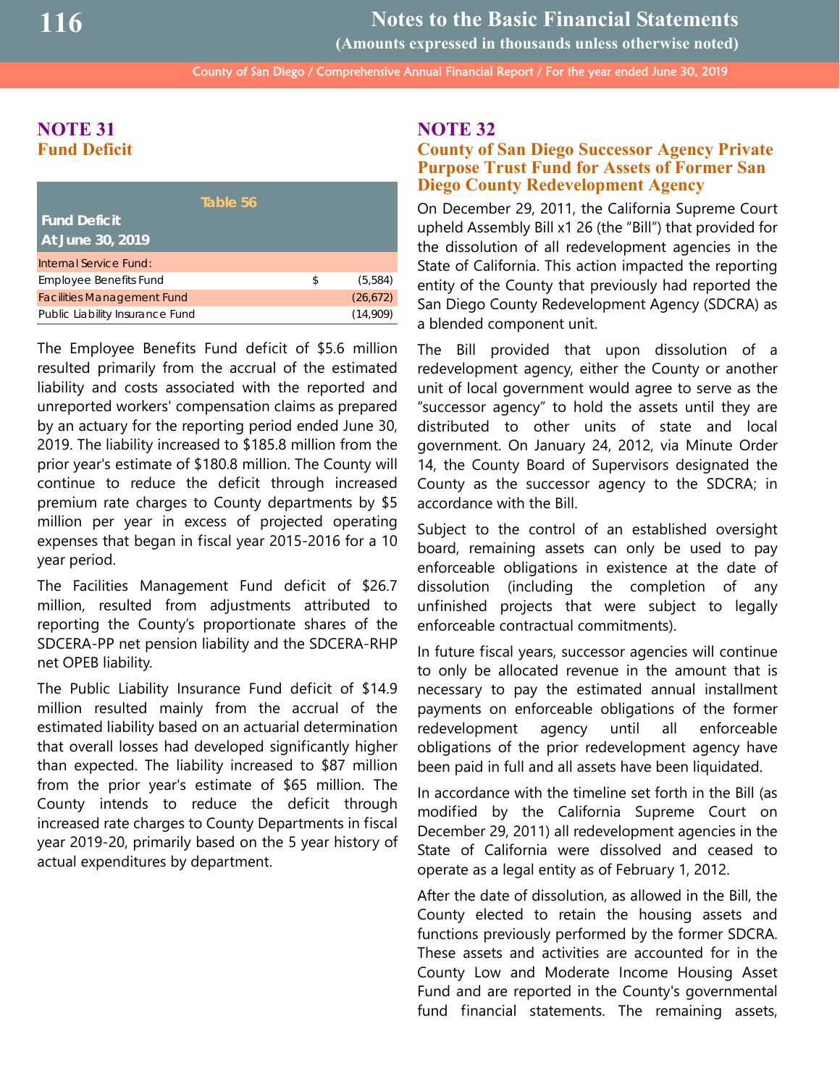County of San Diego / Comprehensive Annual Financial Report / For the year ended June 30, 2019 **Notes to the Basic Financial Statements (Amounts expressed in thousands unless otherwise noted)**

## **NOTE 31 Fund Deficit**

| Table 56                          |               |
|-----------------------------------|---------------|
| <b>Fund Deficit</b>               |               |
| At June 30, 2019                  |               |
| Internal Service Fund:            |               |
| <b>Employee Benefits Fund</b>     | \$<br>(5,584) |
| <b>Facilities Management Fund</b> | (26, 672)     |
| Public Liability Insurance Fund   | (14,909)      |

The Employee Benefits Fund deficit of \$5.6 million resulted primarily from the accrual of the estimated liability and costs associated with the reported and unreported workers' compensation claims as prepared by an actuary for the reporting period ended June 30, 2019. The liability increased to \$185.8 million from the prior year's estimate of \$180.8 million. The County will continue to reduce the deficit through increased premium rate charges to County departments by \$5 million per year in excess of projected operating expenses that began in fiscal year 2015-2016 for a 10 year period.

The Facilities Management Fund deficit of \$26.7 million, resulted from adjustments attributed to reporting the County's proportionate shares of the SDCERA-PP net pension liability and the SDCERA-RHP net OPEB liability.

The Public Liability Insurance Fund deficit of \$14.9 million resulted mainly from the accrual of the estimated liability based on an actuarial determination that overall losses had developed significantly higher than expected. The liability increased to \$87 million from the prior year's estimate of \$65 million. The County intends to reduce the deficit through increased rate charges to County Departments in fiscal year 2019-20, primarily based on the 5 year history of actual expenditures by department.

## **NOTE 32**

## **County of San Diego Successor Agency Private Purpose Trust Fund for Assets of Former San Diego County Redevelopment Agency**

On December 29, 2011, the California Supreme Court upheld Assembly Bill x1 26 (the "Bill") that provided for the dissolution of all redevelopment agencies in the State of California. This action impacted the reporting entity of the County that previously had reported the San Diego County Redevelopment Agency (SDCRA) as a blended component unit.

The Bill provided that upon dissolution of a redevelopment agency, either the County or another unit of local government would agree to serve as the "successor agency" to hold the assets until they are distributed to other units of state and local government. On January 24, 2012, via Minute Order 14, the County Board of Supervisors designated the County as the successor agency to the SDCRA; in accordance with the Bill.

Subject to the control of an established oversight board, remaining assets can only be used to pay enforceable obligations in existence at the date of dissolution (including the completion of any unfinished projects that were subject to legally enforceable contractual commitments).

In future fiscal years, successor agencies will continue to only be allocated revenue in the amount that is necessary to pay the estimated annual installment payments on enforceable obligations of the former redevelopment agency until all enforceable obligations of the prior redevelopment agency have been paid in full and all assets have been liquidated.

In accordance with the timeline set forth in the Bill (as modified by the California Supreme Court on December 29, 2011) all redevelopment agencies in the State of California were dissolved and ceased to operate as a legal entity as of February 1, 2012.

After the date of dissolution, as allowed in the Bill, the County elected to retain the housing assets and functions previously performed by the former SDCRA. These assets and activities are accounted for in the County Low and Moderate Income Housing Asset Fund and are reported in the County's governmental fund financial statements. The remaining assets,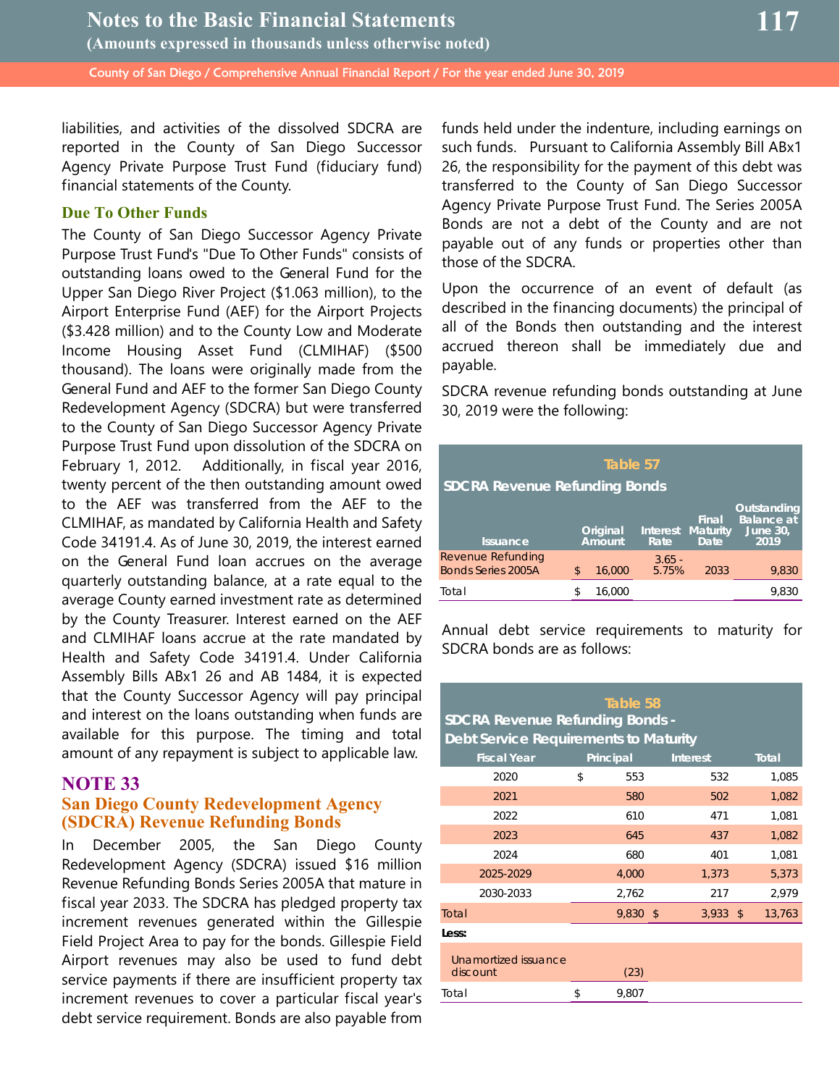**June 30, 2019**

liabilities, and activities of the dissolved SDCRA are reported in the County of San Diego Successor Agency Private Purpose Trust Fund (fiduciary fund) financial statements of the County.

#### **Due To Other Funds**

The County of San Diego Successor Agency Private Purpose Trust Fund's "Due To Other Funds" consists of outstanding loans owed to the General Fund for the Upper San Diego River Project (\$1.063 million), to the Airport Enterprise Fund (AEF) for the Airport Projects (\$3.428 million) and to the County Low and Moderate Income Housing Asset Fund (CLMIHAF) (\$500 thousand). The loans were originally made from the General Fund and AEF to the former San Diego County Redevelopment Agency (SDCRA) but were transferred to the County of San Diego Successor Agency Private Purpose Trust Fund upon dissolution of the SDCRA on February 1, 2012. Additionally, in fiscal year 2016, twenty percent of the then outstanding amount owed to the AEF was transferred from the AEF to the CLMIHAF, as mandated by California Health and Safety Code 34191.4. As of June 30, 2019, the interest earned on the General Fund loan accrues on the average quarterly outstanding balance, at a rate equal to the average County earned investment rate as determined by the County Treasurer. Interest earned on the AEF and CLMIHAF loans accrue at the rate mandated by Health and Safety Code 34191.4. Under California Assembly Bills ABx1 26 and AB 1484, it is expected that the County Successor Agency will pay principal and interest on the loans outstanding when funds are available for this purpose. The timing and total amount of any repayment is subject to applicable law.

## **NOTE 33**

## **San Diego County Redevelopment Agency (SDCRA) Revenue Refunding Bonds**

In December 2005, the San Diego County Redevelopment Agency (SDCRA) issued \$16 million Revenue Refunding Bonds Series 2005A that mature in fiscal year 2033. The SDCRA has pledged property tax increment revenues generated within the Gillespie Field Project Area to pay for the bonds. Gillespie Field Airport revenues may also be used to fund debt service payments if there are insufficient property tax increment revenues to cover a particular fiscal year's debt service requirement. Bonds are also payable from

funds held under the indenture, including earnings on such funds. Pursuant to California Assembly Bill ABx1 26, the responsibility for the payment of this debt was transferred to the County of San Diego Successor Agency Private Purpose Trust Fund. The Series 2005A Bonds are not a debt of the County and are not payable out of any funds or properties other than those of the SDCRA.

Upon the occurrence of an event of default (as described in the financing documents) the principal of all of the Bonds then outstanding and the interest accrued thereon shall be immediately due and payable.

SDCRA revenue refunding bonds outstanding at June 30, 2019 were the following:

#### **Table 57 SDCRA Revenue Refunding Bonds Issuance Original Amount Interest Maturity Rate Final Date Outstanding Balance** a

| Revenue Refunding<br><b>Bonds Series 2005A</b> | 16,000 | $3.65 -$<br>5.75% | 2033<br>9.830 |       |  |  |
|------------------------------------------------|--------|-------------------|---------------|-------|--|--|
| Total                                          | 16.000 |                   |               | 9.830 |  |  |

Annual debt service requirements to maturity for SDCRA bonds are as follows:

| Table 58<br><b>SDCRA Revenue Refunding Bonds -</b><br><b>Debt Service Requirements to Maturity</b> |           |       |    |                 |            |              |  |  |
|----------------------------------------------------------------------------------------------------|-----------|-------|----|-----------------|------------|--------------|--|--|
| <b>Fiscal Year</b>                                                                                 | Principal |       |    | <b>Interest</b> |            | <b>Total</b> |  |  |
| 2020                                                                                               | \$        | 553   |    | 532             |            | 1,085        |  |  |
| 2021                                                                                               |           | 580   |    | 502             |            | 1,082        |  |  |
| 2022                                                                                               |           | 610   |    | 471             |            | 1,081        |  |  |
| 2023                                                                                               |           | 645   |    | 437             |            | 1,082        |  |  |
| 2024                                                                                               |           | 680   |    | 401             |            | 1,081        |  |  |
| 2025-2029                                                                                          |           | 4,000 |    | 1,373           |            | 5,373        |  |  |
| 2030-2033                                                                                          |           | 2,762 |    | 217             |            | 2,979        |  |  |
| Total                                                                                              |           | 9,830 | \$ | 3,933           | $\sqrt{2}$ | 13,763       |  |  |
| Less:                                                                                              |           |       |    |                 |            |              |  |  |
| Unamortized issuance<br>discount                                                                   |           | (23)  |    |                 |            |              |  |  |
| Total                                                                                              | \$        | 9,807 |    |                 |            |              |  |  |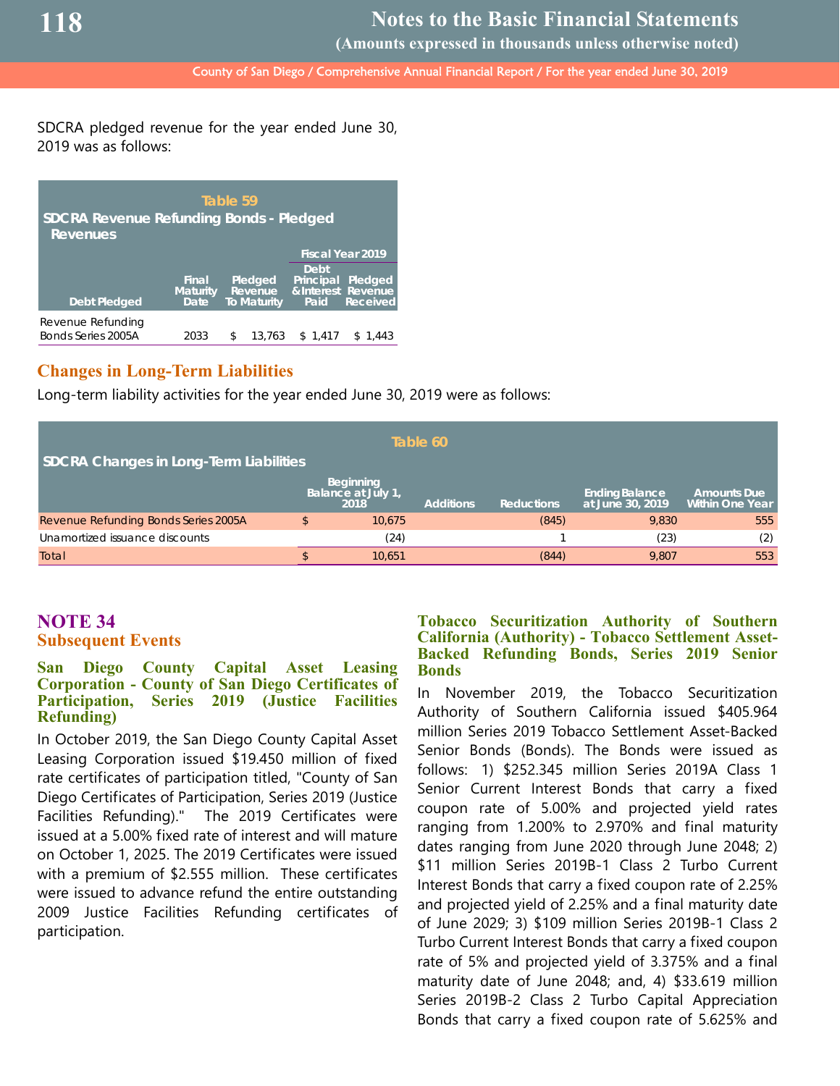**(Amounts expressed in thousands unless otherwise noted)**

County of San Diego / Comprehensive Annual Financial Report / For the year ended June 30, 2019

SDCRA pledged revenue for the year ended June 30, 2019 was as follows:

| Table 59<br><b>SDCRA Revenue Refunding Bonds - Pledged</b><br><b>Revenues</b> |                                  |                                                 |        |                           |                                           |  |  |  |
|-------------------------------------------------------------------------------|----------------------------------|-------------------------------------------------|--------|---------------------------|-------------------------------------------|--|--|--|
|                                                                               |                                  |                                                 |        | <b>Fiscal Year 2019</b>   |                                           |  |  |  |
| <b>Debt Pledged</b>                                                           | Final<br><b>Maturity</b><br>Date | Pledged<br><b>Revenue</b><br><b>To Maturity</b> |        | Debt<br>Principal<br>Paid | Pledged<br>& Interest Revenue<br>Received |  |  |  |
| Revenue Refunding<br>Bonds Series 2005A                                       | 2033                             | \$                                              | 13.763 | \$1.417                   | \$1.443                                   |  |  |  |

## **Changes in Long-Term Liabilities**

Long-term liability activities for the year ended June 30, 2019 were as follows:

| Table 60<br><b>SDCRA Changes in Long-Term Liabilities</b> |  |                                                |                  |                   |                                           |                                              |  |  |
|-----------------------------------------------------------|--|------------------------------------------------|------------------|-------------------|-------------------------------------------|----------------------------------------------|--|--|
|                                                           |  | <b>Beginning</b><br>Balance at July 1,<br>2018 | <b>Additions</b> | <b>Reductions</b> | <b>Ending Balance</b><br>at June 30, 2019 | <b>Amounts Due</b><br><b>Within One Year</b> |  |  |
| Revenue Refunding Bonds Series 2005A                      |  | 10,675                                         |                  | (845)             | 9.830                                     | 555                                          |  |  |
| Unamortized issuance discounts                            |  | (24)                                           |                  |                   | (23)                                      | (2)                                          |  |  |
| Total                                                     |  | 10.651                                         |                  | (844)             | 9.807                                     | 553                                          |  |  |

## **NOTE 34 Subsequent Events**

#### **San Diego County Capital Asset Leasing Corporation - County of San Diego Certificates of Participation, Series 2019 (Justice Facilities Refunding)**

In October 2019, the San Diego County Capital Asset Leasing Corporation issued \$19.450 million of fixed rate certificates of participation titled, "County of San Diego Certificates of Participation, Series 2019 (Justice Facilities Refunding)." The 2019 Certificates were issued at a 5.00% fixed rate of interest and will mature on October 1, 2025. The 2019 Certificates were issued with a premium of \$2.555 million. These certificates were issued to advance refund the entire outstanding 2009 Justice Facilities Refunding certificates of participation.

#### **Tobacco Securitization Authority of Southern California (Authority) - Tobacco Settlement Asset-Backed Refunding Bonds, Series 2019 Senior Bonds**

In November 2019, the Tobacco Securitization Authority of Southern California issued \$405.964 million Series 2019 Tobacco Settlement Asset-Backed Senior Bonds (Bonds). The Bonds were issued as follows: 1) \$252.345 million Series 2019A Class 1 Senior Current Interest Bonds that carry a fixed coupon rate of 5.00% and projected yield rates ranging from 1.200% to 2.970% and final maturity dates ranging from June 2020 through June 2048; 2) \$11 million Series 2019B-1 Class 2 Turbo Current Interest Bonds that carry a fixed coupon rate of 2.25% and projected yield of 2.25% and a final maturity date of June 2029; 3) \$109 million Series 2019B-1 Class 2 Turbo Current Interest Bonds that carry a fixed coupon rate of 5% and projected yield of 3.375% and a final maturity date of June 2048; and, 4) \$33.619 million Series 2019B-2 Class 2 Turbo Capital Appreciation Bonds that carry a fixed coupon rate of 5.625% and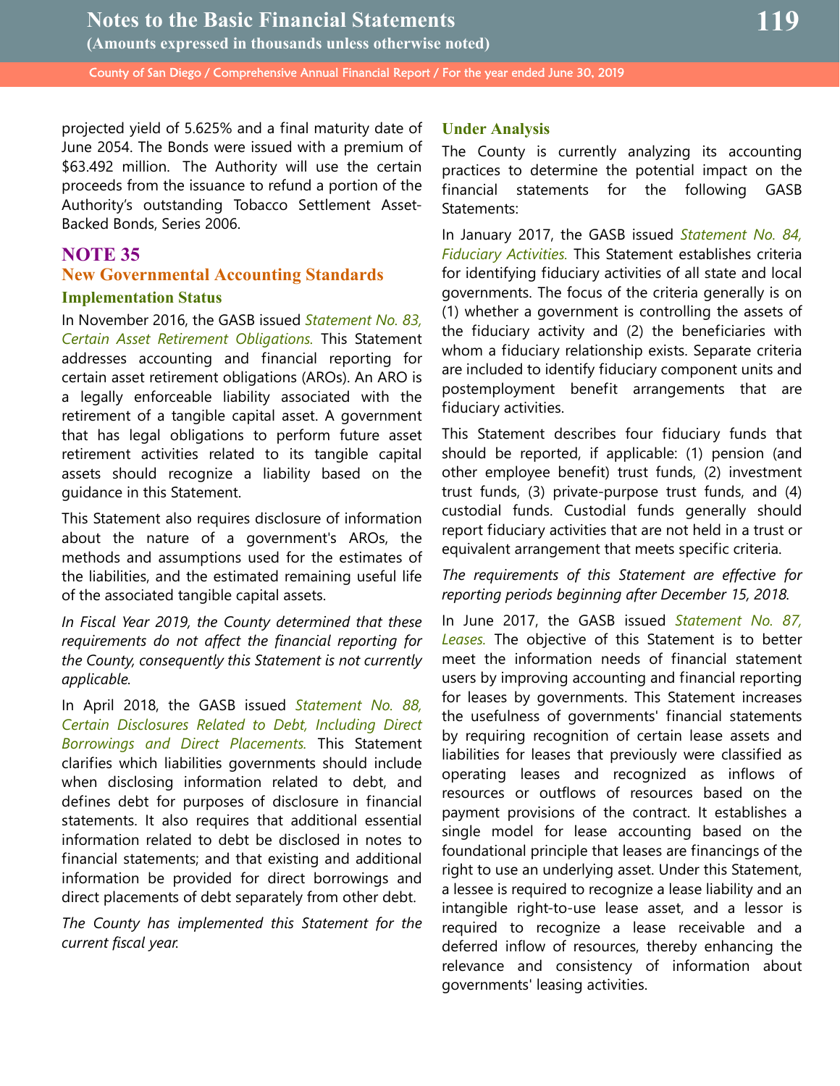projected yield of 5.625% and a final maturity date of June 2054. The Bonds were issued with a premium of \$63.492 million. The Authority will use the certain proceeds from the issuance to refund a portion of the Authority's outstanding Tobacco Settlement Asset-Backed Bonds, Series 2006.

## **NOTE 35**

## **New Governmental Accounting Standards**

#### **Implementation Status**

In November 2016, the GASB issued *Statement No. 83, Certain Asset Retirement Obligations.* This Statement addresses accounting and financial reporting for certain asset retirement obligations (AROs). An ARO is a legally enforceable liability associated with the retirement of a tangible capital asset. A government that has legal obligations to perform future asset retirement activities related to its tangible capital assets should recognize a liability based on the guidance in this Statement.

This Statement also requires disclosure of information about the nature of a government's AROs, the methods and assumptions used for the estimates of the liabilities, and the estimated remaining useful life of the associated tangible capital assets.

*In Fiscal Year 2019, the County determined that these requirements do not affect the financial reporting for the County, consequently this Statement is not currently applicable.*

In April 2018, the GASB issued *Statement No. 88, Certain Disclosures Related to Debt, Including Direct Borrowings and Direct Placements.* This Statement clarifies which liabilities governments should include when disclosing information related to debt, and defines debt for purposes of disclosure in financial statements. It also requires that additional essential information related to debt be disclosed in notes to financial statements; and that existing and additional information be provided for direct borrowings and direct placements of debt separately from other debt.

*The County has implemented this Statement for the current fiscal year.*

## **Under Analysis**

The County is currently analyzing its accounting practices to determine the potential impact on the financial statements for the following GASB Statements:

In January 2017, the GASB issued *Statement No. 84, Fiduciary Activities.* This Statement establishes criteria for identifying fiduciary activities of all state and local governments. The focus of the criteria generally is on (1) whether a government is controlling the assets of the fiduciary activity and (2) the beneficiaries with whom a fiduciary relationship exists. Separate criteria are included to identify fiduciary component units and postemployment benefit arrangements that are fiduciary activities.

This Statement describes four fiduciary funds that should be reported, if applicable: (1) pension (and other employee benefit) trust funds, (2) investment trust funds, (3) private-purpose trust funds, and (4) custodial funds. Custodial funds generally should report fiduciary activities that are not held in a trust or equivalent arrangement that meets specific criteria.

*The requirements of this Statement are effective for reporting periods beginning after December 15, 2018.*

In June 2017, the GASB issued *Statement No. 87, Leases.* The objective of this Statement is to better meet the information needs of financial statement users by improving accounting and financial reporting for leases by governments. This Statement increases the usefulness of governments' financial statements by requiring recognition of certain lease assets and liabilities for leases that previously were classified as operating leases and recognized as inflows of resources or outflows of resources based on the payment provisions of the contract. It establishes a single model for lease accounting based on the foundational principle that leases are financings of the right to use an underlying asset. Under this Statement, a lessee is required to recognize a lease liability and an intangible right-to-use lease asset, and a lessor is required to recognize a lease receivable and a deferred inflow of resources, thereby enhancing the relevance and consistency of information about governments' leasing activities.